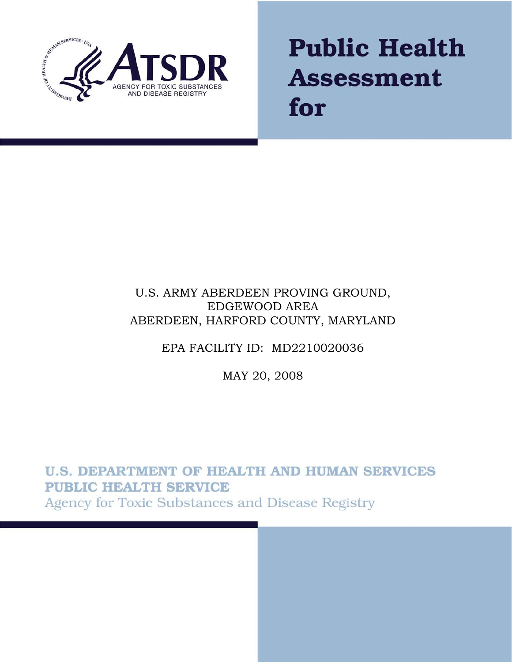

# **Public Health Assessment** for

# U.S. ARMY ABERDEEN PROVING GROUND, EDGEWOOD AREA ABERDEEN, HARFORD COUNTY, MARYLAND

# EPA FACILITY ID: MD2210020036

# MAY 20, 2008

**U.S. DEPARTMENT OF HEALTH AND HUMAN SERVICES PUBLIC HEALTH SERVICE** Agency for Toxic Substances and Disease Registry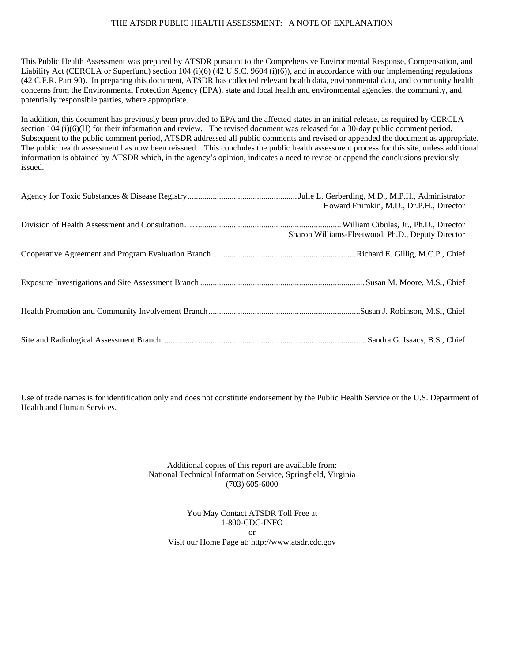#### THE ATSDR PUBLIC HEALTH ASSESSMENT: A NOTE OF EXPLANATION

This Public Health Assessment was prepared by ATSDR pursuant to the Comprehensive Environmental Response, Compensation, and Liability Act (CERCLA or Superfund) section 104 (i)(6) (42 U.S.C. 9604 (i)(6)), and in accordance with our implementing regulations (42 C.F.R. Part 90). In preparing this document, ATSDR has collected relevant health data, environmental data, and community health concerns from the Environmental Protection Agency (EPA), state and local health and environmental agencies, the community, and potentially responsible parties, where appropriate.

In addition, this document has previously been provided to EPA and the affected states in an initial release, as required by CERCLA section 104 (i)(6)(H) for their information and review. The revised document was released for a 30-day public comment period. Subsequent to the public comment period, ATSDR addressed all public comments and revised or appended the document as appropriate. The public health assessment has now been reissued. This concludes the public health assessment process for this site, unless additional information is obtained by ATSDR which, in the agency's opinion, indicates a need to revise or append the conclusions previously issued.

| Howard Frumkin, M.D., Dr.P.H., Director           |
|---------------------------------------------------|
| Sharon Williams-Fleetwood, Ph.D., Deputy Director |
|                                                   |
|                                                   |
|                                                   |
|                                                   |

Use of trade names is for identification only and does not constitute endorsement by the Public Health Service or the U.S. Department of Health and Human Services.

> Additional copies of this report are available from: National Technical Information Service, Springfield, Virginia (703) 605-6000

You May Contact ATSDR Toll Free at 1-800-CDC-INFO or Visit our Home Page at: http://www.atsdr.cdc.gov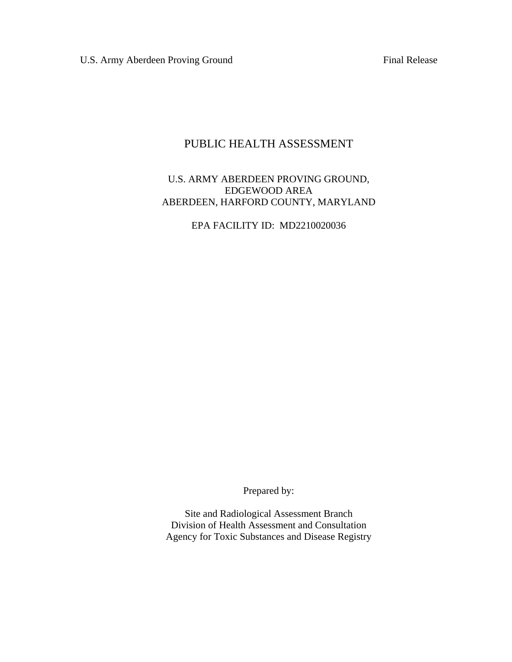U.S. Army Aberdeen Proving Ground Final Release

#### PUBLIC HEALTH ASSESSMENT

#### U.S. ARMY ABERDEEN PROVING GROUND, EDGEWOOD AREA ABERDEEN, HARFORD COUNTY, MARYLAND

EPA FACILITY ID: MD2210020036

Prepared by:

Site and Radiological Assessment Branch Division of Health Assessment and Consultation Agency for Toxic Substances and Disease Registry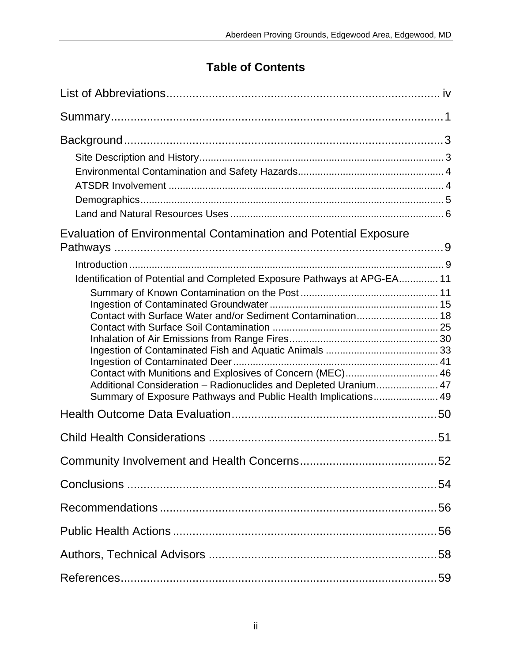# **Table of Contents**

| <b>Evaluation of Environmental Contamination and Potential Exposure</b>                                                                                                                                                                                                                                                                    |    |
|--------------------------------------------------------------------------------------------------------------------------------------------------------------------------------------------------------------------------------------------------------------------------------------------------------------------------------------------|----|
| Identification of Potential and Completed Exposure Pathways at APG-EA 11<br>Contact with Surface Water and/or Sediment Contamination 18<br>Contact with Munitions and Explosives of Concern (MEC) 46<br>Additional Consideration - Radionuclides and Depleted Uranium 47<br>Summary of Exposure Pathways and Public Health Implications 49 |    |
|                                                                                                                                                                                                                                                                                                                                            |    |
|                                                                                                                                                                                                                                                                                                                                            |    |
|                                                                                                                                                                                                                                                                                                                                            | 52 |
|                                                                                                                                                                                                                                                                                                                                            |    |
|                                                                                                                                                                                                                                                                                                                                            |    |
|                                                                                                                                                                                                                                                                                                                                            |    |
|                                                                                                                                                                                                                                                                                                                                            |    |
|                                                                                                                                                                                                                                                                                                                                            |    |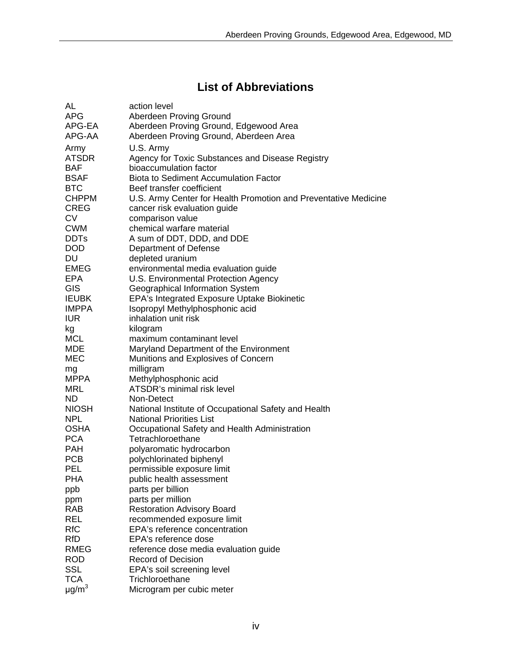# **List of Abbreviations**

<span id="page-5-0"></span>

| <b>AL</b>              | action level                                                    |
|------------------------|-----------------------------------------------------------------|
| <b>APG</b>             | Aberdeen Proving Ground                                         |
| APG-EA                 | Aberdeen Proving Ground, Edgewood Area                          |
| APG-AA                 | Aberdeen Proving Ground, Aberdeen Area                          |
| Army                   | U.S. Army                                                       |
| <b>ATSDR</b>           | Agency for Toxic Substances and Disease Registry                |
| <b>BAF</b>             | bioaccumulation factor                                          |
| <b>BSAF</b>            | <b>Biota to Sediment Accumulation Factor</b>                    |
| <b>BTC</b>             | Beef transfer coefficient                                       |
| <b>CHPPM</b>           | U.S. Army Center for Health Promotion and Preventative Medicine |
| <b>CREG</b>            | cancer risk evaluation guide                                    |
| <b>CV</b>              | comparison value                                                |
| <b>CWM</b>             | chemical warfare material                                       |
| <b>DDTs</b>            |                                                                 |
| <b>DOD</b>             | A sum of DDT, DDD, and DDE                                      |
|                        | Department of Defense                                           |
| DU                     | depleted uranium                                                |
| EMEG                   | environmental media evaluation guide                            |
| <b>EPA</b>             | U.S. Environmental Protection Agency                            |
| GIS                    | Geographical Information System                                 |
| <b>IEUBK</b>           | <b>EPA's Integrated Exposure Uptake Biokinetic</b>              |
| <b>IMPPA</b>           | Isopropyl Methylphosphonic acid                                 |
| <b>IUR</b>             | inhalation unit risk                                            |
| kg                     | kilogram                                                        |
| <b>MCL</b>             | maximum contaminant level                                       |
| <b>MDE</b>             | Maryland Department of the Environment                          |
| MEC                    | Munitions and Explosives of Concern                             |
| mg                     | milligram                                                       |
| MPPA                   | Methylphosphonic acid                                           |
| <b>MRL</b>             | ATSDR's minimal risk level                                      |
| <b>ND</b>              | Non-Detect                                                      |
| <b>NIOSH</b>           | National Institute of Occupational Safety and Health            |
| <b>NPL</b>             | <b>National Priorities List</b>                                 |
| <b>OSHA</b>            | Occupational Safety and Health Administration                   |
| <b>PCA</b>             | Tetrachloroethane                                               |
| <b>PAH</b>             | polyaromatic hydrocarbon                                        |
| <b>PCB</b>             | polychlorinated biphenyl                                        |
| PEL                    | permissible exposure limit                                      |
| <b>PHA</b>             | public health assessment                                        |
| ppb                    | parts per billion                                               |
| ppm                    | parts per million                                               |
| <b>RAB</b>             | <b>Restoration Advisory Board</b>                               |
| <b>REL</b>             | recommended exposure limit                                      |
| <b>RfC</b>             | EPA's reference concentration                                   |
| <b>RfD</b>             | EPA's reference dose                                            |
| <b>RMEG</b>            | reference dose media evaluation guide                           |
| <b>ROD</b>             | <b>Record of Decision</b>                                       |
| <b>SSL</b>             | EPA's soil screening level                                      |
| <b>TCA</b>             | Trichloroethane                                                 |
| $\mu$ g/m <sup>3</sup> | Microgram per cubic meter                                       |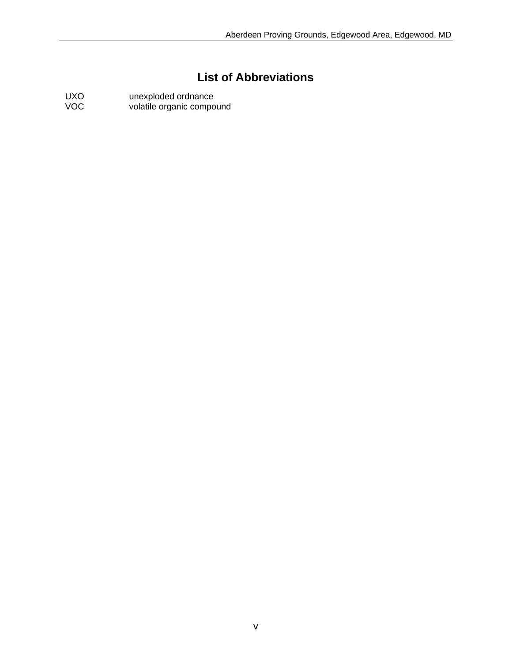# **List of Abbreviations**

UXO unexploded ordnance VOC volatile organic compound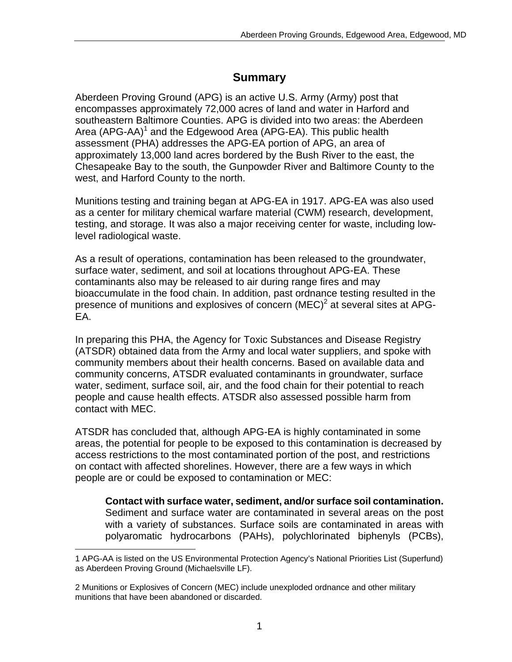# **Summary**

Aberdeen Proving Ground (APG) is an active U.S. Army (Army) post that encompasses approximately 72,000 acres of land and water in Harford and southeastern Baltimore Counties. APG is divided into two areas: the Aberdeen Area (APG-AA)<sup>1</sup> and the Edgewood Area (APG-EA). This public health assessment (PHA) addresses the APG-EA portion of APG, an area of approximately 13,000 land acres bordered by the Bush River to the east, the Chesapeake Bay to the south, the Gunpowder River and Baltimore County to the west, and Harford County to the north.

Munitions testing and training began at APG-EA in 1917. APG-EA was also used as a center for military chemical warfare material (CWM) research, development, testing, and storage. It was also a major receiving center for waste, including lowlevel radiological waste.

As a result of operations, contamination has been released to the groundwater, surface water, sediment, and soil at locations throughout APG-EA. These contaminants also may be released to air during range fires and may bioaccumulate in the food chain. In addition, past ordnance testing resulted in the presence of munitions and explosives of concern (MEC)<sup>2</sup> at several sites at APG-EA.

In preparing this PHA, the Agency for Toxic Substances and Disease Registry (ATSDR) obtained data from the Army and local water suppliers, and spoke with community members about their health concerns. Based on available data and community concerns, ATSDR evaluated contaminants in groundwater, surface water, sediment, surface soil, air, and the food chain for their potential to reach people and cause health effects. ATSDR also assessed possible harm from contact with MEC.

ATSDR has concluded that, although APG-EA is highly contaminated in some areas, the potential for people to be exposed to this contamination is decreased by access restrictions to the most contaminated portion of the post, and restrictions on contact with affected shorelines. However, there are a few ways in which people are or could be exposed to contamination or MEC:

**Contact with surface water, sediment, and/or surface soil contamination.**  Sediment and surface water are contaminated in several areas on the post with a variety of substances. Surface soils are contaminated in areas with polyaromatic hydrocarbons (PAHs), polychlorinated biphenyls (PCBs),

<sup>1</sup> APG-AA is listed on the US Environmental Protection Agency's National Priorities List (Superfund) as Aberdeen Proving Ground (Michaelsville LF).

<sup>2</sup> Munitions or Explosives of Concern (MEC) include unexploded ordnance and other military munitions that have been abandoned or discarded.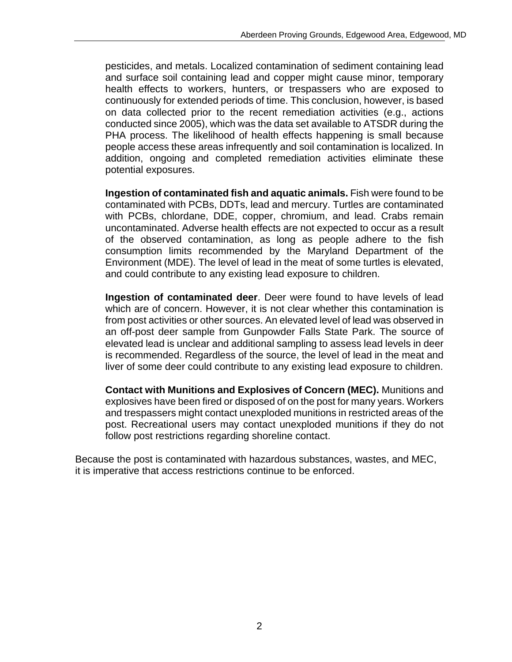pesticides, and metals. Localized contamination of sediment containing lead and surface soil containing lead and copper might cause minor, temporary health effects to workers, hunters, or trespassers who are exposed to continuously for extended periods of time. This conclusion, however, is based on data collected prior to the recent remediation activities (e.g., actions conducted since 2005), which was the data set available to ATSDR during the PHA process. The likelihood of health effects happening is small because people access these areas infrequently and soil contamination is localized. In addition, ongoing and completed remediation activities eliminate these potential exposures.

**Ingestion of contaminated fish and aquatic animals.** Fish were found to be contaminated with PCBs, DDTs, lead and mercury. Turtles are contaminated with PCBs, chlordane, DDE, copper, chromium, and lead. Crabs remain uncontaminated. Adverse health effects are not expected to occur as a result of the observed contamination, as long as people adhere to the fish consumption limits recommended by the Maryland Department of the Environment (MDE). The level of lead in the meat of some turtles is elevated, and could contribute to any existing lead exposure to children.

**Ingestion of contaminated deer**. Deer were found to have levels of lead which are of concern. However, it is not clear whether this contamination is from post activities or other sources. An elevated level of lead was observed in an off-post deer sample from Gunpowder Falls State Park. The source of elevated lead is unclear and additional sampling to assess lead levels in deer is recommended. Regardless of the source, the level of lead in the meat and liver of some deer could contribute to any existing lead exposure to children.

**Contact with Munitions and Explosives of Concern (MEC).** Munitions and explosives have been fired or disposed of on the post for many years. Workers and trespassers might contact unexploded munitions in restricted areas of the post. Recreational users may contact unexploded munitions if they do not follow post restrictions regarding shoreline contact.

Because the post is contaminated with hazardous substances, wastes, and MEC, it is imperative that access restrictions continue to be enforced.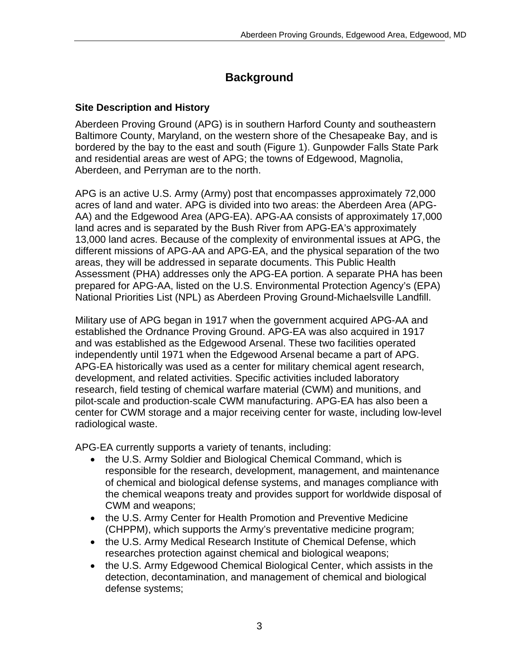# **Background**

#### **Site Description and History**

Aberdeen Proving Ground (APG) is in southern Harford County and southeastern Baltimore County, Maryland, on the western shore of the Chesapeake Bay, and is bordered by the bay to the east and south (Figure 1). Gunpowder Falls State Park and residential areas are west of APG; the towns of Edgewood, Magnolia, Aberdeen, and Perryman are to the north.

APG is an active U.S. Army (Army) post that encompasses approximately 72,000 acres of land and water. APG is divided into two areas: the Aberdeen Area (APG-AA) and the Edgewood Area (APG-EA). APG-AA consists of approximately 17,000 land acres and is separated by the Bush River from APG-EA's approximately 13,000 land acres. Because of the complexity of environmental issues at APG, the different missions of APG-AA and APG-EA, and the physical separation of the two areas, they will be addressed in separate documents. This Public Health Assessment (PHA) addresses only the APG-EA portion. A separate PHA has been prepared for APG-AA, listed on the U.S. Environmental Protection Agency's (EPA) National Priorities List (NPL) as Aberdeen Proving Ground-Michaelsville Landfill.

Military use of APG began in 1917 when the government acquired APG-AA and established the Ordnance Proving Ground. APG-EA was also acquired in 1917 and was established as the Edgewood Arsenal. These two facilities operated independently until 1971 when the Edgewood Arsenal became a part of APG. APG-EA historically was used as a center for military chemical agent research, development, and related activities. Specific activities included laboratory research, field testing of chemical warfare material (CWM) and munitions, and pilot-scale and production-scale CWM manufacturing. APG-EA has also been a center for CWM storage and a major receiving center for waste, including low-level radiological waste.

APG-EA currently supports a variety of tenants, including:

- the U.S. Army Soldier and Biological Chemical Command, which is responsible for the research, development, management, and maintenance of chemical and biological defense systems, and manages compliance with the chemical weapons treaty and provides support for worldwide disposal of CWM and weapons;
- the U.S. Army Center for Health Promotion and Preventive Medicine (CHPPM), which supports the Army's preventative medicine program;
- the U.S. Army Medical Research Institute of Chemical Defense, which researches protection against chemical and biological weapons;
- the U.S. Army Edgewood Chemical Biological Center, which assists in the detection, decontamination, and management of chemical and biological defense systems;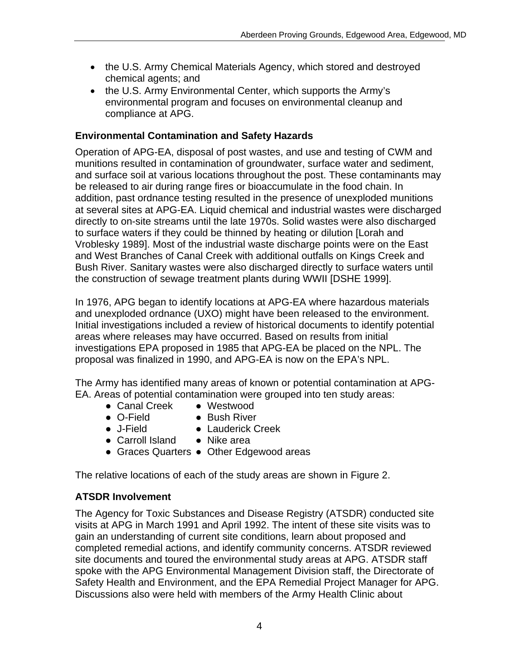- the U.S. Army Chemical Materials Agency, which stored and destroyed chemical agents; and
- the U.S. Army Environmental Center, which supports the Army's environmental program and focuses on environmental cleanup and compliance at APG.

### **Environmental Contamination and Safety Hazards**

Operation of APG-EA, disposal of post wastes, and use and testing of CWM and munitions resulted in contamination of groundwater, surface water and sediment, and surface soil at various locations throughout the post. These contaminants may be released to air during range fires or bioaccumulate in the food chain. In addition, past ordnance testing resulted in the presence of unexploded munitions at several sites at APG-EA. Liquid chemical and industrial wastes were discharged directly to on-site streams until the late 1970s. Solid wastes were also discharged to surface waters if they could be thinned by heating or dilution [Lorah and Vroblesky 1989]. Most of the industrial waste discharge points were on the East and West Branches of Canal Creek with additional outfalls on Kings Creek and Bush River. Sanitary wastes were also discharged directly to surface waters until the construction of sewage treatment plants during WWII [DSHE 1999].

In 1976, APG began to identify locations at APG-EA where hazardous materials and unexploded ordnance (UXO) might have been released to the environment. Initial investigations included a review of historical documents to identify potential areas where releases may have occurred. Based on results from initial investigations EPA proposed in 1985 that APG-EA be placed on the NPL. The proposal was finalized in 1990, and APG-EA is now on the EPA's NPL.

The Army has identified many areas of known or potential contamination at APG-EA. Areas of potential contamination were grouped into ten study areas:

- Canal Creek Westwood
- O-Field Bush River
- 
- J-Field Lauderick Creek
- Carroll Island Nike area
	-
- Graces Quarters Other Edgewood areas

The relative locations of each of the study areas are shown in Figure 2.

### **ATSDR Involvement**

The Agency for Toxic Substances and Disease Registry (ATSDR) conducted site visits at APG in March 1991 and April 1992. The intent of these site visits was to gain an understanding of current site conditions, learn about proposed and completed remedial actions, and identify community concerns. ATSDR reviewed site documents and toured the environmental study areas at APG. ATSDR staff spoke with the APG Environmental Management Division staff, the Directorate of Safety Health and Environment, and the EPA Remedial Project Manager for APG. Discussions also were held with members of the Army Health Clinic about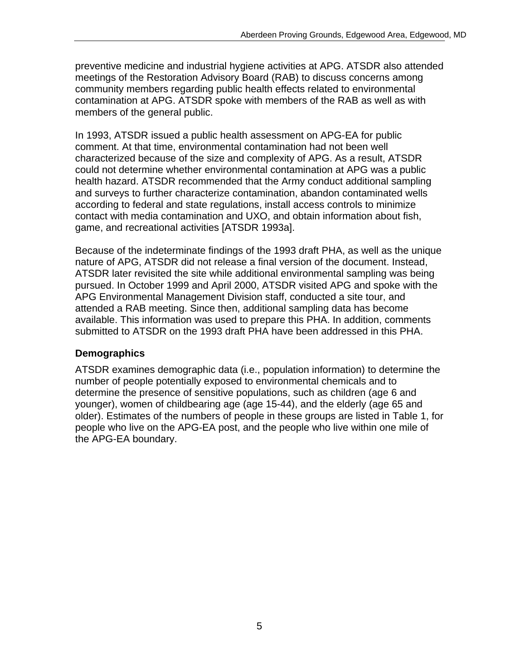preventive medicine and industrial hygiene activities at APG. ATSDR also attended meetings of the Restoration Advisory Board (RAB) to discuss concerns among community members regarding public health effects related to environmental contamination at APG. ATSDR spoke with members of the RAB as well as with members of the general public.

In 1993, ATSDR issued a public health assessment on APG-EA for public comment. At that time, environmental contamination had not been well characterized because of the size and complexity of APG. As a result, ATSDR could not determine whether environmental contamination at APG was a public health hazard. ATSDR recommended that the Army conduct additional sampling and surveys to further characterize contamination, abandon contaminated wells according to federal and state regulations, install access controls to minimize contact with media contamination and UXO, and obtain information about fish, game, and recreational activities [ATSDR 1993a].

Because of the indeterminate findings of the 1993 draft PHA, as well as the unique nature of APG, ATSDR did not release a final version of the document. Instead, ATSDR later revisited the site while additional environmental sampling was being pursued. In October 1999 and April 2000, ATSDR visited APG and spoke with the APG Environmental Management Division staff, conducted a site tour, and attended a RAB meeting. Since then, additional sampling data has become available. This information was used to prepare this PHA. In addition, comments submitted to ATSDR on the 1993 draft PHA have been addressed in this PHA.

#### **Demographics**

ATSDR examines demographic data (i.e., population information) to determine the number of people potentially exposed to environmental chemicals and to determine the presence of sensitive populations, such as children (age 6 and younger), women of childbearing age (age 15-44), and the elderly (age 65 and older). Estimates of the numbers of people in these groups are listed in Table 1, for people who live on the APG-EA post, and the people who live within one mile of the APG-EA boundary.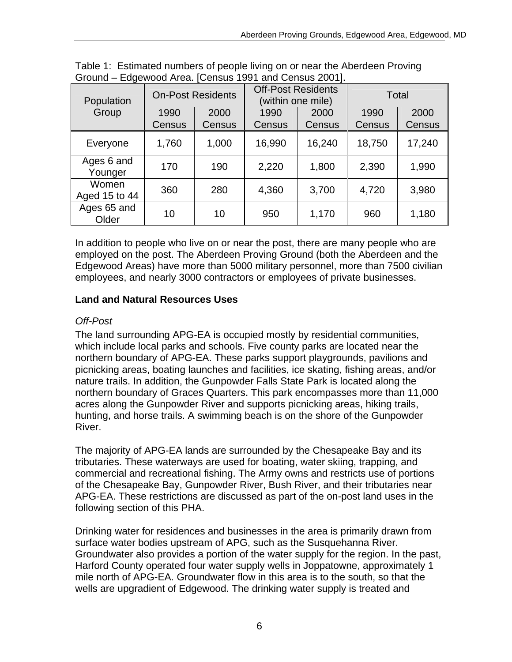| Population             | <b>On-Post Residents</b> |        | <b>Off-Post Residents</b><br>(within one mile) |        | Total  |        |
|------------------------|--------------------------|--------|------------------------------------------------|--------|--------|--------|
| Group                  | 1990                     | 2000   | 1990                                           | 2000   | 1990   | 2000   |
|                        | Census                   | Census | Census                                         | Census | Census | Census |
| Everyone               | 1,760                    | 1,000  | 16,990                                         | 16,240 | 18,750 | 17,240 |
| Ages 6 and<br>Younger  | 170                      | 190    | 2,220                                          | 1,800  | 2,390  | 1,990  |
| Women<br>Aged 15 to 44 | 360                      | 280    | 4,360                                          | 3,700  | 4,720  | 3,980  |
| Ages 65 and<br>Older   | 10                       | 10     | 950                                            | 1,170  | 960    | 1,180  |

| Table 1: Estimated numbers of people living on or near the Aberdeen Proving |  |  |
|-----------------------------------------------------------------------------|--|--|
| Ground – Edgewood Area. [Census 1991 and Census 2001].                      |  |  |

In addition to people who live on or near the post, there are many people who are employed on the post. The Aberdeen Proving Ground (both the Aberdeen and the Edgewood Areas) have more than 5000 military personnel, more than 7500 civilian employees, and nearly 3000 contractors or employees of private businesses.

### **Land and Natural Resources Uses**

### *Off-Post*

The land surrounding APG-EA is occupied mostly by residential communities, which include local parks and schools. Five county parks are located near the northern boundary of APG-EA. These parks support playgrounds, pavilions and picnicking areas, boating launches and facilities, ice skating, fishing areas, and/or nature trails. In addition, the Gunpowder Falls State Park is located along the northern boundary of Graces Quarters. This park encompasses more than 11,000 acres along the Gunpowder River and supports picnicking areas, hiking trails, hunting, and horse trails. A swimming beach is on the shore of the Gunpowder River.

The majority of APG-EA lands are surrounded by the Chesapeake Bay and its tributaries. These waterways are used for boating, water skiing, trapping, and commercial and recreational fishing. The Army owns and restricts use of portions of the Chesapeake Bay, Gunpowder River, Bush River, and their tributaries near APG-EA. These restrictions are discussed as part of the on-post land uses in the following section of this PHA.

Drinking water for residences and businesses in the area is primarily drawn from surface water bodies upstream of APG, such as the Susquehanna River. Groundwater also provides a portion of the water supply for the region. In the past, Harford County operated four water supply wells in Joppatowne, approximately 1 mile north of APG-EA. Groundwater flow in this area is to the south, so that the wells are upgradient of Edgewood. The drinking water supply is treated and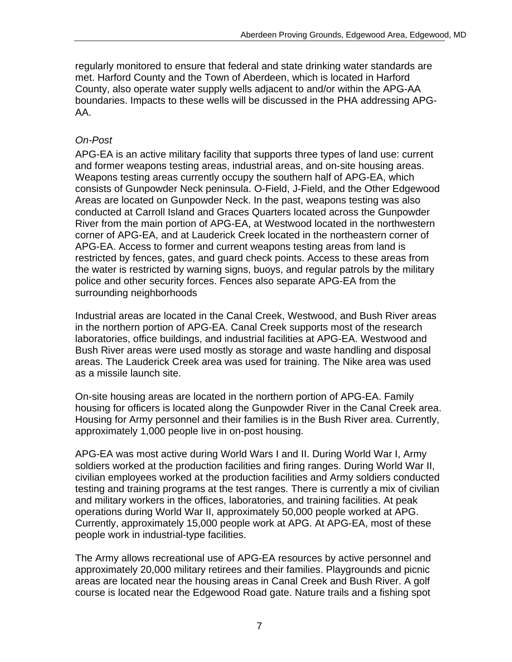regularly monitored to ensure that federal and state drinking water standards are met. Harford County and the Town of Aberdeen, which is located in Harford County, also operate water supply wells adjacent to and/or within the APG-AA boundaries. Impacts to these wells will be discussed in the PHA addressing APG-AA.

#### *On-Post*

APG-EA is an active military facility that supports three types of land use: current and former weapons testing areas, industrial areas, and on-site housing areas. Weapons testing areas currently occupy the southern half of APG-EA, which consists of Gunpowder Neck peninsula. O-Field, J-Field, and the Other Edgewood Areas are located on Gunpowder Neck. In the past, weapons testing was also conducted at Carroll Island and Graces Quarters located across the Gunpowder River from the main portion of APG-EA, at Westwood located in the northwestern corner of APG-EA, and at Lauderick Creek located in the northeastern corner of APG-EA. Access to former and current weapons testing areas from land is restricted by fences, gates, and guard check points. Access to these areas from the water is restricted by warning signs, buoys, and regular patrols by the military police and other security forces. Fences also separate APG-EA from the surrounding neighborhoods

Industrial areas are located in the Canal Creek, Westwood, and Bush River areas in the northern portion of APG-EA. Canal Creek supports most of the research laboratories, office buildings, and industrial facilities at APG-EA. Westwood and Bush River areas were used mostly as storage and waste handling and disposal areas. The Lauderick Creek area was used for training. The Nike area was used as a missile launch site.

On-site housing areas are located in the northern portion of APG-EA. Family housing for officers is located along the Gunpowder River in the Canal Creek area. Housing for Army personnel and their families is in the Bush River area. Currently, approximately 1,000 people live in on-post housing.

APG-EA was most active during World Wars I and II. During World War I, Army soldiers worked at the production facilities and firing ranges. During World War II, civilian employees worked at the production facilities and Army soldiers conducted testing and training programs at the test ranges. There is currently a mix of civilian and military workers in the offices, laboratories, and training facilities. At peak operations during World War II, approximately 50,000 people worked at APG. Currently, approximately 15,000 people work at APG. At APG-EA, most of these people work in industrial-type facilities.

The Army allows recreational use of APG-EA resources by active personnel and approximately 20,000 military retirees and their families. Playgrounds and picnic areas are located near the housing areas in Canal Creek and Bush River. A golf course is located near the Edgewood Road gate. Nature trails and a fishing spot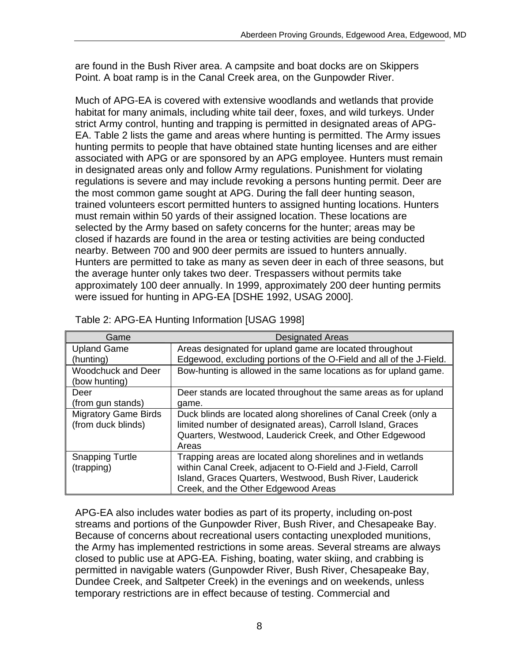are found in the Bush River area. A campsite and boat docks are on Skippers Point. A boat ramp is in the Canal Creek area, on the Gunpowder River.

Much of APG-EA is covered with extensive woodlands and wetlands that provide habitat for many animals, including white tail deer, foxes, and wild turkeys. Under strict Army control, hunting and trapping is permitted in designated areas of APG-EA. Table 2 lists the game and areas where hunting is permitted. The Army issues hunting permits to people that have obtained state hunting licenses and are either associated with APG or are sponsored by an APG employee. Hunters must remain in designated areas only and follow Army regulations. Punishment for violating regulations is severe and may include revoking a persons hunting permit. Deer are the most common game sought at APG. During the fall deer hunting season, trained volunteers escort permitted hunters to assigned hunting locations. Hunters must remain within 50 yards of their assigned location. These locations are selected by the Army based on safety concerns for the hunter; areas may be closed if hazards are found in the area or testing activities are being conducted nearby. Between 700 and 900 deer permits are issued to hunters annually. Hunters are permitted to take as many as seven deer in each of three seasons, but the average hunter only takes two deer. Trespassers without permits take approximately 100 deer annually. In 1999, approximately 200 deer hunting permits were issued for hunting in APG-EA [DSHE 1992, USAG 2000].

| Game                                       | <b>Designated Areas</b>                                             |
|--------------------------------------------|---------------------------------------------------------------------|
| <b>Upland Game</b>                         | Areas designated for upland game are located throughout             |
| (hunting)                                  | Edgewood, excluding portions of the O-Field and all of the J-Field. |
| <b>Woodchuck and Deer</b><br>(bow hunting) | Bow-hunting is allowed in the same locations as for upland game.    |
| Deer                                       | Deer stands are located throughout the same areas as for upland     |
| (from gun stands)                          | game.                                                               |
| <b>Migratory Game Birds</b>                | Duck blinds are located along shorelines of Canal Creek (only a     |
| (from duck blinds)                         | limited number of designated areas), Carroll Island, Graces         |
|                                            | Quarters, Westwood, Lauderick Creek, and Other Edgewood             |
|                                            | Areas                                                               |
| <b>Snapping Turtle</b>                     | Trapping areas are located along shorelines and in wetlands         |
| (trapping)                                 | within Canal Creek, adjacent to O-Field and J-Field, Carroll        |
|                                            | Island, Graces Quarters, Westwood, Bush River, Lauderick            |
|                                            | Creek, and the Other Edgewood Areas                                 |

Table 2: APG-EA Hunting Information [USAG 1998]

APG-EA also includes water bodies as part of its property, including on-post streams and portions of the Gunpowder River, Bush River, and Chesapeake Bay. Because of concerns about recreational users contacting unexploded munitions, the Army has implemented restrictions in some areas. Several streams are always closed to public use at APG-EA. Fishing, boating, water skiing, and crabbing is permitted in navigable waters (Gunpowder River, Bush River, Chesapeake Bay, Dundee Creek, and Saltpeter Creek) in the evenings and on weekends, unless temporary restrictions are in effect because of testing. Commercial and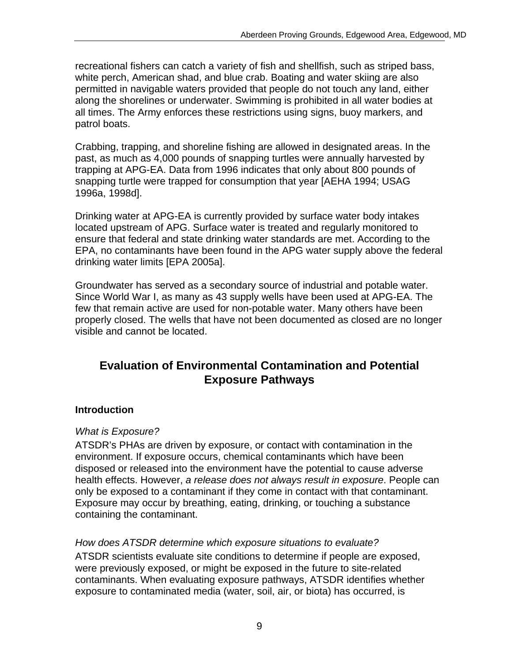recreational fishers can catch a variety of fish and shellfish, such as striped bass, white perch, American shad, and blue crab. Boating and water skiing are also permitted in navigable waters provided that people do not touch any land, either along the shorelines or underwater. Swimming is prohibited in all water bodies at all times. The Army enforces these restrictions using signs, buoy markers, and patrol boats.

Crabbing, trapping, and shoreline fishing are allowed in designated areas. In the past, as much as 4,000 pounds of snapping turtles were annually harvested by trapping at APG-EA. Data from 1996 indicates that only about 800 pounds of snapping turtle were trapped for consumption that year [AEHA 1994; USAG 1996a, 1998d].

Drinking water at APG-EA is currently provided by surface water body intakes located upstream of APG. Surface water is treated and regularly monitored to ensure that federal and state drinking water standards are met. According to the EPA, no contaminants have been found in the APG water supply above the federal drinking water limits [EPA 2005a].

Groundwater has served as a secondary source of industrial and potable water. Since World War I, as many as 43 supply wells have been used at APG-EA. The few that remain active are used for non-potable water. Many others have been properly closed. The wells that have not been documented as closed are no longer visible and cannot be located.

# **Evaluation of Environmental Contamination and Potential Exposure Pathways**

#### **Introduction**

#### *What is Exposure?*

ATSDR's PHAs are driven by exposure, or contact with contamination in the environment. If exposure occurs, chemical contaminants which have been disposed or released into the environment have the potential to cause adverse health effects. However, *a release does not always result in exposure*. People can only be exposed to a contaminant if they come in contact with that contaminant. Exposure may occur by breathing, eating, drinking, or touching a substance containing the contaminant.

#### *How does ATSDR determine which exposure situations to evaluate?*

ATSDR scientists evaluate site conditions to determine if people are exposed, were previously exposed, or might be exposed in the future to site-related contaminants. When evaluating exposure pathways, ATSDR identifies whether exposure to contaminated media (water, soil, air, or biota) has occurred, is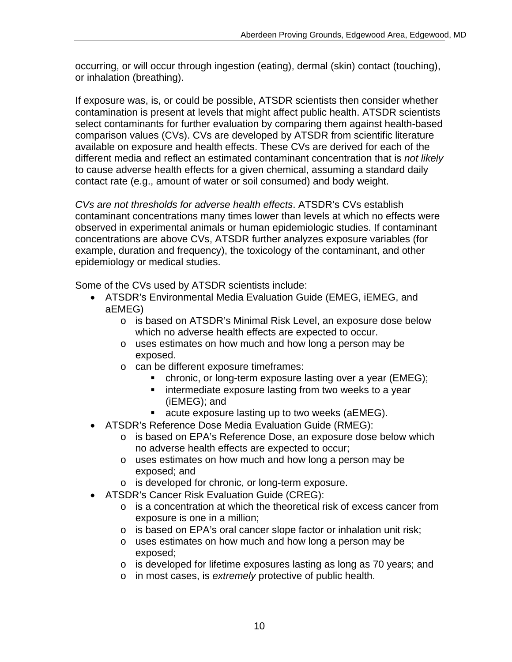occurring, or will occur through ingestion (eating), dermal (skin) contact (touching), or inhalation (breathing).

If exposure was, is, or could be possible, ATSDR scientists then consider whether contamination is present at levels that might affect public health. ATSDR scientists select contaminants for further evaluation by comparing them against health-based comparison values (CVs). CVs are developed by ATSDR from scientific literature available on exposure and health effects. These CVs are derived for each of the different media and reflect an estimated contaminant concentration that is *not likely*  to cause adverse health effects for a given chemical, assuming a standard daily contact rate (e.g., amount of water or soil consumed) and body weight.

*CVs are not thresholds for adverse health effects*. ATSDR's CVs establish contaminant concentrations many times lower than levels at which no effects were observed in experimental animals or human epidemiologic studies. If contaminant concentrations are above CVs, ATSDR further analyzes exposure variables (for example, duration and frequency), the toxicology of the contaminant, and other epidemiology or medical studies.

Some of the CVs used by ATSDR scientists include:

- ATSDR's Environmental Media Evaluation Guide (EMEG, iEMEG, and aEMEG)
	- o is based on ATSDR's Minimal Risk Level, an exposure dose below which no adverse health effects are expected to occur.
	- o uses estimates on how much and how long a person may be exposed.
	- o can be different exposure timeframes:
		- **•** chronic, or long-term exposure lasting over a year (EMEG);
		- **EXTER** intermediate exposure lasting from two weeks to a year (iEMEG); and
		- acute exposure lasting up to two weeks (aEMEG).
- ATSDR's Reference Dose Media Evaluation Guide (RMEG):
	- o is based on EPA's Reference Dose, an exposure dose below which no adverse health effects are expected to occur;
	- o uses estimates on how much and how long a person may be exposed; and
	- o is developed for chronic, or long-term exposure.
- • ATSDR's Cancer Risk Evaluation Guide (CREG):
	- $\circ$  is a concentration at which the theoretical risk of excess cancer from exposure is one in a million;
	- $\circ$  is based on EPA's oral cancer slope factor or inhalation unit risk;
	- o uses estimates on how much and how long a person may be exposed;
	- $\circ$  is developed for lifetime exposures lasting as long as 70 years; and
	- o in most cases, is *extremely* protective of public health.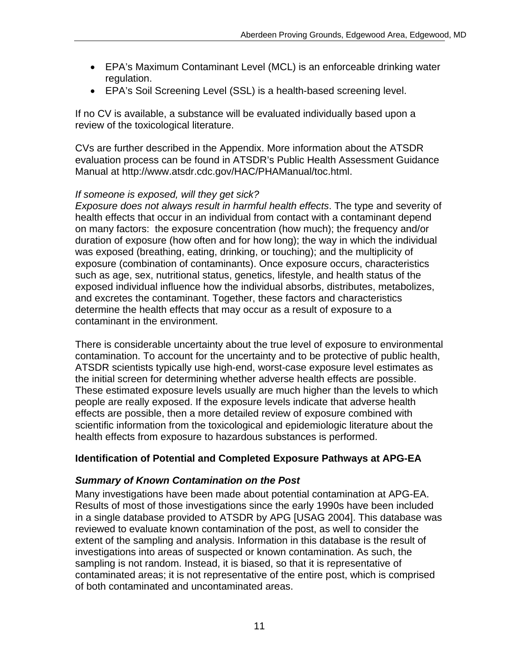- EPA's Maximum Contaminant Level (MCL) is an enforceable drinking water regulation.
- EPA's Soil Screening Level (SSL) is a health-based screening level.

If no CV is available, a substance will be evaluated individually based upon a review of the toxicological literature.

CVs are further described in the Appendix. More information about the ATSDR evaluation process can be found in ATSDR's Public Health Assessment Guidance Manual at http://www.atsdr.cdc.gov/HAC/PHAManual/toc.html.

#### *If someone is exposed, will they get sick?*

*Exposure does not always result in harmful health effects*. The type and severity of health effects that occur in an individual from contact with a contaminant depend on many factors: the exposure concentration (how much); the frequency and/or duration of exposure (how often and for how long); the way in which the individual was exposed (breathing, eating, drinking, or touching); and the multiplicity of exposure (combination of contaminants). Once exposure occurs, characteristics such as age, sex, nutritional status, genetics, lifestyle, and health status of the exposed individual influence how the individual absorbs, distributes, metabolizes, and excretes the contaminant. Together, these factors and characteristics determine the health effects that may occur as a result of exposure to a contaminant in the environment.

There is considerable uncertainty about the true level of exposure to environmental contamination. To account for the uncertainty and to be protective of public health, ATSDR scientists typically use high-end, worst-case exposure level estimates as the initial screen for determining whether adverse health effects are possible. These estimated exposure levels usually are much higher than the levels to which people are really exposed. If the exposure levels indicate that adverse health effects are possible, then a more detailed review of exposure combined with scientific information from the toxicological and epidemiologic literature about the health effects from exposure to hazardous substances is performed.

### **Identification of Potential and Completed Exposure Pathways at APG-EA**

#### *Summary of Known Contamination on the Post*

Many investigations have been made about potential contamination at APG-EA. Results of most of those investigations since the early 1990s have been included in a single database provided to ATSDR by APG [USAG 2004]. This database was reviewed to evaluate known contamination of the post, as well to consider the extent of the sampling and analysis. Information in this database is the result of investigations into areas of suspected or known contamination. As such, the sampling is not random. Instead, it is biased, so that it is representative of contaminated areas; it is not representative of the entire post, which is comprised of both contaminated and uncontaminated areas.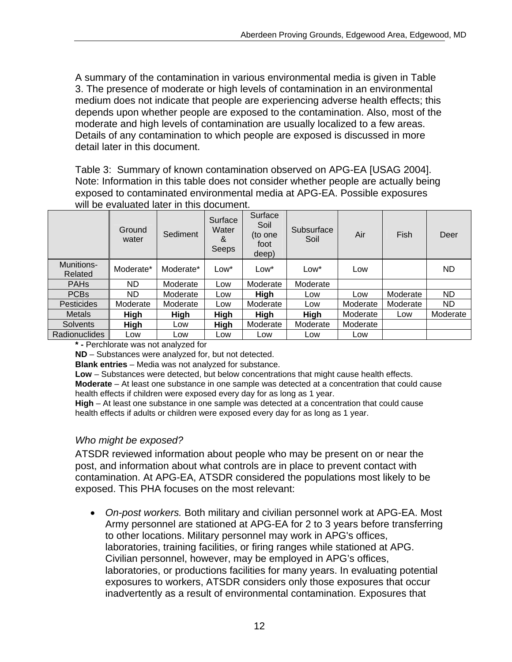A summary of the contamination in various environmental media is given in Table 3. The presence of moderate or high levels of contamination in an environmental medium does not indicate that people are experiencing adverse health effects; this depends upon whether people are exposed to the contamination. Also, most of the moderate and high levels of contamination are usually localized to a few areas. Details of any contamination to which people are exposed is discussed in more detail later in this document.

Table 3: Summary of known contamination observed on APG-EA [USAG 2004]. Note: Information in this table does not consider whether people are actually being exposed to contaminated environmental media at APG-EA. Possible exposures will be evaluated later in this document.

|                       | Ground<br>water | Sediment    | Surface<br>Water<br>&<br>Seeps | Surface<br>Soil<br>(to one<br>foot<br>deep) | Subsurface<br>Soil | Air      | Fish     | Deer      |
|-----------------------|-----------------|-------------|--------------------------------|---------------------------------------------|--------------------|----------|----------|-----------|
| Munitions-<br>Related | Moderate*       | Moderate*   | Low*                           | Low*                                        | Low <sup>*</sup>   | Low      |          | <b>ND</b> |
| <b>PAHs</b>           | ND.             | Moderate    | Low                            | Moderate                                    | Moderate           |          |          |           |
| <b>PCBs</b>           | ND.             | Moderate    | Low                            | High                                        | Low                | Low      | Moderate | <b>ND</b> |
| <b>Pesticides</b>     | Moderate        | Moderate    | Low                            | Moderate                                    | Low                | Moderate | Moderate | ND.       |
| <b>Metals</b>         | <b>High</b>     | <b>High</b> | <b>High</b>                    | <b>High</b>                                 | High               | Moderate | Low      | Moderate  |
| <b>Solvents</b>       | <b>High</b>     | Low         | High                           | Moderate                                    | Moderate           | Moderate |          |           |
| <b>Radionuclides</b>  | Low             | Low         | Low                            | Low                                         | Low                | Low      |          |           |

**\* -** Perchlorate was not analyzed for

**ND** – Substances were analyzed for, but not detected.

**Blank entries** – Media was not analyzed for substance.

**Low** – Substances were detected, but below concentrations that might cause health effects. **Moderate** – At least one substance in one sample was detected at a concentration that could cause health effects if children were exposed every day for as long as 1 year.

**High** – At least one substance in one sample was detected at a concentration that could cause health effects if adults or children were exposed every day for as long as 1 year.

#### *Who might be exposed?*

ATSDR reviewed information about people who may be present on or near the post, and information about what controls are in place to prevent contact with contamination. At APG-EA, ATSDR considered the populations most likely to be exposed. This PHA focuses on the most relevant:

• *On-post workers.* Both military and civilian personnel work at APG-EA. Most Army personnel are stationed at APG-EA for 2 to 3 years before transferring to other locations. Military personnel may work in APG's offices, laboratories, training facilities, or firing ranges while stationed at APG. Civilian personnel, however, may be employed in APG's offices, laboratories, or productions facilities for many years. In evaluating potential exposures to workers, ATSDR considers only those exposures that occur inadvertently as a result of environmental contamination. Exposures that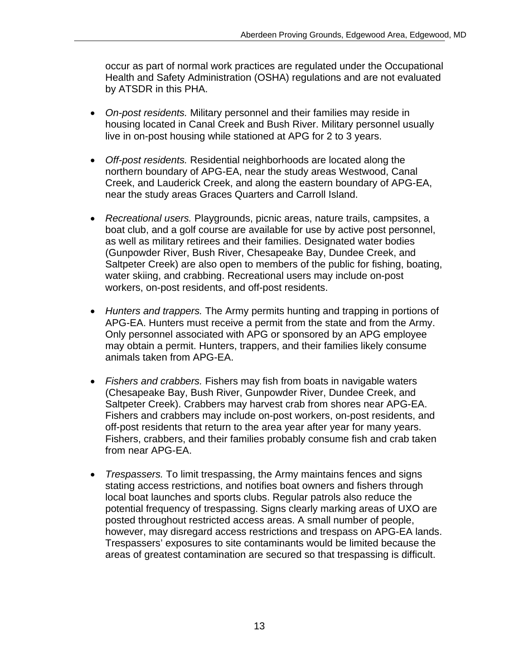occur as part of normal work practices are regulated under the Occupational Health and Safety Administration (OSHA) regulations and are not evaluated by ATSDR in this PHA.

- On-post residents. Military personnel and their families may reside in housing located in Canal Creek and Bush River. Military personnel usually live in on-post housing while stationed at APG for 2 to 3 years.
- • *Off-post residents.* Residential neighborhoods are located along the northern boundary of APG-EA, near the study areas Westwood, Canal Creek, and Lauderick Creek, and along the eastern boundary of APG-EA, near the study areas Graces Quarters and Carroll Island.
- • *Recreational users.* Playgrounds, picnic areas, nature trails, campsites, a boat club, and a golf course are available for use by active post personnel, as well as military retirees and their families. Designated water bodies (Gunpowder River, Bush River, Chesapeake Bay, Dundee Creek, and Saltpeter Creek) are also open to members of the public for fishing, boating, water skiing, and crabbing. Recreational users may include on-post workers, on-post residents, and off-post residents.
- • *Hunters and trappers.* The Army permits hunting and trapping in portions of APG-EA. Hunters must receive a permit from the state and from the Army. Only personnel associated with APG or sponsored by an APG employee may obtain a permit. Hunters, trappers, and their families likely consume animals taken from APG-EA.
- • *Fishers and crabbers.* Fishers may fish from boats in navigable waters (Chesapeake Bay, Bush River, Gunpowder River, Dundee Creek, and Saltpeter Creek). Crabbers may harvest crab from shores near APG-EA. Fishers and crabbers may include on-post workers, on-post residents, and off-post residents that return to the area year after year for many years. Fishers, crabbers, and their families probably consume fish and crab taken from near APG-EA.
- *Trespassers.* To limit trespassing, the Army maintains fences and signs stating access restrictions, and notifies boat owners and fishers through local boat launches and sports clubs. Regular patrols also reduce the potential frequency of trespassing. Signs clearly marking areas of UXO are posted throughout restricted access areas. A small number of people, however, may disregard access restrictions and trespass on APG-EA lands. Trespassers' exposures to site contaminants would be limited because the areas of greatest contamination are secured so that trespassing is difficult.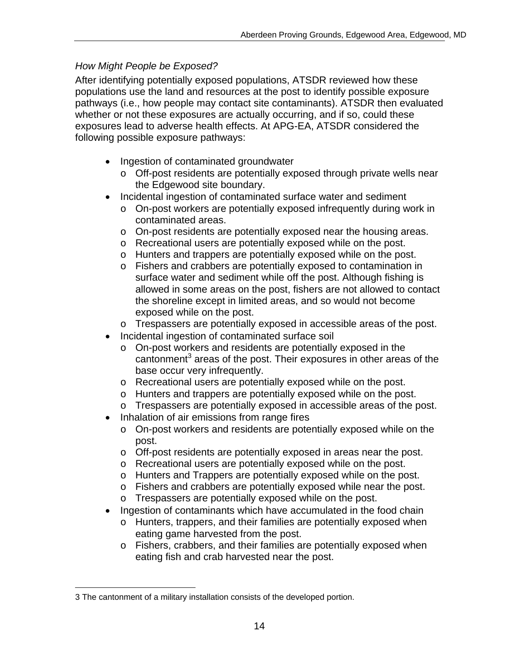### *How Might People be Exposed?*

After identifying potentially exposed populations, ATSDR reviewed how these populations use the land and resources at the post to identify possible exposure pathways (i.e., how people may contact site contaminants). ATSDR then evaluated whether or not these exposures are actually occurring, and if so, could these exposures lead to adverse health effects. At APG-EA, ATSDR considered the following possible exposure pathways:

- Ingestion of contaminated groundwater
	- $\circ$  Off-post residents are potentially exposed through private wells near the Edgewood site boundary.
- Incidental ingestion of contaminated surface water and sediment
	- o On-post workers are potentially exposed infrequently during work in contaminated areas.
	- o On-post residents are potentially exposed near the housing areas.
	- o Recreational users are potentially exposed while on the post.
	- o Hunters and trappers are potentially exposed while on the post.
	- o Fishers and crabbers are potentially exposed to contamination in surface water and sediment while off the post. Although fishing is allowed in some areas on the post, fishers are not allowed to contact the shoreline except in limited areas, and so would not become exposed while on the post.
	- o Trespassers are potentially exposed in accessible areas of the post.
- Incidental ingestion of contaminated surface soil
	- o On-post workers and residents are potentially exposed in the cantonment<sup>3</sup> areas of the post. Their exposures in other areas of the base occur very infrequently.
	- o Recreational users are potentially exposed while on the post.
	- o Hunters and trappers are potentially exposed while on the post.
	- o Trespassers are potentially exposed in accessible areas of the post.
- Inhalation of air emissions from range fires
	- o On-post workers and residents are potentially exposed while on the post.
	- o Off-post residents are potentially exposed in areas near the post.
	- o Recreational users are potentially exposed while on the post.
	- o Hunters and Trappers are potentially exposed while on the post.
	- o Fishers and crabbers are potentially exposed while near the post.
	- o Trespassers are potentially exposed while on the post.
- Ingestion of contaminants which have accumulated in the food chain
	- o Hunters, trappers, and their families are potentially exposed when eating game harvested from the post.
	- o Fishers, crabbers, and their families are potentially exposed when eating fish and crab harvested near the post.

<sup>3</sup> The cantonment of a military installation consists of the developed portion.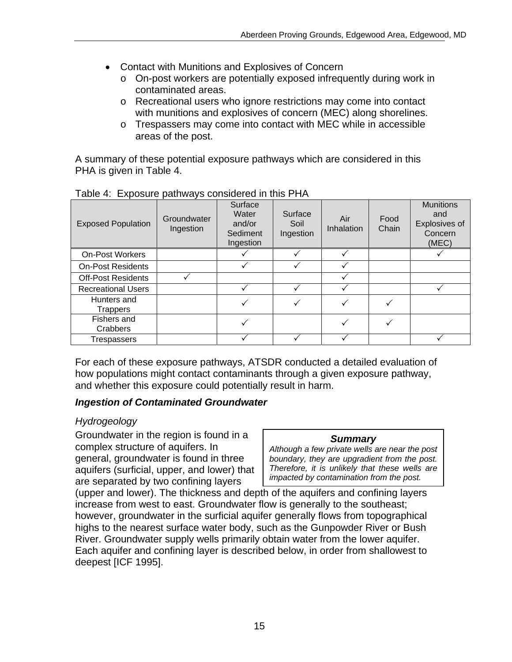- Contact with Munitions and Explosives of Concern
	- o On-post workers are potentially exposed infrequently during work in contaminated areas.
	- o Recreational users who ignore restrictions may come into contact with munitions and explosives of concern (MEC) along shorelines.
	- $\circ$  Trespassers may come into contact with MEC while in accessible areas of the post.

A summary of these potential exposure pathways which are considered in this PHA is given in Table 4.

| <b>Exposed Population</b> | <b>Groundwater</b><br>Ingestion | Surface<br>Water<br>and/or<br>Sediment<br>Ingestion | Surface<br>Soil<br>Ingestion | Air<br>Inhalation | Food<br>Chain | <b>Munitions</b><br>and<br>Explosives of<br>Concern<br>(MEC) |
|---------------------------|---------------------------------|-----------------------------------------------------|------------------------------|-------------------|---------------|--------------------------------------------------------------|
| <b>On-Post Workers</b>    |                                 |                                                     |                              |                   |               |                                                              |
| <b>On-Post Residents</b>  |                                 |                                                     |                              |                   |               |                                                              |
| <b>Off-Post Residents</b> |                                 |                                                     |                              |                   |               |                                                              |
| <b>Recreational Users</b> |                                 |                                                     |                              |                   |               |                                                              |
| Hunters and<br>Trappers   |                                 |                                                     |                              |                   |               |                                                              |
| Fishers and<br>Crabbers   |                                 |                                                     |                              |                   |               |                                                              |
| Trespassers               |                                 |                                                     |                              |                   |               |                                                              |

Table 4: Exposure pathways considered in this PHA

For each of these exposure pathways, ATSDR conducted a detailed evaluation of how populations might contact contaminants through a given exposure pathway, and whether this exposure could potentially result in harm.

#### *Ingestion of Contaminated Groundwater*

### *Hydrogeology*

Groundwater in the region is found in a *Summary* complex structure of aquifers. In *Although a few private wells are near the post*  general, groundwater is found in three <br>aquifers (surficial upper and lower) that Therefore, it is unlikely that these wells are aquifers (surficial, upper, and lower) that *Therefore, it is unlikely that these wells are*  are separated by two confining layers.

(upper and lower). The thickness and depth of the aquifers and confining layers increase from west to east. Groundwater flow is generally to the southeast; however, groundwater in the surficial aquifer generally flows from topographical highs to the nearest surface water body, such as the Gunpowder River or Bush River. Groundwater supply wells primarily obtain water from the lower aquifer. Each aquifer and confining layer is described below, in order from shallowest to deepest [ICF 1995].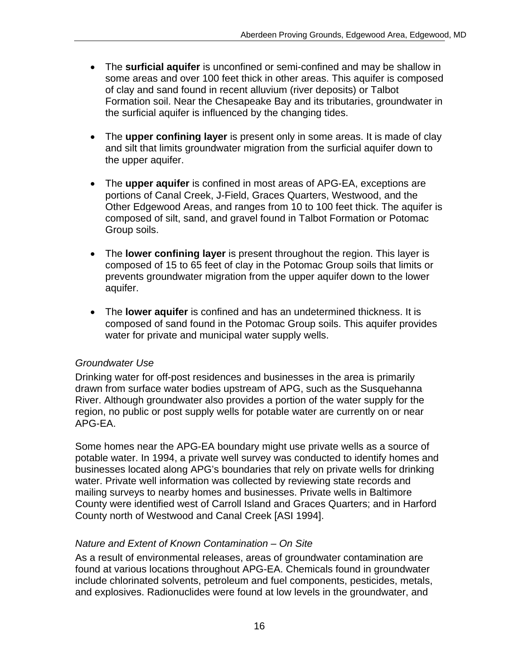- The **surficial aquifer** is unconfined or semi-confined and may be shallow in some areas and over 100 feet thick in other areas. This aquifer is composed of clay and sand found in recent alluvium (river deposits) or Talbot Formation soil. Near the Chesapeake Bay and its tributaries, groundwater in the surficial aquifer is influenced by the changing tides.
- The **upper confining layer** is present only in some areas. It is made of clay and silt that limits groundwater migration from the surficial aquifer down to the upper aquifer.
- The **upper aquifer** is confined in most areas of APG-EA, exceptions are portions of Canal Creek, J-Field, Graces Quarters, Westwood, and the Other Edgewood Areas, and ranges from 10 to 100 feet thick. The aquifer is composed of silt, sand, and gravel found in Talbot Formation or Potomac Group soils.
- The **lower confining layer** is present throughout the region. This layer is composed of 15 to 65 feet of clay in the Potomac Group soils that limits or prevents groundwater migration from the upper aquifer down to the lower aquifer.
- The **lower aquifer** is confined and has an undetermined thickness. It is composed of sand found in the Potomac Group soils. This aquifer provides water for private and municipal water supply wells.

#### *Groundwater Use*

Drinking water for off-post residences and businesses in the area is primarily drawn from surface water bodies upstream of APG, such as the Susquehanna River. Although groundwater also provides a portion of the water supply for the region, no public or post supply wells for potable water are currently on or near APG-EA.

Some homes near the APG-EA boundary might use private wells as a source of potable water. In 1994, a private well survey was conducted to identify homes and businesses located along APG's boundaries that rely on private wells for drinking water. Private well information was collected by reviewing state records and mailing surveys to nearby homes and businesses. Private wells in Baltimore County were identified west of Carroll Island and Graces Quarters; and in Harford County north of Westwood and Canal Creek [ASI 1994].

#### *Nature and Extent of Known Contamination – On Site*

As a result of environmental releases, areas of groundwater contamination are found at various locations throughout APG-EA. Chemicals found in groundwater include chlorinated solvents, petroleum and fuel components, pesticides, metals, and explosives. Radionuclides were found at low levels in the groundwater, and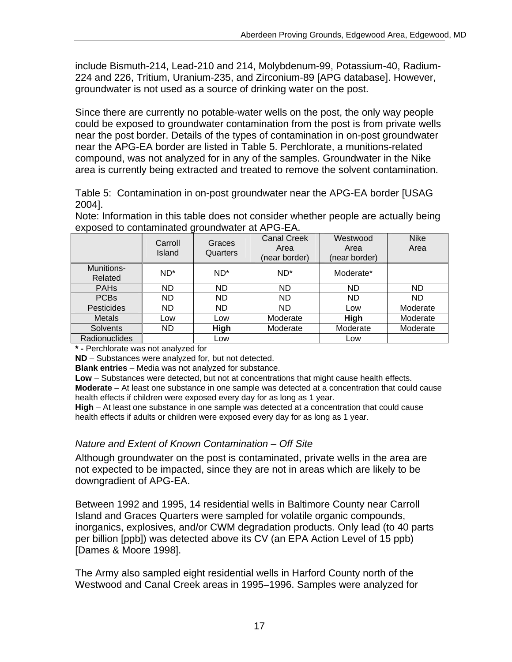include Bismuth-214, Lead-210 and 214, Molybdenum-99, Potassium-40, Radium-224 and 226, Tritium, Uranium-235, and Zirconium-89 [APG database]. However, groundwater is not used as a source of drinking water on the post.

Since there are currently no potable-water wells on the post, the only way people could be exposed to groundwater contamination from the post is from private wells near the post border. Details of the types of contamination in on-post groundwater near the APG-EA border are listed in Table 5. Perchlorate, a munitions-related compound, was not analyzed for in any of the samples. Groundwater in the Nike area is currently being extracted and treated to remove the solvent contamination.

Table 5: Contamination in on-post groundwater near the APG-EA border [USAG 2004].

Note: Information in this table does not consider whether people are actually being exposed to contaminated groundwater at APG-EA.

|                       | ັ<br>Carroll<br>Island | Graces<br>Quarters | <b>Canal Creek</b><br>Area<br>(near border) | Westwood<br>Area<br>(near border) | <b>Nike</b><br>Area |
|-----------------------|------------------------|--------------------|---------------------------------------------|-----------------------------------|---------------------|
| Munitions-<br>Related | $ND^*$                 | $ND^*$             | $ND^*$                                      | Moderate*                         |                     |
| <b>PAHs</b>           | <b>ND</b>              | <b>ND</b>          | <b>ND</b>                                   | ND.                               | <b>ND</b>           |
| <b>PCBs</b>           | <b>ND</b>              | ND                 | <b>ND</b>                                   | <b>ND</b>                         | <b>ND</b>           |
| <b>Pesticides</b>     | <b>ND</b>              | ND                 | <b>ND</b>                                   | Low                               | Moderate            |
| <b>Metals</b>         | Low                    | Low                | Moderate                                    | High                              | Moderate            |
| <b>Solvents</b>       | <b>ND</b>              | High               | Moderate                                    | Moderate                          | Moderate            |
| <b>Radionuclides</b>  |                        | Low                |                                             | Low                               |                     |

**\* -** Perchlorate was not analyzed for

**ND** – Substances were analyzed for, but not detected.

**Blank entries** – Media was not analyzed for substance.

**Low** – Substances were detected, but not at concentrations that might cause health effects.

**Moderate** – At least one substance in one sample was detected at a concentration that could cause health effects if children were exposed every day for as long as 1 year.

**High** – At least one substance in one sample was detected at a concentration that could cause health effects if adults or children were exposed every day for as long as 1 year.

#### *Nature and Extent of Known Contamination – Off Site*

Although groundwater on the post is contaminated, private wells in the area are not expected to be impacted, since they are not in areas which are likely to be downgradient of APG-EA.

Between 1992 and 1995, 14 residential wells in Baltimore County near Carroll Island and Graces Quarters were sampled for volatile organic compounds, inorganics, explosives, and/or CWM degradation products. Only lead (to 40 parts per billion [ppb]) was detected above its CV (an EPA Action Level of 15 ppb) [Dames & Moore 1998].

The Army also sampled eight residential wells in Harford County north of the Westwood and Canal Creek areas in 1995–1996. Samples were analyzed for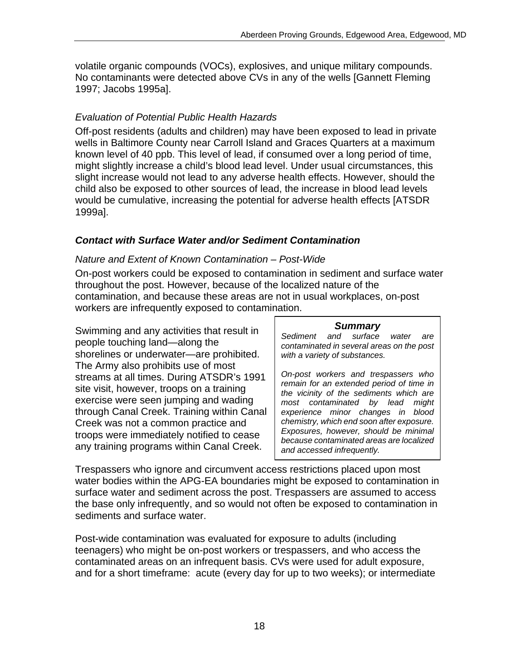volatile organic compounds (VOCs), explosives, and unique military compounds. No contaminants were detected above CVs in any of the wells [Gannett Fleming 1997; Jacobs 1995a].

#### *Evaluation of Potential Public Health Hazards*

Off-post residents (adults and children) may have been exposed to lead in private wells in Baltimore County near Carroll Island and Graces Quarters at a maximum known level of 40 ppb. This level of lead, if consumed over a long period of time, might slightly increase a child's blood lead level. Under usual circumstances, this slight increase would not lead to any adverse health effects. However, should the child also be exposed to other sources of lead, the increase in blood lead levels would be cumulative, increasing the potential for adverse health effects [ATSDR 1999a].

#### *Contact with Surface Water and/or Sediment Contamination*

#### *Nature and Extent of Known Contamination – Post-Wide*

On-post workers could be exposed to contamination in sediment and surface water throughout the post. However, because of the localized nature of the contamination, and because these areas are not in usual workplaces, on-post workers are infrequently exposed to contamination.

*Summary* Swimming and any activities that result in *Sediment and surface water are* people touching land—along the *contaminated in several areas on the post*  shorelines or underwater—are prohibited. *with a variety of substances.*  The Army also prohibits use of most<br>streams at all times. During ATSDR's 1991<br>site visit, however, troops on a training<br>exercise were seen jumping and wading<br> $\begin{array}{c|c|c|c|c} \text{On-post} & \text{workers} & \text{and} & \text{trespasses} & \text{who} \\ \text{site visit, however, troops on a training} &$ through Canal Creek. Training within Canal *experience minor changes in blood*  Creek was not a common practice and *chemistry, which end soon after exposure. Exposures, however, should be minimal* troops were immediately notified to cease *because contaminated areas are localized* any training programs within Canal Creek. *and accessed infrequently.* 

Trespassers who ignore and circumvent access restrictions placed upon most water bodies within the APG-EA boundaries might be exposed to contamination in surface water and sediment across the post. Trespassers are assumed to access the base only infrequently, and so would not often be exposed to contamination in sediments and surface water.

Post-wide contamination was evaluated for exposure to adults (including teenagers) who might be on-post workers or trespassers, and who access the contaminated areas on an infrequent basis. CVs were used for adult exposure, and for a short timeframe: acute (every day for up to two weeks); or intermediate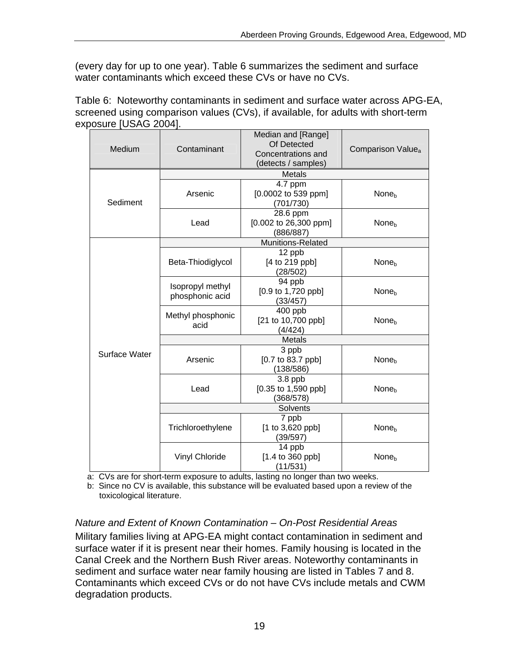(every day for up to one year). Table 6 summarizes the sediment and surface water contaminants which exceed these CVs or have no CVs.

Table 6: Noteworthy contaminants in sediment and surface water across APG-EA, screened using comparison values (CVs), if available, for adults with short-term exposure [USAG 2004].

| Medium        | Median and [Range]<br>Of Detected<br>Contaminant<br>Concentrations and<br>(detects / samples) |                                                           | Comparison Value <sub>a</sub> |  |  |  |
|---------------|-----------------------------------------------------------------------------------------------|-----------------------------------------------------------|-------------------------------|--|--|--|
|               |                                                                                               | <b>Metals</b>                                             |                               |  |  |  |
| Sediment      | Arsenic                                                                                       | 4.7 ppm<br>[0.0002 to 539 ppm]<br>(701/730)               | None <sub>b</sub>             |  |  |  |
|               | Lead                                                                                          | 28.6 ppm<br>[0.002 to 26,300 ppm]<br>(886/887)            | None <sub>b</sub>             |  |  |  |
|               |                                                                                               | Munitions-Related                                         |                               |  |  |  |
|               | Beta-Thiodiglycol                                                                             | 12 ppb<br>[4 to 219 ppb]<br>(28/502)                      | None <sub>b</sub>             |  |  |  |
|               | Isopropyl methyl<br>phosphonic acid                                                           | 94 ppb<br>[0.9 to 1,720 ppb]<br>(33/457)                  | None <sub>b</sub>             |  |  |  |
|               | Methyl phosphonic<br>acid                                                                     | 400 ppb<br>[21 to 10,700 ppb]<br>(4/424)                  | None <sub>h</sub>             |  |  |  |
|               | <b>Metals</b>                                                                                 |                                                           |                               |  |  |  |
| Surface Water | Arsenic                                                                                       | 3 ppb<br>$[0.7 \text{ to } 83.7 \text{ pb}]$<br>(138/586) | None <sub>b</sub>             |  |  |  |
|               | Lead                                                                                          | $3.8$ ppb<br>[0.35 to 1,590 ppb]<br>(368/578)             | None <sub>h</sub>             |  |  |  |
|               | Solvents                                                                                      |                                                           |                               |  |  |  |
|               | Trichloroethylene                                                                             | 7 ppb<br>[1 to 3,620 ppb]<br>(39/597)                     | None <sub>b</sub>             |  |  |  |
|               | <b>Vinyl Chloride</b>                                                                         | 14 ppb<br>[1.4 to 360 ppb]<br>(11/531)                    | None <sub>b</sub>             |  |  |  |

a: CVs are for short-term exposure to adults, lasting no longer than two weeks.

b: Since no CV is available, this substance will be evaluated based upon a review of the toxicological literature.

### *Nature and Extent of Known Contamination – On-Post Residential Areas*

Military families living at APG-EA might contact contamination in sediment and surface water if it is present near their homes. Family housing is located in the Canal Creek and the Northern Bush River areas. Noteworthy contaminants in sediment and surface water near family housing are listed in Tables 7 and 8. Contaminants which exceed CVs or do not have CVs include metals and CWM degradation products.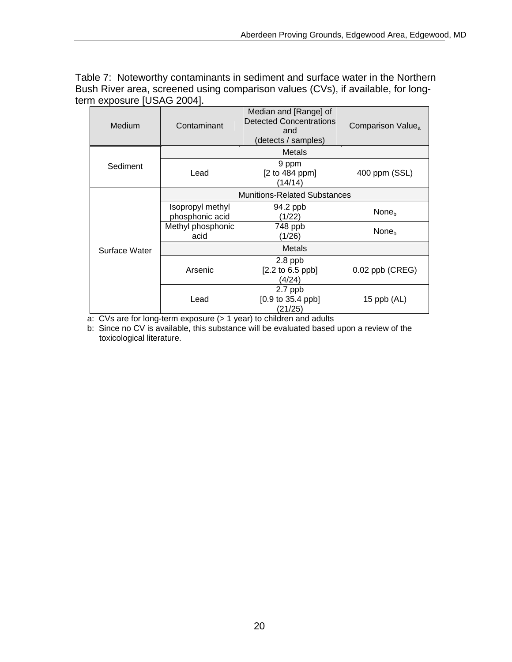Table 7: Noteworthy contaminants in sediment and surface water in the Northern Bush River area, screened using comparison values (CVs), if available, for longterm exposure [USAG 2004].

| Medium        | Contaminant                         | Median and [Range] of<br><b>Detected Concentrations</b><br>and<br>(detects / samples) | Comparison Value <sub>a</sub> |  |  |  |
|---------------|-------------------------------------|---------------------------------------------------------------------------------------|-------------------------------|--|--|--|
|               |                                     | <b>Metals</b>                                                                         |                               |  |  |  |
| Sediment      | Lead                                | 9 ppm<br>[2 to 484 ppm]<br>(14/14)                                                    | 400 ppm (SSL)                 |  |  |  |
|               |                                     | <b>Munitions-Related Substances</b>                                                   |                               |  |  |  |
|               | Isopropyl methyl<br>phosphonic acid | 94.2 ppb<br>(1/22)                                                                    | None <sub>b</sub>             |  |  |  |
|               | Methyl phosphonic<br>acid           | 748 ppb<br>(1/26)                                                                     | None <sub>b</sub>             |  |  |  |
| Surface Water | <b>Metals</b>                       |                                                                                       |                               |  |  |  |
|               | Arsenic                             | $2.8$ ppb<br>[2.2 to 6.5 ppb]<br>(4/24)                                               | $0.02$ ppb (CREG)             |  |  |  |
|               | Lead                                | $2.7$ ppb<br>$[0.9 \text{ to } 35.4 \text{ ppb}]$<br>(21/25)                          | 15 ppb $(AL)$                 |  |  |  |

a: CVs are for long-term exposure (> 1 year) to children and adults

b: Since no CV is available, this substance will be evaluated based upon a review of the toxicological literature.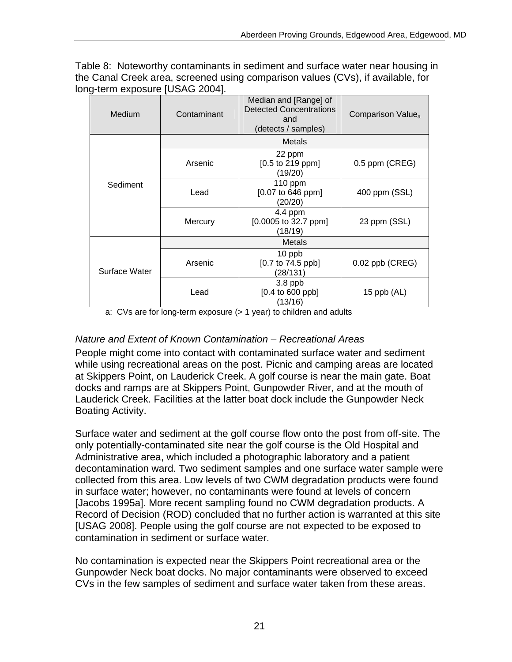Table 8: Noteworthy contaminants in sediment and surface water near housing in the Canal Creek area, screened using comparison values (CVs), if available, for long-term exposure [USAG 2004].

| Medium        | Contaminant | Median and [Range] of<br><b>Detected Concentrations</b><br>and<br>(detects / samples) | Comparison Value <sub>a</sub> |
|---------------|-------------|---------------------------------------------------------------------------------------|-------------------------------|
|               |             | <b>Metals</b>                                                                         |                               |
| Sediment      | Arsenic     | 22 ppm<br>[0.5 to 219 ppm]<br>(19/20)                                                 | 0.5 ppm (CREG)                |
|               | Lead        | 110 ppm<br>$[0.07 \text{ to } 646 \text{ ppm}]$<br>(20/20)                            | 400 ppm (SSL)                 |
|               | Mercury     | $4.4$ ppm<br>$[0.0005$ to 32.7 ppm]<br>(18/19)                                        | 23 ppm (SSL)                  |
|               |             | <b>Metals</b>                                                                         |                               |
| Surface Water | Arsenic     | 10 ppb<br>[0.7 to 74.5 ppb]<br>(28/131)                                               | $0.02$ ppb (CREG)             |
|               | Lead        | $3.8$ ppb<br>[0.4 to 600 ppb]<br>(13/16)                                              | 15 $ppb$ (AL)                 |

a: CVs are for long-term exposure (> 1 year) to children and adults

### *Nature and Extent of Known Contamination – Recreational Areas*

People might come into contact with contaminated surface water and sediment while using recreational areas on the post. Picnic and camping areas are located at Skippers Point, on Lauderick Creek. A golf course is near the main gate. Boat docks and ramps are at Skippers Point, Gunpowder River, and at the mouth of Lauderick Creek. Facilities at the latter boat dock include the Gunpowder Neck Boating Activity.

Surface water and sediment at the golf course flow onto the post from off-site. The only potentially-contaminated site near the golf course is the Old Hospital and Administrative area, which included a photographic laboratory and a patient decontamination ward. Two sediment samples and one surface water sample were collected from this area. Low levels of two CWM degradation products were found in surface water; however, no contaminants were found at levels of concern [Jacobs 1995a]. More recent sampling found no CWM degradation products. A Record of Decision (ROD) concluded that no further action is warranted at this site [USAG 2008]. People using the golf course are not expected to be exposed to contamination in sediment or surface water.

No contamination is expected near the Skippers Point recreational area or the Gunpowder Neck boat docks. No major contaminants were observed to exceed CVs in the few samples of sediment and surface water taken from these areas.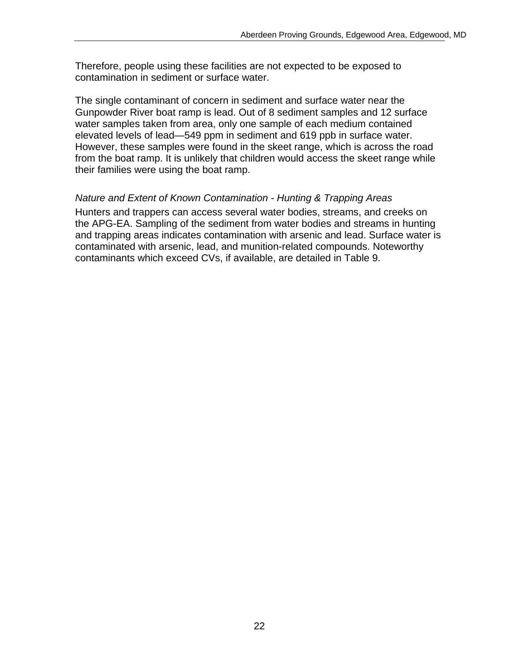Therefore, people using these facilities are not expected to be exposed to contamination in sediment or surface water.

The single contaminant of concern in sediment and surface water near the Gunpowder River boat ramp is lead. Out of 8 sediment samples and 12 surface water samples taken from area, only one sample of each medium contained elevated levels of lead—549 ppm in sediment and 619 ppb in surface water. However, these samples were found in the skeet range, which is across the road from the boat ramp. It is unlikely that children would access the skeet range while their families were using the boat ramp.

#### *Nature and Extent of Known Contamination - Hunting & Trapping Areas*

Hunters and trappers can access several water bodies, streams, and creeks on the APG-EA. Sampling of the sediment from water bodies and streams in hunting and trapping areas indicates contamination with arsenic and lead. Surface water is contaminated with arsenic, lead, and munition-related compounds. Noteworthy contaminants which exceed CVs, if available, are detailed in Table 9.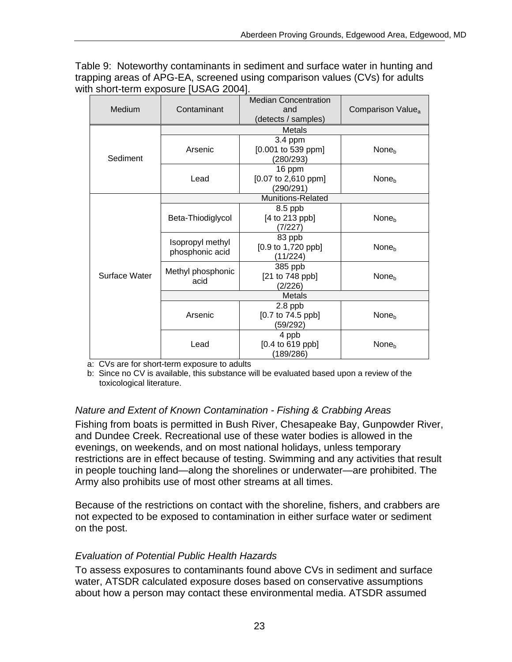Table 9: Noteworthy contaminants in sediment and surface water in hunting and trapping areas of APG-EA, screened using comparison values (CVs) for adults with short-term exposure [USAG 2004].

|               |                                     | <b>Median Concentration</b>          |                               |
|---------------|-------------------------------------|--------------------------------------|-------------------------------|
| Medium        | Contaminant                         | and                                  | Comparison Value <sub>a</sub> |
|               |                                     | (detects / samples)                  |                               |
|               | Metals                              |                                      |                               |
|               | Arsenic                             | 3.4 ppm                              |                               |
|               |                                     | $[0.001$ to 539 ppm]                 | None <sub>b</sub>             |
| Sediment      |                                     | (280/293)                            |                               |
|               |                                     | 16 ppm                               |                               |
|               | Lead                                | [0.07 to 2,610 ppm]                  | None <sub>b</sub>             |
|               |                                     | (290/291)                            |                               |
|               | Munitions-Related                   |                                      |                               |
|               |                                     | 8.5 ppb                              |                               |
|               | Beta-Thiodiglycol                   | [4 to 213 ppb]                       | None <sub>h</sub>             |
|               |                                     | (7/227)                              |                               |
|               | Isopropyl methyl<br>phosphonic acid | 83 ppb                               |                               |
|               |                                     | $[0.9 \text{ to } 1,720 \text{ pb}]$ | None <sub>b</sub>             |
|               |                                     | (11/224)                             |                               |
|               | Methyl phosphonic<br>acid           | 385 ppb                              |                               |
| Surface Water |                                     | [21 to 748 ppb]                      | None <sub>b</sub>             |
|               |                                     | (2/226)                              |                               |
|               | <b>Metals</b>                       |                                      |                               |
|               | Arsenic                             | 2.8 ppb                              |                               |
|               |                                     | $[0.7 \text{ to } 74.5 \text{ pb}]$  | None <sub>b</sub>             |
|               |                                     | (59/292)                             |                               |
|               | Lead                                | 4 ppb                                |                               |
|               |                                     | $[0.4 \text{ to } 619 \text{ pb}]$   | None <sub>b</sub>             |
|               |                                     | (189/286)                            |                               |

a: CVs are for short-term exposure to adults

b: Since no CV is available, this substance will be evaluated based upon a review of the toxicological literature.

#### *Nature and Extent of Known Contamination - Fishing & Crabbing Areas*

Fishing from boats is permitted in Bush River, Chesapeake Bay, Gunpowder River, and Dundee Creek. Recreational use of these water bodies is allowed in the evenings, on weekends, and on most national holidays, unless temporary restrictions are in effect because of testing. Swimming and any activities that result in people touching land—along the shorelines or underwater—are prohibited. The Army also prohibits use of most other streams at all times.

Because of the restrictions on contact with the shoreline, fishers, and crabbers are not expected to be exposed to contamination in either surface water or sediment on the post.

#### *Evaluation of Potential Public Health Hazards*

To assess exposures to contaminants found above CVs in sediment and surface water, ATSDR calculated exposure doses based on conservative assumptions about how a person may contact these environmental media. ATSDR assumed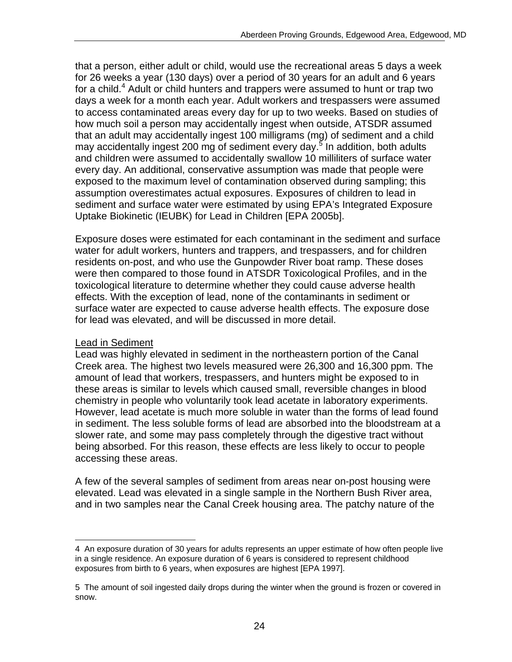that a person, either adult or child, would use the recreational areas 5 days a week for 26 weeks a year (130 days) over a period of 30 years for an adult and 6 years for a child.<sup>4</sup> Adult or child hunters and trappers were assumed to hunt or trap two days a week for a month each year. Adult workers and trespassers were assumed to access contaminated areas every day for up to two weeks. Based on studies of how much soil a person may accidentally ingest when outside, ATSDR assumed that an adult may accidentally ingest 100 milligrams (mg) of sediment and a child may accidentally ingest 200 mg of sediment every day.<sup>5</sup> In addition, both adults and children were assumed to accidentally swallow 10 milliliters of surface water every day. An additional, conservative assumption was made that people were exposed to the maximum level of contamination observed during sampling; this assumption overestimates actual exposures. Exposures of children to lead in sediment and surface water were estimated by using EPA's Integrated Exposure Uptake Biokinetic (IEUBK) for Lead in Children [EPA 2005b].

Exposure doses were estimated for each contaminant in the sediment and surface water for adult workers, hunters and trappers, and trespassers, and for children residents on-post, and who use the Gunpowder River boat ramp. These doses were then compared to those found in ATSDR Toxicological Profiles, and in the toxicological literature to determine whether they could cause adverse health effects. With the exception of lead, none of the contaminants in sediment or surface water are expected to cause adverse health effects. The exposure dose for lead was elevated, and will be discussed in more detail.

#### Lead in Sediment

Lead was highly elevated in sediment in the northeastern portion of the Canal Creek area. The highest two levels measured were 26,300 and 16,300 ppm. The amount of lead that workers, trespassers, and hunters might be exposed to in these areas is similar to levels which caused small, reversible changes in blood chemistry in people who voluntarily took lead acetate in laboratory experiments. However, lead acetate is much more soluble in water than the forms of lead found in sediment. The less soluble forms of lead are absorbed into the bloodstream at a slower rate, and some may pass completely through the digestive tract without being absorbed. For this reason, these effects are less likely to occur to people accessing these areas.

A few of the several samples of sediment from areas near on-post housing were elevated. Lead was elevated in a single sample in the Northern Bush River area, and in two samples near the Canal Creek housing area. The patchy nature of the

<sup>4</sup> An exposure duration of 30 years for adults represents an upper estimate of how often people live in a single residence. An exposure duration of 6 years is considered to represent childhood exposures from birth to 6 years, when exposures are highest [EPA 1997].

<sup>5</sup> The amount of soil ingested daily drops during the winter when the ground is frozen or covered in snow.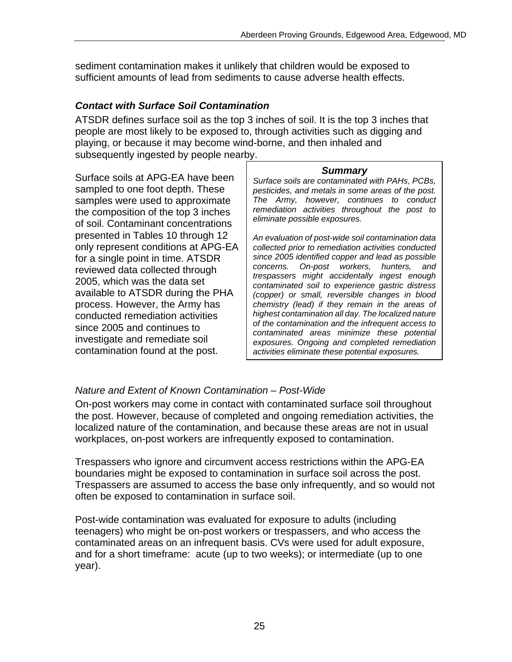sediment contamination makes it unlikely that children would be exposed to sufficient amounts of lead from sediments to cause adverse health effects.

#### *Contact with Surface Soil Contamination*

ATSDR defines surface soil as the top 3 inches of soil. It is the top 3 inches that people are most likely to be exposed to, through activities such as digging and playing, or because it may become wind-borne, and then inhaled and subsequently ingested by people nearby.

Surface soils at APG-EA have been *Surface soils are contaminated with PAHs, PCBs,*<br>
sampled to one foot depth. These *pesticides and metals in some areas of the post* the composition of the top 3 inches *remediation activities through* of soil. Contaminant concentrations presented in Tables 10 through 12 <br>
only represent conditions at APG-EA *collected prior to remediation activities conducted* 

pesticides, and metals in some areas of the post. samples were used to approximate *The Army, however, continues to conduct* 

collected prior to remediation activities conducted for a single point in time. ATSDR since 2005 identified copper and lead as possible<br>rovioured data collected through concerns. On-post workers, hunters, and reviewed data collected through<br>
2005, which was the data set<br>
available to ATSDR during the PHA<br>
respassers might accidentally ingest enough<br>
contaminated soil to experience gastric distress<br>
(copper) or small, reversible process. However, the Army has *chemistry (lead) if they remain in the areas of*  **highest contamination all day. The localized nature**<br> *of the contamination and the infrequent access to***<br>
<b>***of the contamination and the infrequent access to* since 2005 and continues to *contamination and the infrequent access to*<br>investigate and remediate soil *exposures.* Ongoing and completed remediation<br>contamination found at the post. activities eliminate these potential exposures.

### *Nature and Extent of Known Contamination – Post-Wide*

On-post workers may come in contact with contaminated surface soil throughout the post. However, because of completed and ongoing remediation activities, the localized nature of the contamination, and because these areas are not in usual workplaces, on-post workers are infrequently exposed to contamination.

Trespassers who ignore and circumvent access restrictions within the APG-EA boundaries might be exposed to contamination in surface soil across the post. Trespassers are assumed to access the base only infrequently, and so would not often be exposed to contamination in surface soil.

Post-wide contamination was evaluated for exposure to adults (including teenagers) who might be on-post workers or trespassers, and who access the contaminated areas on an infrequent basis. CVs were used for adult exposure, and for a short timeframe: acute (up to two weeks); or intermediate (up to one year).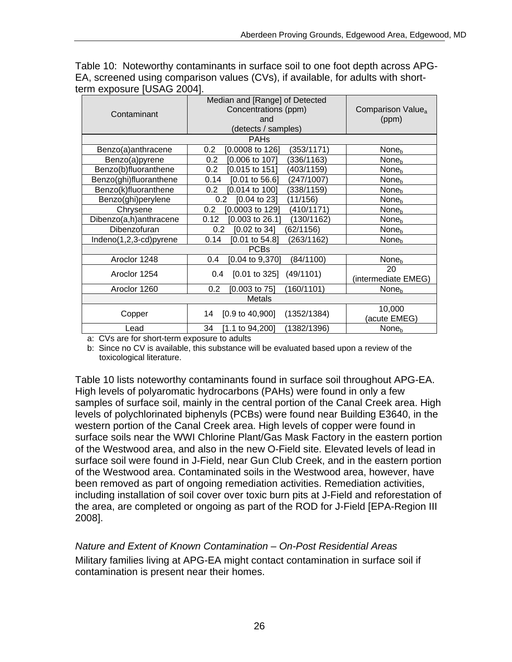|               | chii cyposule joono zoo+j. |                                                                                      |                                        |  |  |
|---------------|----------------------------|--------------------------------------------------------------------------------------|----------------------------------------|--|--|
|               | Contaminant                | Median and [Range] of Detected<br>Concentrations (ppm)<br>and<br>(detects / samples) | Comparison Value <sub>a</sub><br>(ppm) |  |  |
|               |                            | <b>PAH<sub>s</sub></b>                                                               |                                        |  |  |
|               | Benzo(a)anthracene         | [0.0008 to 126]<br>(353/1171)<br>0.2                                                 | None <sub>b</sub>                      |  |  |
|               | Benzo(a)pyrene             | [0.006 to 107]<br>(336/1163)<br>0.2                                                  | None <sub>b</sub>                      |  |  |
|               | Benzo(b)fluoranthene       | $[0.015 \text{ to } 151]$<br>(403/1159)<br>0.2                                       | None <sub>b</sub>                      |  |  |
|               | Benzo(ghi)fluoranthene     | (247/1007)<br>0.14<br>$[0.01$ to 56.6]                                               | None <sub>b</sub>                      |  |  |
|               | Benzo(k)fluoranthene       | [0.014 to 100]<br>(338/1159)<br>$0.2\,$                                              | None <sub>b</sub>                      |  |  |
|               | Benzo(ghi)perylene         | $[0.04 \text{ to } 23]$<br>(11/156)<br>0.2                                           | None <sub>b</sub>                      |  |  |
|               | Chrysene                   | 0.2<br>[0.0003 to 129]<br>(410/1171)                                                 | None <sub>b</sub>                      |  |  |
|               | Dibenzo(a,h)anthracene     | $[0.003$ to 26.1]<br>(130/1162)<br>0.12                                              | None <sub>b</sub>                      |  |  |
|               | Dibenzofuran               | $[0.02 \text{ to } 34]$<br>0.2<br>(62/1156)                                          | None <sub>b</sub>                      |  |  |
|               | Indeno(1,2,3-cd)pyrene     | 0.14<br>$[0.01$ to 54.8]<br>(263/1162)                                               | None <sub>b</sub>                      |  |  |
|               |                            | <b>PCBs</b>                                                                          |                                        |  |  |
|               | Aroclor 1248               | $[0.04 \text{ to } 9,370]$<br>(84/1100)<br>0.4                                       | None <sub>b</sub>                      |  |  |
|               | Aroclor 1254               | $[0.01 \text{ to } 325]$<br>(49/1101)<br>0.4                                         | 20<br>(intermediate EMEG)              |  |  |
|               | Aroclor 1260               | (160/1101)<br>0.2<br>$[0.003$ to 75]                                                 | None <sub>b</sub>                      |  |  |
| <b>Metals</b> |                            |                                                                                      |                                        |  |  |
|               | Copper                     | $[0.9 \text{ to } 40,900]$<br>(1352/1384)<br>14                                      | 10,000<br>(acute EMEG)                 |  |  |
|               | Lead                       | 34<br>(1382/1396)<br>$[1.1 \text{ to } 94,200]$                                      | None <sub>b</sub>                      |  |  |

Table 10: Noteworthy contaminants in surface soil to one foot depth across APG-EA, screened using comparison values (CVs), if available, for adults with shortterm exposure [USAG 2004].

a: CVs are for short-term exposure to adults

b: Since no CV is available, this substance will be evaluated based upon a review of the toxicological literature.

Table 10 lists noteworthy contaminants found in surface soil throughout APG-EA. High levels of polyaromatic hydrocarbons (PAHs) were found in only a few samples of surface soil, mainly in the central portion of the Canal Creek area. High levels of polychlorinated biphenyls (PCBs) were found near Building E3640, in the western portion of the Canal Creek area. High levels of copper were found in surface soils near the WWI Chlorine Plant/Gas Mask Factory in the eastern portion of the Westwood area, and also in the new O-Field site. Elevated levels of lead in surface soil were found in J-Field, near Gun Club Creek, and in the eastern portion of the Westwood area. Contaminated soils in the Westwood area, however, have been removed as part of ongoing remediation activities. Remediation activities, including installation of soil cover over toxic burn pits at J-Field and reforestation of the area, are completed or ongoing as part of the ROD for J-Field [EPA-Region III 2008].

*Nature and Extent of Known Contamination – On-Post Residential Areas*  Military families living at APG-EA might contact contamination in surface soil if contamination is present near their homes.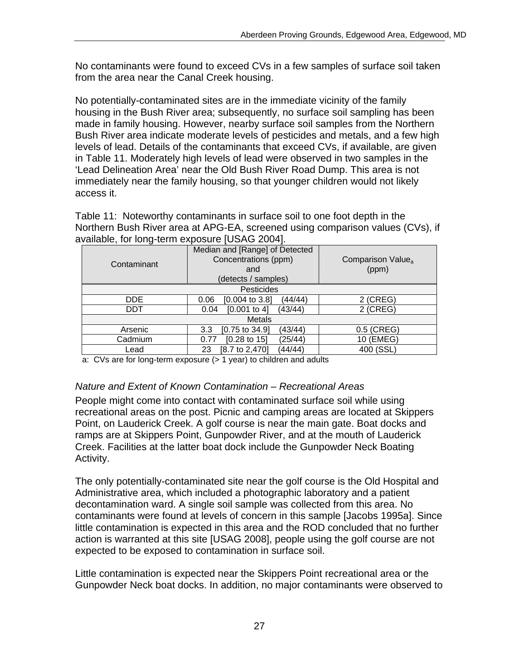No contaminants were found to exceed CVs in a few samples of surface soil taken from the area near the Canal Creek housing.

No potentially-contaminated sites are in the immediate vicinity of the family housing in the Bush River area; subsequently, no surface soil sampling has been made in family housing. However, nearby surface soil samples from the Northern Bush River area indicate moderate levels of pesticides and metals, and a few high levels of lead. Details of the contaminants that exceed CVs, if available, are given in Table 11. Moderately high levels of lead were observed in two samples in the 'Lead Delineation Area' near the Old Bush River Road Dump. This area is not immediately near the family housing, so that younger children would not likely access it.

Table 11: Noteworthy contaminants in surface soil to one foot depth in the Northern Bush River area at APG-EA, screened using comparison values (CVs), if available, for long-term exposure [USAG 2004].

| Contaminant   | Median and [Range] of Detected<br>Concentrations (ppm)<br>and<br>(detects / samples) | Comparison Value <sub>a</sub><br>(ppm) |  |
|---------------|--------------------------------------------------------------------------------------|----------------------------------------|--|
| Pesticides    |                                                                                      |                                        |  |
| DDE.          | $[0.004 \text{ to } 3.8]$<br>(44/44)<br>0.06                                         | $2$ (CREG)                             |  |
| DDT           | $[0.001$ to 4]<br>(43/44)<br>0.04                                                    | $2$ (CREG)                             |  |
| <b>Metals</b> |                                                                                      |                                        |  |
| Arsenic       | (43/44)<br>$[0.75 \text{ to } 34.9]$<br>3.3                                          | 0.5 (CREG)                             |  |
| Cadmium       | $[0.28 \text{ to } 15]$<br>(25/44)<br>0.77                                           | 10 (EMEG)                              |  |
| Lead          | (44/44)<br>[8.7 to 2,470]<br>23                                                      | 400 (SSL)                              |  |

a: CVs are for long-term exposure (> 1 year) to children and adults

#### *Nature and Extent of Known Contamination – Recreational Areas*

People might come into contact with contaminated surface soil while using recreational areas on the post. Picnic and camping areas are located at Skippers Point, on Lauderick Creek. A golf course is near the main gate. Boat docks and ramps are at Skippers Point, Gunpowder River, and at the mouth of Lauderick Creek. Facilities at the latter boat dock include the Gunpowder Neck Boating Activity.

The only potentially-contaminated site near the golf course is the Old Hospital and Administrative area, which included a photographic laboratory and a patient decontamination ward. A single soil sample was collected from this area. No contaminants were found at levels of concern in this sample [Jacobs 1995a]. Since little contamination is expected in this area and the ROD concluded that no further action is warranted at this site [USAG 2008], people using the golf course are not expected to be exposed to contamination in surface soil.

Little contamination is expected near the Skippers Point recreational area or the Gunpowder Neck boat docks. In addition, no major contaminants were observed to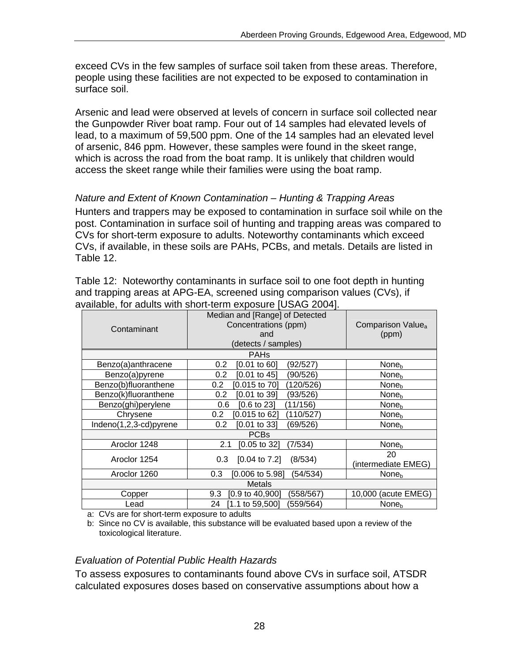exceed CVs in the few samples of surface soil taken from these areas. Therefore, people using these facilities are not expected to be exposed to contamination in surface soil.

Arsenic and lead were observed at levels of concern in surface soil collected near the Gunpowder River boat ramp. Four out of 14 samples had elevated levels of lead, to a maximum of 59,500 ppm. One of the 14 samples had an elevated level of arsenic, 846 ppm. However, these samples were found in the skeet range, which is across the road from the boat ramp. It is unlikely that children would access the skeet range while their families were using the boat ramp.

#### *Nature and Extent of Known Contamination – Hunting & Trapping Areas*

Hunters and trappers may be exposed to contamination in surface soil while on the post. Contamination in surface soil of hunting and trapping areas was compared to CVs for short-term exposure to adults. Noteworthy contaminants which exceed CVs, if available, in these soils are PAHs, PCBs, and metals. Details are listed in Table 12.

Table 12: Noteworthy contaminants in surface soil to one foot depth in hunting and trapping areas at APG-EA, screened using comparison values (CVs), if available, for adults with short-term exposure [USAG 2004].

| Contaminant            | Median and [Range] of Detected<br>Concentrations (ppm)<br>and<br>(detects / samples) | Comparison Value <sub>a</sub><br>(ppm) |  |  |  |
|------------------------|--------------------------------------------------------------------------------------|----------------------------------------|--|--|--|
|                        | <b>PAHs</b>                                                                          |                                        |  |  |  |
| Benzo(a)anthracene     | (92/527)<br>0.2<br>[0.01 to 60]                                                      | None <sub>h</sub>                      |  |  |  |
| Benzo(a)pyrene         | [0.01 to 45]<br>0.2<br>(90/526)                                                      | None <sub>h</sub>                      |  |  |  |
| Benzo(b)fluoranthene   | [0.015 to 70]<br>(120/526)<br>0.2                                                    | None <sub>b</sub>                      |  |  |  |
| Benzo(k)fluoranthene   | (93/526)<br>0.2<br>$[0.01$ to 39]                                                    | None <sub>b</sub>                      |  |  |  |
| Benzo(ghi)perylene     | (11/156)<br>[0.6 to 23]<br>0.6                                                       | None <sub>h</sub>                      |  |  |  |
| Chrysene               | [0.015 to 62]<br>(110/527)<br>0.2                                                    | None <sub>b</sub>                      |  |  |  |
| Indeno(1,2,3-cd)pyrene | $[0.01$ to 33]<br>(69/526)<br>0.2                                                    | None <sub>h</sub>                      |  |  |  |
| <b>PCBs</b>            |                                                                                      |                                        |  |  |  |
| Aroclor 1248           | 2.1<br>[0.05 to 32]<br>(7/534)                                                       | None <sub>h</sub>                      |  |  |  |
| Aroclor 1254           | $[0.04 \text{ to } 7.2]$<br>0.3<br>(8/534)                                           | 20                                     |  |  |  |
|                        |                                                                                      | (intermediate EMEG)                    |  |  |  |
| Aroclor 1260           | 0.3<br>[0.006 to 5.98]<br>(54/534)                                                   | None <sub>h</sub>                      |  |  |  |
| <b>Metals</b>          |                                                                                      |                                        |  |  |  |
| Copper                 | $[0.9 \text{ to } 40,900]$<br>(558/567)<br>9.3                                       | 10,000 (acute EMEG)                    |  |  |  |
| Lead                   | $[1.1 \text{ to } 59,500]$<br>(559/564)<br>24                                        | None <sub>b</sub>                      |  |  |  |

a: CVs are for short-term exposure to adults

b: Since no CV is available, this substance will be evaluated based upon a review of the toxicological literature.

#### *Evaluation of Potential Public Health Hazards*

To assess exposures to contaminants found above CVs in surface soil, ATSDR calculated exposures doses based on conservative assumptions about how a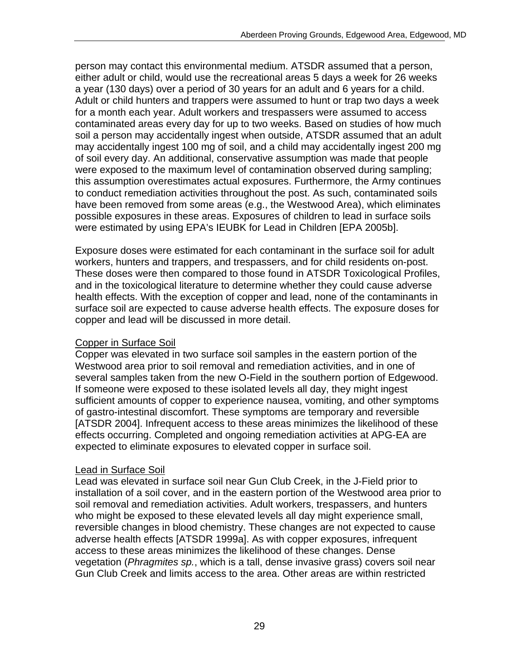person may contact this environmental medium. ATSDR assumed that a person, either adult or child, would use the recreational areas 5 days a week for 26 weeks a year (130 days) over a period of 30 years for an adult and 6 years for a child. Adult or child hunters and trappers were assumed to hunt or trap two days a week for a month each year. Adult workers and trespassers were assumed to access contaminated areas every day for up to two weeks. Based on studies of how much soil a person may accidentally ingest when outside, ATSDR assumed that an adult may accidentally ingest 100 mg of soil, and a child may accidentally ingest 200 mg of soil every day. An additional, conservative assumption was made that people were exposed to the maximum level of contamination observed during sampling; this assumption overestimates actual exposures. Furthermore, the Army continues to conduct remediation activities throughout the post. As such, contaminated soils have been removed from some areas (e.g., the Westwood Area), which eliminates possible exposures in these areas. Exposures of children to lead in surface soils were estimated by using EPA's IEUBK for Lead in Children [EPA 2005b].

Exposure doses were estimated for each contaminant in the surface soil for adult workers, hunters and trappers, and trespassers, and for child residents on-post. These doses were then compared to those found in ATSDR Toxicological Profiles, and in the toxicological literature to determine whether they could cause adverse health effects. With the exception of copper and lead, none of the contaminants in surface soil are expected to cause adverse health effects. The exposure doses for copper and lead will be discussed in more detail.

#### Copper in Surface Soil

Copper was elevated in two surface soil samples in the eastern portion of the Westwood area prior to soil removal and remediation activities, and in one of several samples taken from the new O-Field in the southern portion of Edgewood. If someone were exposed to these isolated levels all day, they might ingest sufficient amounts of copper to experience nausea, vomiting, and other symptoms of gastro-intestinal discomfort. These symptoms are temporary and reversible [ATSDR 2004]. Infrequent access to these areas minimizes the likelihood of these effects occurring. Completed and ongoing remediation activities at APG-EA are expected to eliminate exposures to elevated copper in surface soil.

#### Lead in Surface Soil

Lead was elevated in surface soil near Gun Club Creek, in the J-Field prior to installation of a soil cover, and in the eastern portion of the Westwood area prior to soil removal and remediation activities. Adult workers, trespassers, and hunters who might be exposed to these elevated levels all day might experience small, reversible changes in blood chemistry. These changes are not expected to cause adverse health effects [ATSDR 1999a]. As with copper exposures, infrequent access to these areas minimizes the likelihood of these changes. Dense vegetation (*Phragmites sp.*, which is a tall, dense invasive grass) covers soil near Gun Club Creek and limits access to the area. Other areas are within restricted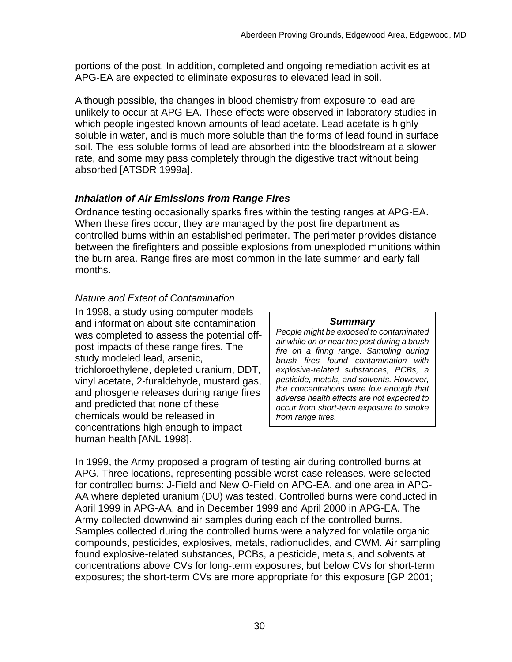portions of the post. In addition, completed and ongoing remediation activities at APG-EA are expected to eliminate exposures to elevated lead in soil.

Although possible, the changes in blood chemistry from exposure to lead are unlikely to occur at APG-EA. These effects were observed in laboratory studies in which people ingested known amounts of lead acetate. Lead acetate is highly soluble in water, and is much more soluble than the forms of lead found in surface soil. The less soluble forms of lead are absorbed into the bloodstream at a slower rate, and some may pass completely through the digestive tract without being absorbed [ATSDR 1999a].

### *Inhalation of Air Emissions from Range Fires*

Ordnance testing occasionally sparks fires within the testing ranges at APG-EA. When these fires occur, they are managed by the post fire department as controlled burns within an established perimeter. The perimeter provides distance between the firefighters and possible explosions from unexploded munitions within the burn area. Range fires are most common in the late summer and early fall months.

### *Nature and Extent of Contamination*

In 1998, a study using computer models and information about site contamination **Summary**<br>was completed to assoss the potential off *People might be exposed to contaminated* was completed to assess the potential off-<br>post impacts of these range fires. The<br>study modeled lead, arsenic,<br>tudy modeled lead, arsenic,<br>tree on a firing range. Sampling during<br>brush fires found contamination with trichloroethylene, depleted uranium, DDT, *explosive-related substances, PCBs, a*  vinyl acetate, 2-furaldehyde, mustard gas, *pesticide, metals, and solvents. However, the concentrations were low enough that* and phosgene releases during range fires *adverse health effects are not expected to* and predicted that none of these *occur from short-term exposure to smoke*  chemicals would be released in *from range fires.*  concentrations high enough to impact human health [ANL 1998].

In 1999, the Army proposed a program of testing air during controlled burns at APG. Three locations, representing possible worst-case releases, were selected for controlled burns: J-Field and New O-Field on APG-EA, and one area in APG-AA where depleted uranium (DU) was tested. Controlled burns were conducted in April 1999 in APG-AA, and in December 1999 and April 2000 in APG-EA. The Army collected downwind air samples during each of the controlled burns. Samples collected during the controlled burns were analyzed for volatile organic compounds, pesticides, explosives, metals, radionuclides, and CWM. Air sampling found explosive-related substances, PCBs, a pesticide, metals, and solvents at concentrations above CVs for long-term exposures, but below CVs for short-term exposures; the short-term CVs are more appropriate for this exposure [GP 2001;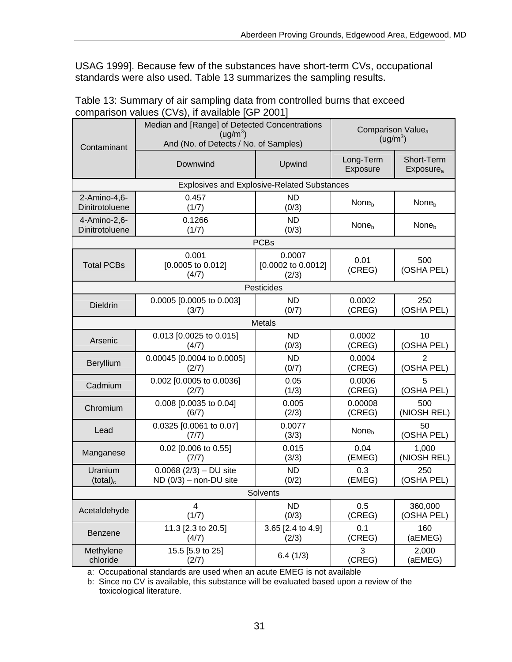USAG 1999]. Because few of the substances have short-term CVs, occupational standards were also used. Table 13 summarizes the sampling results.

| Table 13: Summary of air sampling data from controlled burns that exceed |  |
|--------------------------------------------------------------------------|--|
| comparison values (CVs), if available [GP 2001]                          |  |

| Contaminant                                        | Median and [Range] of Detected Concentrations<br>(ug/m <sup>3</sup> )<br>And (No. of Detects / No. of Samples) | Comparison Value <sub>a</sub><br>(ug/m <sup>3</sup> ) |                       |                                     |  |  |  |  |  |
|----------------------------------------------------|----------------------------------------------------------------------------------------------------------------|-------------------------------------------------------|-----------------------|-------------------------------------|--|--|--|--|--|
|                                                    | Downwind                                                                                                       | Upwind                                                | Long-Term<br>Exposure | Short-Term<br>Exposure <sub>a</sub> |  |  |  |  |  |
| <b>Explosives and Explosive-Related Substances</b> |                                                                                                                |                                                       |                       |                                     |  |  |  |  |  |
| 2-Amino-4,6-<br>Dinitrotoluene                     | 0.457<br>(1/7)                                                                                                 | <b>ND</b><br>(0/3)                                    | None <sub>b</sub>     | None <sub>b</sub>                   |  |  |  |  |  |
| 4-Amino-2,6-<br>Dinitrotoluene                     | 0.1266<br>(1/7)                                                                                                | <b>ND</b><br>(0/3)                                    | None <sub>b</sub>     | None <sub>b</sub>                   |  |  |  |  |  |
|                                                    |                                                                                                                | <b>PCBs</b>                                           |                       |                                     |  |  |  |  |  |
| <b>Total PCBs</b>                                  | 0.001<br>$[0.0005$ to $0.012]$<br>(4/7)                                                                        | 0.0007<br>[0.0002 to 0.0012]<br>(2/3)                 | 0.01<br>(CREG)        | 500<br>(OSHA PEL)                   |  |  |  |  |  |
|                                                    |                                                                                                                | Pesticides                                            |                       |                                     |  |  |  |  |  |
| <b>Dieldrin</b>                                    | 0.0005 [0.0005 to 0.003]<br>(3/7)                                                                              | <b>ND</b><br>(0/7)                                    | 0.0002<br>(CREG)      | 250<br>(OSHA PEL)                   |  |  |  |  |  |
|                                                    |                                                                                                                | Metals                                                |                       |                                     |  |  |  |  |  |
| Arsenic                                            | 0.013 [0.0025 to 0.015]<br>(4/7)                                                                               | <b>ND</b><br>(0/3)                                    | 0.0002<br>(CREG)      | 10<br>(OSHA PEL)                    |  |  |  |  |  |
| Beryllium                                          | 0.00045 [0.0004 to 0.0005]<br>(2/7)                                                                            | <b>ND</b><br>(0/7)                                    | 0.0004<br>(CREG)      | $\overline{2}$<br>(OSHA PEL)        |  |  |  |  |  |
| Cadmium                                            | 0.002 [0.0005 to 0.0036]<br>(2/7)                                                                              | 0.05<br>(1/3)                                         | 0.0006<br>(CREG)      | 5<br>(OSHA PEL)                     |  |  |  |  |  |
| Chromium                                           | 0.008 [0.0035 to 0.04]<br>(6/7)                                                                                | 0.005<br>(2/3)                                        | 0.00008<br>(CREG)     | 500<br>(NIOSH REL)                  |  |  |  |  |  |
| Lead                                               | 0.0325 [0.0061 to 0.07]<br>(7/7)                                                                               | 0.0077<br>(3/3)                                       | None <sub>b</sub>     | 50<br>(OSHA PEL)                    |  |  |  |  |  |
| Manganese                                          | 0.02 [0.006 to 0.55]<br>(7/7)                                                                                  | 0.015<br>(3/3)                                        | 0.04<br>(EMEG)        | 1,000<br>(NIOSH REL)                |  |  |  |  |  |
| Uranium<br>$(total)_c$                             | $0.0068$ (2/3) – DU site<br>$ND$ (0/3) – non-DU site                                                           | <b>ND</b><br>(0/2)                                    | 0.3<br>(EMEG)         | 250<br>(OSHA PEL)                   |  |  |  |  |  |
|                                                    |                                                                                                                | Solvents                                              |                       |                                     |  |  |  |  |  |
| Acetaldehyde                                       | $\overline{\mathbf{4}}$<br>(1/7)                                                                               | <b>ND</b><br>(0/3)                                    | 0.5<br>(CREG)         | 360,000<br>(OSHA PEL)               |  |  |  |  |  |
| <b>Benzene</b>                                     | 11.3 [2.3 to 20.5]<br>(4/7)                                                                                    | 3.65 [2.4 to 4.9]<br>(2/3)                            | 0.1<br>(CREG)         | 160<br>(aEMEG)                      |  |  |  |  |  |
| Methylene<br>chloride                              | 15.5 [5.9 to 25]<br>(2/7)                                                                                      | 6.4(1/3)                                              | 3<br>(CREG)           | 2,000<br>(aEMEG)                    |  |  |  |  |  |

a: Occupational standards are used when an acute EMEG is not available

b: Since no CV is available, this substance will be evaluated based upon a review of the toxicological literature.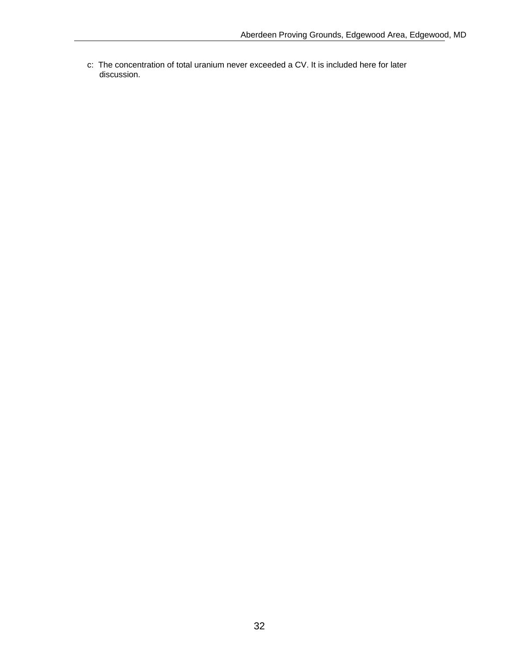c: The concentration of total uranium never exceeded a CV. It is included here for later discussion.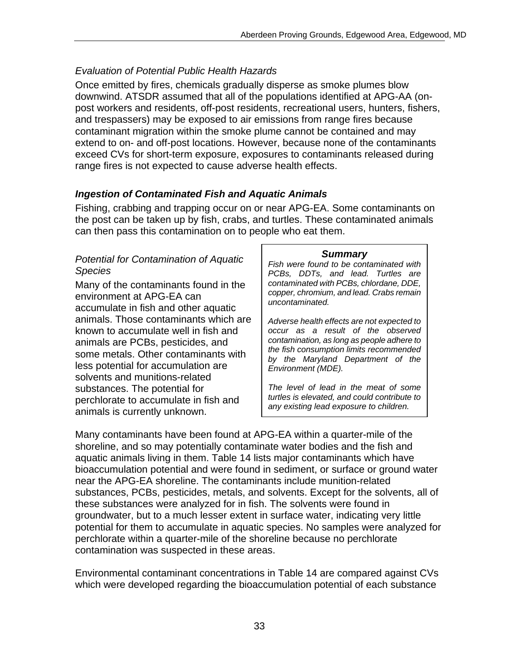### *Evaluation of Potential Public Health Hazards*

Once emitted by fires, chemicals gradually disperse as smoke plumes blow downwind. ATSDR assumed that all of the populations identified at APG-AA (onpost workers and residents, off-post residents, recreational users, hunters, fishers, and trespassers) may be exposed to air emissions from range fires because contaminant migration within the smoke plume cannot be contained and may extend to on- and off-post locations. However, because none of the contaminants exceed CVs for short-term exposure, exposures to contaminants released during range fires is not expected to cause adverse health effects.

### *Ingestion of Contaminated Fish and Aquatic Animals*

Fishing, crabbing and trapping occur on or near APG-EA. Some contaminants on the post can be taken up by fish, crabs, and turtles. These contaminated animals can then pass this contamination on to people who eat them.

# *Potential for Contamination of Aquatic* Fish were found to be contaminated with Species PCBs, DDTs, and lead. Turtles are

Many of the contaminants found in the contaminated with PCBs, chlordane, DDE,<br>environment at APG-FA can<br>copper, chromium, and lead. Crabs remain environment at APG-EA can *copper, chromiun*<br>accumulate in fish and other aquatic *uncontaminated.* animals. Those contaminants which are  $\parallel$  Adverse health effects are not expected to known to accumulate well in fish and *occur as a result of the observed*  animals are PCBs, pesticides, and<br>some metals. Other contaminants with<br>less potential for accumulation are<br>less potential for accumulation are<br>*Environment (MDE)*. solvents and munitions-related substances. The potential for *The level of lead in the meat of some*<br>*The level of lead in the meat of some**in figh and in the sis elevated, and could contribute to turtles is elevated, and could contribute to* perchlorate to accumulate in fish and *any existing lead exposure to children.* animals is currently unknown.

Many contaminants have been found at APG-EA within a quarter-mile of the shoreline, and so may potentially contaminate water bodies and the fish and aquatic animals living in them. Table 14 lists major contaminants which have bioaccumulation potential and were found in sediment, or surface or ground water near the APG-EA shoreline. The contaminants include munition-related substances, PCBs, pesticides, metals, and solvents. Except for the solvents, all of these substances were analyzed for in fish. The solvents were found in groundwater, but to a much lesser extent in surface water, indicating very little potential for them to accumulate in aquatic species. No samples were analyzed for perchlorate within a quarter-mile of the shoreline because no perchlorate contamination was suspected in these areas.

Environmental contaminant concentrations in Table 14 are compared against CVs which were developed regarding the bioaccumulation potential of each substance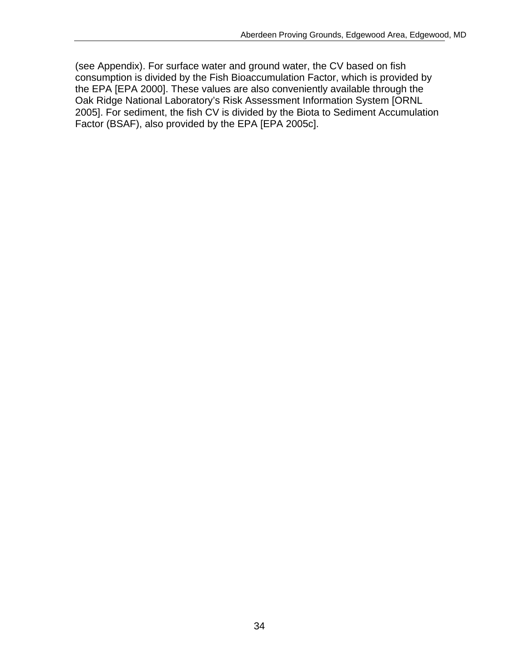(see Appendix). For surface water and ground water, the CV based on fish consumption is divided by the Fish Bioaccumulation Factor, which is provided by the EPA [EPA 2000]. These values are also conveniently available through the Oak Ridge National Laboratory's Risk Assessment Information System [ORNL 2005]. For sediment, the fish CV is divided by the Biota to Sediment Accumulation Factor (BSAF), also provided by the EPA [EPA 2005c].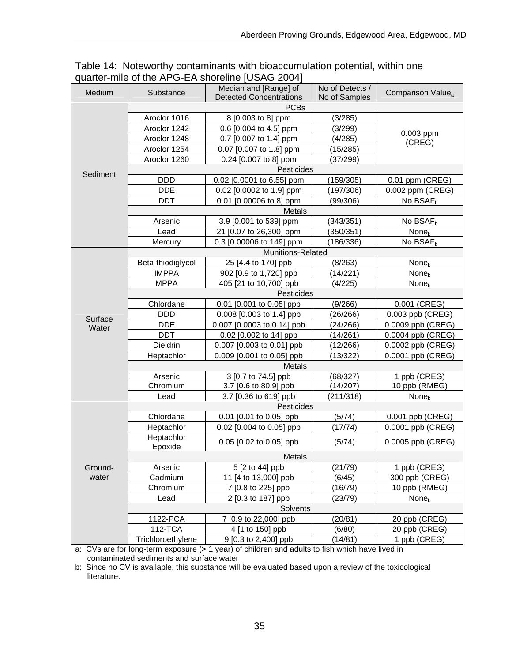| Medium   | Substance             | Median and [Range] of<br><b>Detected Concentrations</b> | No of Detects /<br>No of Samples | Comparison Value <sub>a</sub> |  |  |  |  |  |
|----------|-----------------------|---------------------------------------------------------|----------------------------------|-------------------------------|--|--|--|--|--|
|          |                       | <b>PCBs</b>                                             |                                  |                               |  |  |  |  |  |
|          | Aroclor 1016          | 8 [0.003 to 8] ppm                                      | (3/285)                          |                               |  |  |  |  |  |
|          | Aroclor 1242          | 0.6 [0.004 to 4.5] ppm                                  | (3/299)                          |                               |  |  |  |  |  |
|          | Aroclor 1248          | 0.7 [0.007 to 1.4] ppm                                  | (4/285)                          | 0.003 ppm                     |  |  |  |  |  |
|          | Aroclor 1254          | 0.07 [0.007 to 1.8] ppm                                 | (15/285)                         | (CREG)                        |  |  |  |  |  |
|          | Aroclor 1260          | 0.24 [0.007 to 8] ppm                                   | (37/299)                         |                               |  |  |  |  |  |
|          |                       | Pesticides                                              |                                  |                               |  |  |  |  |  |
| Sediment | <b>DDD</b>            | 0.02 [0.0001 to 6.55] ppm                               | (159/305)                        | 0.01 ppm (CREG)               |  |  |  |  |  |
|          | <b>DDE</b>            | 0.02 [0.0002 to 1.9] ppm                                | (197/306)                        | 0.002 ppm (CREG)              |  |  |  |  |  |
|          | <b>DDT</b>            | 0.01 [0.00006 to 8] ppm                                 | (99/306)                         | No BSAF <sub>b</sub>          |  |  |  |  |  |
|          |                       | Metals                                                  |                                  |                               |  |  |  |  |  |
|          | Arsenic               | 3.9 [0.001 to 539] ppm                                  | (343/351)                        | No BSAF <sub>b</sub>          |  |  |  |  |  |
|          | Lead                  | 21 [0.07 to 26,300] ppm                                 | (350/351)                        | None <sub>b</sub>             |  |  |  |  |  |
|          | Mercury               | 0.3 [0.00006 to 149] ppm                                | (186/336)                        | No BSAF <sub>h</sub>          |  |  |  |  |  |
|          |                       | Munitions-Related                                       |                                  |                               |  |  |  |  |  |
|          | Beta-thiodiglycol     | 25 [4.4 to 170] ppb                                     | (8/263)                          | None <sub>b</sub>             |  |  |  |  |  |
|          | <b>IMPPA</b>          | 902 [0.9 to 1,720] ppb                                  | (14/221)                         | None <sub>b</sub>             |  |  |  |  |  |
|          | <b>MPPA</b>           | 405 [21 to 10,700] ppb                                  | (4/225)                          | None <sub>b</sub>             |  |  |  |  |  |
|          | Pesticides            |                                                         |                                  |                               |  |  |  |  |  |
|          | Chlordane             | 0.01 [0.001 to 0.05] ppb                                | (9/266)                          | 0.001 (CREG)                  |  |  |  |  |  |
|          | <b>DDD</b>            | 0.008 [0.003 to 1.4] ppb                                | (26/266)                         | 0.003 ppb (CREG)              |  |  |  |  |  |
| Surface  | <b>DDE</b>            | 0.007 [0.0003 to 0.14] ppb                              | (24/266)                         | 0.0009 ppb (CREG)             |  |  |  |  |  |
| Water    | <b>DDT</b>            | 0.02 [0.002 to 14] ppb                                  | (14/261)                         | 0.0004 ppb (CREG)             |  |  |  |  |  |
|          | Dieldrin              | 0.007 [0.003 to 0.01] ppb                               | (12/266)                         | 0.0002 ppb (CREG)             |  |  |  |  |  |
|          | Heptachlor            | 0.009 [0.001 to 0.05] ppb                               | (13/322)                         | 0.0001 ppb (CREG)             |  |  |  |  |  |
|          | Metals                |                                                         |                                  |                               |  |  |  |  |  |
|          | Arsenic               | 3 [0.7 to 74.5] ppb                                     | (68/327)                         | 1 ppb (CREG)                  |  |  |  |  |  |
|          | Chromium              | 3.7 [0.6 to 80.9] ppb                                   | (14/207)                         | 10 ppb (RMEG)                 |  |  |  |  |  |
|          | Lead                  | 3.7 [0.36 to 619] ppb                                   | (211/318)                        | None <sub>b</sub>             |  |  |  |  |  |
|          | Pesticides            |                                                         |                                  |                               |  |  |  |  |  |
|          | Chlordane             | 0.01 [0.01 to 0.05] ppb                                 | (5/74)                           | 0.001 ppb (CREG)              |  |  |  |  |  |
|          | Heptachlor            | 0.02 [0.004 to 0.05] ppb                                | (17/74)                          | 0.0001 ppb (CREG)             |  |  |  |  |  |
|          | Heptachlor<br>Epoxide | 0.05 [0.02 to 0.05] ppb                                 | (5/74)                           | 0.0005 ppb (CREG)             |  |  |  |  |  |
|          |                       | Metals                                                  |                                  |                               |  |  |  |  |  |
| Ground-  | Arsenic               | 5 [2 to 44] ppb                                         | (21/79)                          | 1 ppb (CREG)                  |  |  |  |  |  |
| water    | Cadmium               | 11 [4 to 13,000] ppb                                    | (6/45)                           | 300 ppb (CREG)                |  |  |  |  |  |
|          | Chromium              | 7 [0.8 to 225] ppb                                      | (16/79)                          | 10 ppb (RMEG)                 |  |  |  |  |  |
|          | Lead                  | 2 [0.3 to 187] ppb                                      | (23/79)                          | None <sub>b</sub>             |  |  |  |  |  |
|          |                       | Solvents                                                |                                  |                               |  |  |  |  |  |
|          | 1122-PCA              | 7 [0.9 to 22,000] ppb                                   | (20/81)                          | 20 ppb (CREG)                 |  |  |  |  |  |
|          | 112-TCA               | 4 [1 to 150] ppb                                        | (6/80)                           | 20 ppb (CREG)                 |  |  |  |  |  |
|          | Trichloroethylene     | 9 [0.3 to 2,400] ppb                                    | (14/81)                          | 1 ppb (CREG)                  |  |  |  |  |  |

Table 14: Noteworthy contaminants with bioaccumulation potential, within one quarter-mile of the APG-EA shoreline [USAG 2004]

a: CVs are for long-term exposure (> 1 year) of children and adults to fish which have lived in contaminated sediments and surface water

b: Since no CV is available, this substance will be evaluated based upon a review of the toxicological literature.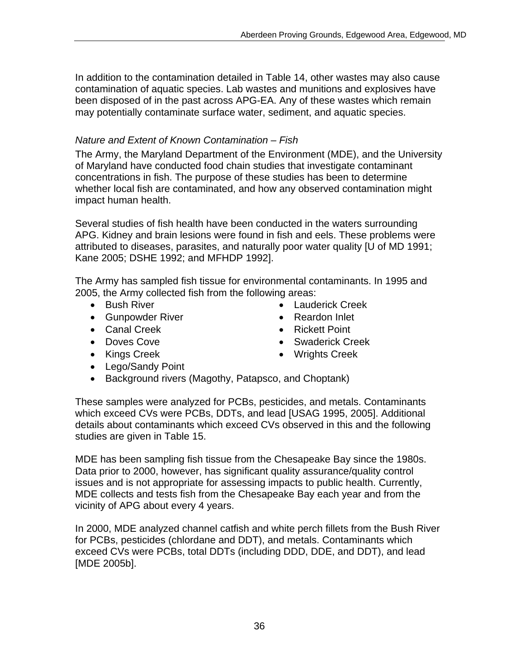In addition to the contamination detailed in Table 14, other wastes may also cause contamination of aquatic species. Lab wastes and munitions and explosives have been disposed of in the past across APG-EA. Any of these wastes which remain may potentially contaminate surface water, sediment, and aquatic species.

# *Nature and Extent of Known Contamination – Fish*

The Army, the Maryland Department of the Environment (MDE), and the University of Maryland have conducted food chain studies that investigate contaminant concentrations in fish. The purpose of these studies has been to determine whether local fish are contaminated, and how any observed contamination might impact human health.

Several studies of fish health have been conducted in the waters surrounding APG. Kidney and brain lesions were found in fish and eels. These problems were attributed to diseases, parasites, and naturally poor water quality [U of MD 1991; Kane 2005; DSHE 1992; and MFHDP 1992].

The Army has sampled fish tissue for environmental contaminants. In 1995 and 2005, the Army collected fish from the following areas:

- 
- Gunpowder River  **Reardon Inlet**
- 
- 
- 
- Lego/Sandy Point
- Bush River Cauderick Creek
	-
- Canal Creek Rickett Point
- Doves Cove Swaderick Creek
- Kings Creek Wrights Creek
- Background rivers (Magothy, Patapsco, and Choptank)

These samples were analyzed for PCBs, pesticides, and metals. Contaminants which exceed CVs were PCBs, DDTs, and lead [USAG 1995, 2005]. Additional details about contaminants which exceed CVs observed in this and the following studies are given in Table 15.

MDE has been sampling fish tissue from the Chesapeake Bay since the 1980s. Data prior to 2000, however, has significant quality assurance/quality control issues and is not appropriate for assessing impacts to public health. Currently, MDE collects and tests fish from the Chesapeake Bay each year and from the vicinity of APG about every 4 years.

In 2000, MDE analyzed channel catfish and white perch fillets from the Bush River for PCBs, pesticides (chlordane and DDT), and metals. Contaminants which exceed CVs were PCBs, total DDTs (including DDD, DDE, and DDT), and lead [MDE 2005b].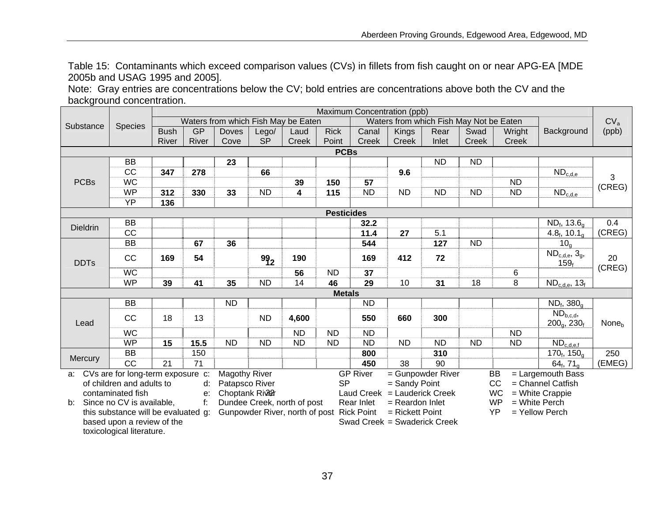Table 15: Contaminants which exceed comparison values (CVs) in fillets from fish caught on or near APG-EA [MDE 2005b and USAG 1995 and 2005].

Note: Gray entries are concentrations below the CV; bold entries are concentrations above both the CV and the background concentration.

|                            | Maximum Concentration (ppb)                             |             |                |                                     |           |                                           |                                         |                              |                              |                   |                 |                   |                                         |                   |
|----------------------------|---------------------------------------------------------|-------------|----------------|-------------------------------------|-----------|-------------------------------------------|-----------------------------------------|------------------------------|------------------------------|-------------------|-----------------|-------------------|-----------------------------------------|-------------------|
| Substance                  | <b>Species</b>                                          |             |                | Waters from which Fish May be Eaten |           |                                           | Waters from which Fish May Not be Eaten |                              |                              |                   |                 | CV <sub>a</sub>   |                                         |                   |
|                            |                                                         | <b>Bush</b> | GP             | <b>Doves</b>                        | Lego/     | Laud                                      | <b>Rick</b>                             | Canal                        | Kings                        | Rear              | Swad            | Wright            | Background                              | (ppb)             |
|                            |                                                         | River       | River          | Cove                                | <b>SP</b> | Creek                                     | Point                                   | <b>Creek</b>                 | Creek                        | Inlet             | Creek           | Creek             |                                         |                   |
|                            |                                                         |             |                |                                     |           |                                           | <b>PCBs</b>                             |                              |                              |                   |                 |                   |                                         |                   |
|                            | <b>BB</b>                                               |             |                | 23                                  |           |                                           |                                         |                              |                              | <b>ND</b>         | <b>ND</b>       |                   |                                         |                   |
|                            | CC                                                      | 347         | 278            |                                     | 66        |                                           |                                         |                              | 9.6                          |                   |                 |                   | $ND_{c,d,e}$                            | 3                 |
| <b>PCBs</b>                | <b>WC</b>                                               |             |                |                                     |           | 39                                        | 150                                     | 57                           |                              |                   |                 | <b>ND</b>         |                                         | (CREG)            |
|                            | <b>WP</b>                                               | 312         | 330            | 33                                  | <b>ND</b> | 4                                         | 115                                     | <b>ND</b>                    | <b>ND</b>                    | <b>ND</b>         | <b>ND</b>       | <b>ND</b>         | $ND_{c,d,e}$                            |                   |
|                            | YP                                                      | 136         |                |                                     |           |                                           |                                         |                              |                              |                   |                 |                   |                                         |                   |
|                            |                                                         |             |                |                                     |           |                                           | <b>Pesticides</b>                       |                              |                              |                   |                 |                   |                                         |                   |
| <b>Dieldrin</b>            | BB                                                      |             |                |                                     |           |                                           |                                         | 32.2                         |                              |                   |                 |                   | $ND_{f}$ , 13.6 <sub>a</sub>            | 0.4               |
|                            | CC                                                      |             |                |                                     |           |                                           |                                         | 11.4                         | 27                           | 5.1               |                 |                   | 4.8 $_{f}$ , 10.1 $_{\alpha}$           | (CREG)            |
|                            | $\overline{BB}$                                         |             | 67             | 36                                  |           |                                           |                                         | 544                          |                              | 127               | $\overline{ND}$ |                   | 10 <sub>q</sub>                         |                   |
| <b>DDTs</b>                | CC                                                      | 169         | 54             |                                     | 992       | 190                                       |                                         | 169                          | 412                          | 72                |                 |                   | $ND_{c,d,e}$ , 3g,<br>159 <sub>f</sub>  | 20                |
|                            | <b>WC</b>                                               |             |                |                                     |           | 56                                        | <b>ND</b>                               | 37                           |                              |                   |                 | 6                 |                                         | (CREG)            |
|                            | <b>WP</b>                                               | 39          | 41             | 35                                  | <b>ND</b> | 14                                        | 46                                      | 29                           | 10                           | 31                | 18              | 8                 | $ND_{c,d,e}$ , 13 $_f$                  |                   |
|                            |                                                         |             |                |                                     |           |                                           | <b>Metals</b>                           |                              |                              |                   |                 |                   |                                         |                   |
|                            | <b>BB</b>                                               |             |                | <b>ND</b>                           |           |                                           |                                         | <b>ND</b>                    |                              |                   |                 |                   | $ND_{f}$ , 380 $_{q}$                   |                   |
| Lead                       | CC                                                      | 18          | 13             |                                     | <b>ND</b> | 4,600                                     |                                         | 550                          | 660                          | 300               |                 |                   | $ND_{b,c,d}$<br>$200q$ , $230f$         | None <sub>b</sub> |
|                            | <b>WC</b>                                               |             |                |                                     |           | <b>ND</b>                                 | <b>ND</b>                               | <b>ND</b>                    |                              |                   |                 | ND.               |                                         |                   |
|                            | <b>WP</b>                                               | 15          | 15.5           | <b>ND</b>                           | <b>ND</b> | <b>ND</b>                                 | <b>ND</b>                               | <b>ND</b>                    | <b>ND</b>                    | <b>ND</b>         | <b>ND</b>       | <b>ND</b>         | $\overline{\text{ND}_{\text{c,d,e,f}}}$ |                   |
|                            | $\overline{BB}$                                         |             | 150            |                                     |           |                                           |                                         | 800                          |                              | 310               |                 |                   | $170_f, 150_g$                          | $\overline{250}$  |
| Mercury                    | CC                                                      | 21          | 71             |                                     |           |                                           |                                         | 450                          | 38                           | 90                |                 |                   | 64 $_{\rm f}$ , 71 $_{\rm o}$           | (EMEG)            |
| a:                         | CVs are for long-term exposure c:                       |             |                | <b>Magothy River</b>                |           |                                           |                                         | <b>GP River</b>              |                              | = Gunpowder River |                 | BB                | = Largemouth Bass                       |                   |
|                            | of children and adults to                               |             | d:             | Patapsco River                      |           |                                           | <b>SP</b>                               | cc<br>= Sandy Point          |                              |                   |                 | = Channel Catfish |                                         |                   |
| contaminated fish<br>$e$ : |                                                         |             | Choptank River |                                     |           |                                           |                                         | Laud Creek = Lauderick Creek |                              |                   | <b>WC</b>       | = White Crappie   |                                         |                   |
| b:                         | Since no CV is available,                               |             |                |                                     |           | Dundee Creek, north of post               |                                         | Rear Inlet                   | $=$ Reardon Inlet            |                   |                 | <b>WP</b>         | $=$ White Perch                         |                   |
|                            | this substance will be evaluated g:                     |             |                |                                     |           | Gunpowder River, north of post Rick Point |                                         |                              | $=$ Rickett Point            |                   |                 | YP                | = Yellow Perch                          |                   |
|                            | based upon a review of the<br>toxicological literature. |             |                |                                     |           |                                           |                                         |                              | Swad Creek = Swaderick Creek |                   |                 |                   |                                         |                   |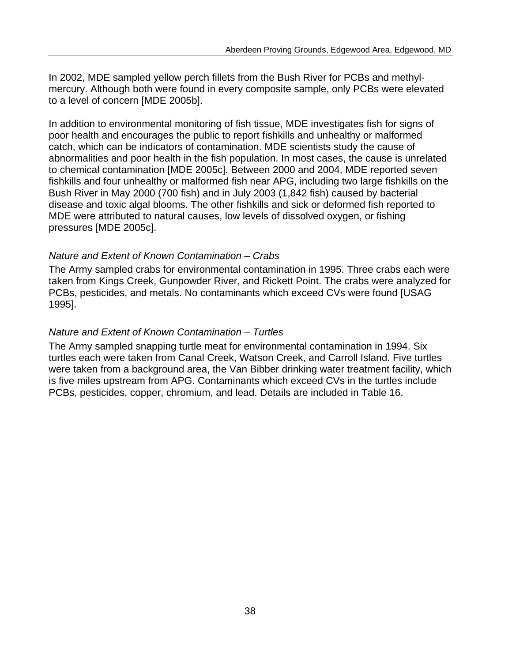In 2002, MDE sampled yellow perch fillets from the Bush River for PCBs and methylmercury. Although both were found in every composite sample, only PCBs were elevated to a level of concern [MDE 2005b].

In addition to environmental monitoring of fish tissue, MDE investigates fish for signs of poor health and encourages the public to report fishkills and unhealthy or malformed catch, which can be indicators of contamination. MDE scientists study the cause of abnormalities and poor health in the fish population. In most cases, the cause is unrelated to chemical contamination [MDE 2005c]. Between 2000 and 2004, MDE reported seven fishkills and four unhealthy or malformed fish near APG, including two large fishkills on the Bush River in May 2000 (700 fish) and in July 2003 (1,842 fish) caused by bacterial disease and toxic algal blooms. The other fishkills and sick or deformed fish reported to MDE were attributed to natural causes, low levels of dissolved oxygen, or fishing pressures [MDE 2005c].

#### *Nature and Extent of Known Contamination – Crabs*

The Army sampled crabs for environmental contamination in 1995. Three crabs each were taken from Kings Creek, Gunpowder River, and Rickett Point. The crabs were analyzed for PCBs, pesticides, and metals. No contaminants which exceed CVs were found [USAG 1995].

#### *Nature and Extent of Known Contamination – Turtles*

The Army sampled snapping turtle meat for environmental contamination in 1994. Six turtles each were taken from Canal Creek, Watson Creek, and Carroll Island. Five turtles were taken from a background area, the Van Bibber drinking water treatment facility, which is five miles upstream from APG. Contaminants which exceed CVs in the turtles include PCBs, pesticides, copper, chromium, and lead. Details are included in Table 16.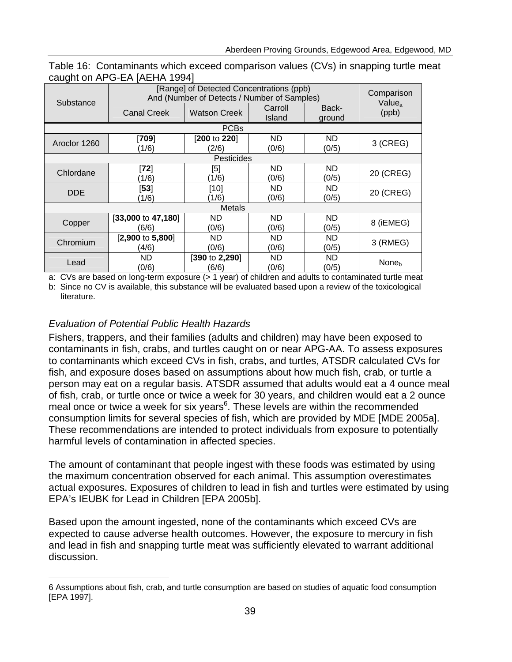| Substance    | [Range] of Detected Concentrations (ppb)<br>And (Number of Detects / Number of Samples) | Comparison<br>Value <sub>a</sub> |                   |                 |                   |
|--------------|-----------------------------------------------------------------------------------------|----------------------------------|-------------------|-----------------|-------------------|
|              | <b>Canal Creek</b>                                                                      | <b>Watson Creek</b>              | Carroll<br>Island | Back-<br>ground | (ppb)             |
|              |                                                                                         | <b>PCBs</b>                      |                   |                 |                   |
| Aroclor 1260 | [709]                                                                                   | [200 to 220]                     | ND                | ND              | $3$ (CREG)        |
|              | (1/6)                                                                                   | (2/6)                            | (0/6)             | (0/5)           |                   |
|              |                                                                                         | Pesticides                       |                   |                 |                   |
| Chlordane    | [72]                                                                                    | [5]                              | ND                | ND              | 20 (CREG)         |
|              | (1/6)                                                                                   | (1/6)                            | (0/6)             | (0/5)           |                   |
| <b>DDE</b>   | [53]                                                                                    | [10]                             | ND                | ND              | 20 (CREG)         |
|              | (1/6)                                                                                   | (1/6)                            | (0/6)             | (0/5)           |                   |
|              |                                                                                         | <b>Metals</b>                    |                   |                 |                   |
|              | [33,000 to 47,180]                                                                      | ND.                              | ND                | ND              | 8 (iEMEG)         |
| Copper       | (6/6)                                                                                   | (0/6)                            | (0/6)             | (0/5)           |                   |
| Chromium     | $[2,900 \text{ to } 5,800]$                                                             | <b>ND</b>                        | ND                | ND              | 3 (RMEG)          |
|              | (4/6)                                                                                   | (0/6)                            | (0/6)             | (0/5)           |                   |
|              | ND                                                                                      | [390 to 2,290]                   | <b>ND</b>         | ND              |                   |
| Lead         | (0/6)                                                                                   | (6/6)                            | (0/6)             | (0/5)           | None <sub>h</sub> |

| Table 16: Contaminants which exceed comparison values (CVs) in snapping turtle meat |  |  |  |
|-------------------------------------------------------------------------------------|--|--|--|
| caught on APG-EA [AEHA 1994]                                                        |  |  |  |

a: CVs are based on long-term exposure (> 1 year) of children and adults to contaminated turtle meat b: Since no CV is available, this substance will be evaluated based upon a review of the toxicological

literature.

### *Evaluation of Potential Public Health Hazards*

Fishers, trappers, and their families (adults and children) may have been exposed to contaminants in fish, crabs, and turtles caught on or near APG-AA. To assess exposures to contaminants which exceed CVs in fish, crabs, and turtles, ATSDR calculated CVs for fish, and exposure doses based on assumptions about how much fish, crab, or turtle a person may eat on a regular basis. ATSDR assumed that adults would eat a 4 ounce meal of fish, crab, or turtle once or twice a week for 30 years, and children would eat a 2 ounce meal once or twice a week for six years<sup>6</sup>. These levels are within the recommended consumption limits for several species of fish, which are provided by MDE [MDE 2005a]. These recommendations are intended to protect individuals from exposure to potentially harmful levels of contamination in affected species.

The amount of contaminant that people ingest with these foods was estimated by using the maximum concentration observed for each animal. This assumption overestimates actual exposures. Exposures of children to lead in fish and turtles were estimated by using EPA's IEUBK for Lead in Children [EPA 2005b].

Based upon the amount ingested, none of the contaminants which exceed CVs are expected to cause adverse health outcomes. However, the exposure to mercury in fish and lead in fish and snapping turtle meat was sufficiently elevated to warrant additional discussion.

<sup>6</sup> Assumptions about fish, crab, and turtle consumption are based on studies of aquatic food consumption [EPA 1997].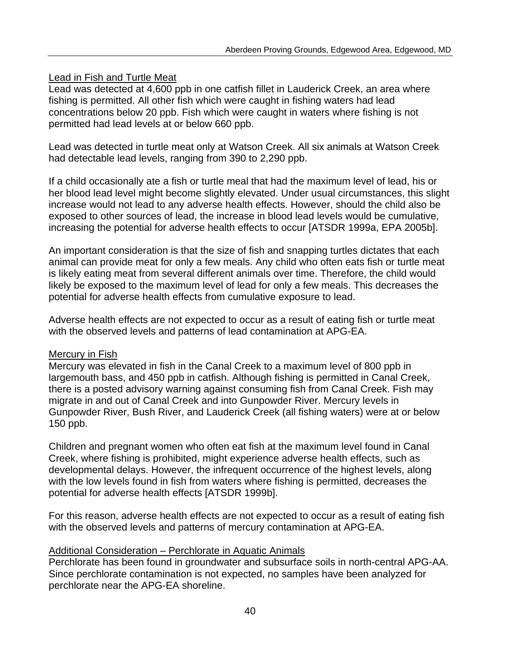### Lead in Fish and Turtle Meat

Lead was detected at 4,600 ppb in one catfish fillet in Lauderick Creek, an area where fishing is permitted. All other fish which were caught in fishing waters had lead concentrations below 20 ppb. Fish which were caught in waters where fishing is not permitted had lead levels at or below 660 ppb.

Lead was detected in turtle meat only at Watson Creek. All six animals at Watson Creek had detectable lead levels, ranging from 390 to 2,290 ppb.

If a child occasionally ate a fish or turtle meal that had the maximum level of lead, his or her blood lead level might become slightly elevated. Under usual circumstances, this slight increase would not lead to any adverse health effects. However, should the child also be exposed to other sources of lead, the increase in blood lead levels would be cumulative, increasing the potential for adverse health effects to occur [ATSDR 1999a, EPA 2005b].

An important consideration is that the size of fish and snapping turtles dictates that each animal can provide meat for only a few meals. Any child who often eats fish or turtle meat is likely eating meat from several different animals over time. Therefore, the child would likely be exposed to the maximum level of lead for only a few meals. This decreases the potential for adverse health effects from cumulative exposure to lead.

Adverse health effects are not expected to occur as a result of eating fish or turtle meat with the observed levels and patterns of lead contamination at APG-EA.

#### Mercury in Fish

Mercury was elevated in fish in the Canal Creek to a maximum level of 800 ppb in largemouth bass, and 450 ppb in catfish. Although fishing is permitted in Canal Creek, there is a posted advisory warning against consuming fish from Canal Creek. Fish may migrate in and out of Canal Creek and into Gunpowder River. Mercury levels in Gunpowder River, Bush River, and Lauderick Creek (all fishing waters) were at or below 150 ppb.

Children and pregnant women who often eat fish at the maximum level found in Canal Creek, where fishing is prohibited, might experience adverse health effects, such as developmental delays. However, the infrequent occurrence of the highest levels, along with the low levels found in fish from waters where fishing is permitted, decreases the potential for adverse health effects [ATSDR 1999b].

For this reason, adverse health effects are not expected to occur as a result of eating fish with the observed levels and patterns of mercury contamination at APG-EA.

### Additional Consideration – Perchlorate in Aquatic Animals

Perchlorate has been found in groundwater and subsurface soils in north-central APG-AA. Since perchlorate contamination is not expected, no samples have been analyzed for perchlorate near the APG-EA shoreline.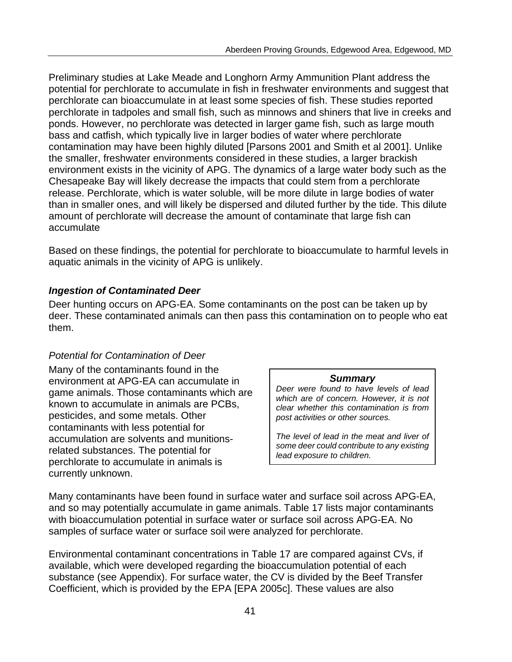Preliminary studies at Lake Meade and Longhorn Army Ammunition Plant address the potential for perchlorate to accumulate in fish in freshwater environments and suggest that perchlorate can bioaccumulate in at least some species of fish. These studies reported perchlorate in tadpoles and small fish, such as minnows and shiners that live in creeks and ponds. However, no perchlorate was detected in larger game fish, such as large mouth bass and catfish, which typically live in larger bodies of water where perchlorate contamination may have been highly diluted [Parsons 2001 and Smith et al 2001]. Unlike the smaller, freshwater environments considered in these studies, a larger brackish environment exists in the vicinity of APG. The dynamics of a large water body such as the Chesapeake Bay will likely decrease the impacts that could stem from a perchlorate release. Perchlorate, which is water soluble, will be more dilute in large bodies of water than in smaller ones, and will likely be dispersed and diluted further by the tide. This dilute amount of perchlorate will decrease the amount of contaminate that large fish can accumulate

Based on these findings, the potential for perchlorate to bioaccumulate to harmful levels in aquatic animals in the vicinity of APG is unlikely.

#### *Ingestion of Contaminated Deer*

Deer hunting occurs on APG-EA. Some contaminants on the post can be taken up by deer. These contaminated animals can then pass this contamination on to people who eat them.

### *Potential for Contamination of Deer*

Many of the contaminants found in the environment at APG-EA can accumulate in **Summary**<br> **Summary**<br> *Deer were found to have levels of lead* game animals. Those contaminants which are  $\begin{array}{|c|c|c|c|c|c|}\n\hline\n\text{Home} & \text{blue} & \text{blue} & \text{blue} & \text{blue} & \text{blue} & \text{blue} & \text{blue} & \text{blue} & \text{blue} & \text{blue} & \text{blue} & \text{blue} & \text{blue} & \text{blue} & \text{blue} & \text{blue} & \text{blue} & \text{blue} & \text{blue} & \text{blue} & \text{blue} & \text{blue} & \text{blue} & \text{blue} & \text{$ pesticides, and some metals. Other *post activities or other sources.*  contaminants with less potential for accumulation are solvents and munitions-<br> **The level of lead in the meat and liver of**<br>
some deer could contribute to any existing related substances. The potential for **lead exposure to children.**<br>
perchlorate to accumulate in animals is currently unknown.

Many contaminants have been found in surface water and surface soil across APG-EA, and so may potentially accumulate in game animals. Table 17 lists major contaminants with bioaccumulation potential in surface water or surface soil across APG-EA. No samples of surface water or surface soil were analyzed for perchlorate.

Environmental contaminant concentrations in Table 17 are compared against CVs, if available, which were developed regarding the bioaccumulation potential of each substance (see Appendix). For surface water, the CV is divided by the Beef Transfer Coefficient, which is provided by the EPA [EPA 2005c]. These values are also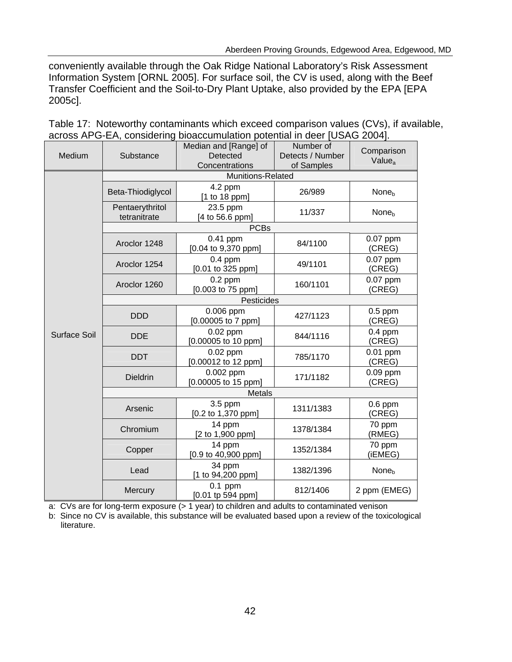conveniently available through the Oak Ridge National Laboratory's Risk Assessment Information System [ORNL 2005]. For surface soil, the CV is used, along with the Beef Transfer Coefficient and the Soil-to-Dry Plant Uptake, also provided by the EPA [EPA 2005c].

| Medium       | Substance                       | Median and [Range] of<br>Detected<br>Concentrations | Number of<br>Detects / Number<br>of Samples | Comparison<br>Value <sub>a</sub> |  |  |  |  |  |
|--------------|---------------------------------|-----------------------------------------------------|---------------------------------------------|----------------------------------|--|--|--|--|--|
|              | <b>Munitions-Related</b>        |                                                     |                                             |                                  |  |  |  |  |  |
|              | Beta-Thiodiglycol               | 4.2 ppm<br>[1 to 18 ppm]                            | 26/989                                      | None <sub>b</sub>                |  |  |  |  |  |
|              | Pentaerythritol<br>tetranitrate | 23.5 ppm<br>[4 to 56.6 ppm]                         | 11/337                                      | None <sub>b</sub>                |  |  |  |  |  |
|              |                                 | <b>PCBs</b>                                         |                                             |                                  |  |  |  |  |  |
|              | Aroclor 1248                    | $0.41$ ppm<br>[0.04 to 9,370 ppm]                   | 84/1100                                     | $0.07$ ppm<br>(CREG)             |  |  |  |  |  |
|              | Aroclor 1254                    | $0.4$ ppm<br>[0.01 to 325 ppm]                      | 49/1101                                     | 0.07 ppm<br>(CREG)               |  |  |  |  |  |
|              | Aroclor 1260                    | $0.2$ ppm<br>[0.003 to 75 ppm]                      | 160/1101                                    | 0.07 ppm<br>(CREG)               |  |  |  |  |  |
|              | Pesticides                      |                                                     |                                             |                                  |  |  |  |  |  |
|              | <b>DDD</b>                      | 0.006 ppm<br>[0.00005 to 7 ppm]                     | 427/1123                                    | $0.5$ ppm<br>(CREG)              |  |  |  |  |  |
| Surface Soil | <b>DDE</b>                      | $0.02$ ppm<br>[0.00005 to 10 ppm]                   | 844/1116                                    | $0.4$ ppm<br>(CREG)              |  |  |  |  |  |
|              | <b>DDT</b>                      | $0.02$ ppm<br>[0.00012 to 12 ppm]                   | 785/1170                                    | 0.01 ppm<br>(CREG)               |  |  |  |  |  |
|              | <b>Dieldrin</b>                 | 0.002 ppm<br>[0.00005 to 15 ppm]                    | 171/1182                                    | $0.09$ ppm<br>(CREG)             |  |  |  |  |  |
|              | <b>Metals</b>                   |                                                     |                                             |                                  |  |  |  |  |  |
|              | Arsenic                         | 3.5 ppm<br>[0.2 to 1,370 ppm]                       | 1311/1383                                   | $0.6$ ppm<br>(CREG)              |  |  |  |  |  |
|              | Chromium                        | 14 ppm<br>[2 to 1,900 ppm]                          | 1378/1384                                   | 70 ppm<br>(RMEG)                 |  |  |  |  |  |
|              | Copper                          | 14 ppm<br>$[0.9 \text{ to } 40,900 \text{ ppm}]$    | 1352/1384                                   | 70 ppm<br>(iEMEG)                |  |  |  |  |  |
|              | Lead                            | 34 ppm<br>[1 to 94,200 ppm]                         | 1382/1396                                   | None <sub>b</sub>                |  |  |  |  |  |
|              | Mercury                         | $0.1$ ppm<br>$[0.01$ tp 594 ppm]                    | 812/1406                                    | 2 ppm (EMEG)                     |  |  |  |  |  |

Table 17: Noteworthy contaminants which exceed comparison values (CVs), if available, across APG-EA, considering bioaccumulation potential in deer [USAG 2004].

a: CVs are for long-term exposure (> 1 year) to children and adults to contaminated venison

b: Since no CV is available, this substance will be evaluated based upon a review of the toxicological literature.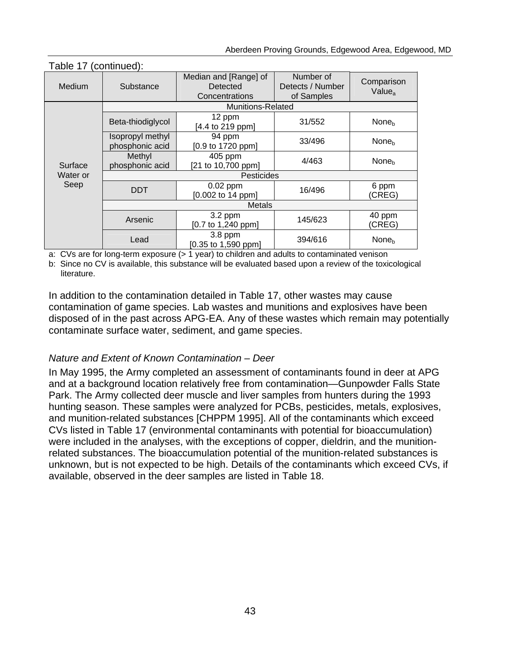| . apio . , loomapa,. |                                                                  |                                 |                                             |                                  |  |  |  |  |
|----------------------|------------------------------------------------------------------|---------------------------------|---------------------------------------------|----------------------------------|--|--|--|--|
| <b>Medium</b>        | Median and [Range] of<br>Substance<br>Detected<br>Concentrations |                                 | Number of<br>Detects / Number<br>of Samples | Comparison<br>Value <sub>a</sub> |  |  |  |  |
|                      |                                                                  | <b>Munitions-Related</b>        |                                             |                                  |  |  |  |  |
|                      | Beta-thiodiglycol                                                | 12 ppm<br>[4.4 to 219 ppm]      | 31/552                                      | None <sub>h</sub>                |  |  |  |  |
| Surface              | Isopropyl methyl<br>phosphonic acid                              | 94 ppm<br>[0.9 to 1720 ppm]     | 33/496                                      | None <sub>h</sub>                |  |  |  |  |
|                      | Methyl<br>phosphonic acid                                        | 405 ppm<br>[21 to 10,700 ppm]   | 4/463                                       | None <sub>h</sub>                |  |  |  |  |
| Water or             | Pesticides                                                       |                                 |                                             |                                  |  |  |  |  |
| Seep                 | <b>DDT</b>                                                       | $0.02$ ppm<br>[0.002 to 14 ppm] | 16/496                                      | 6 ppm<br>(CREG)                  |  |  |  |  |
|                      | <b>Metals</b>                                                    |                                 |                                             |                                  |  |  |  |  |
|                      | Arsenic                                                          | $3.2$ ppm<br>[0.7 to 1,240 ppm] | 145/623                                     | 40 ppm<br>(CREG)                 |  |  |  |  |
|                      | Lead                                                             | 3.8 ppm<br>[0.35 to 1,590 ppm]  | 394/616                                     | None <sub>h</sub>                |  |  |  |  |

#### Table 17 (continued):

a: CVs are for long-term exposure (> 1 year) to children and adults to contaminated venison

b: Since no CV is available, this substance will be evaluated based upon a review of the toxicological literature.

In addition to the contamination detailed in Table 17, other wastes may cause contamination of game species. Lab wastes and munitions and explosives have been disposed of in the past across APG-EA. Any of these wastes which remain may potentially contaminate surface water, sediment, and game species.

### *Nature and Extent of Known Contamination – Deer*

In May 1995, the Army completed an assessment of contaminants found in deer at APG and at a background location relatively free from contamination—Gunpowder Falls State Park. The Army collected deer muscle and liver samples from hunters during the 1993 hunting season. These samples were analyzed for PCBs, pesticides, metals, explosives, and munition-related substances [CHPPM 1995]. All of the contaminants which exceed CVs listed in Table 17 (environmental contaminants with potential for bioaccumulation) were included in the analyses, with the exceptions of copper, dieldrin, and the munitionrelated substances. The bioaccumulation potential of the munition-related substances is unknown, but is not expected to be high. Details of the contaminants which exceed CVs, if available, observed in the deer samples are listed in Table 18.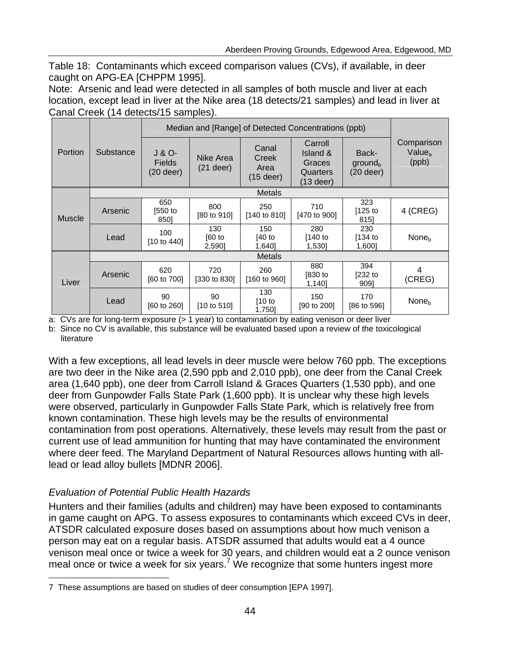Table 18: Contaminants which exceed comparison values (CVs), if available, in deer caught on APG-EA [CHPPM 1995].

Note: Arsenic and lead were detected in all samples of both muscle and liver at each location, except lead in liver at the Nike area (18 detects/21 samples) and lead in liver at Canal Creek (14 detects/15 samples).

|         |               | Median and [Range] of Detected Concentrations (ppb) |                                |                                       |                                                        |                                             |                                           |  |  |
|---------|---------------|-----------------------------------------------------|--------------------------------|---------------------------------------|--------------------------------------------------------|---------------------------------------------|-------------------------------------------|--|--|
| Portion | Substance     | J & O-<br><b>Fields</b><br>$(20$ deer)              | Nike Area<br>$(21$ deer)       | Canal<br>Creek<br>Area<br>$(15$ deer) | Carroll<br>Island &<br>Graces<br>Quarters<br>(13 deer) | Back-<br>ground <sub>b</sub><br>$(20$ deer) | Comparison<br>Value <sub>a</sub><br>(ppb) |  |  |
|         | <b>Metals</b> |                                                     |                                |                                       |                                                        |                                             |                                           |  |  |
| Muscle  | Arsenic       | 650<br>[550 to<br>8501                              | 800<br>$[80 \text{ to } 910]$  | 250<br>$[140 \text{ to } 810]$        | 710<br>[470 to 900]                                    | 323<br>[125 to<br>8151                      | 4 (CREG)                                  |  |  |
|         | Lead          | 100<br>$[10 \text{ to } 440]$                       | 130<br>$[60$ to<br>2,590       | 150<br>$[40$ to<br>1,640]             | 280<br>$[140$ to<br>1,530]                             | 230<br>$[134$ to<br>1,600]                  | None <sub>b</sub>                         |  |  |
|         |               |                                                     |                                | Metals                                |                                                        |                                             |                                           |  |  |
| Liver   | Arsenic       | 620<br>[60 to 700]                                  | 720<br>$[330 \text{ to } 830]$ | 260<br>$[160 \text{ to } 960]$        | 880<br>$[830$ to<br>1,140]                             | 394<br>[232 to<br>9091                      | 4<br>(CREG)                               |  |  |
|         | Lead          | 90<br>$[60 \text{ to } 260]$                        | 90<br>[10 to 510]              | 130<br>[10 to<br>1,750]               | 150<br>$[90 \text{ to } 200]$                          | 170<br>[86 to 596]                          | None <sub>b</sub>                         |  |  |

a: CVs are for long-term exposure (> 1 year) to contamination by eating venison or deer liver

b: Since no CV is available, this substance will be evaluated based upon a review of the toxicological literature

With a few exceptions, all lead levels in deer muscle were below 760 ppb. The exceptions are two deer in the Nike area (2,590 ppb and 2,010 ppb), one deer from the Canal Creek area (1,640 ppb), one deer from Carroll Island & Graces Quarters (1,530 ppb), and one deer from Gunpowder Falls State Park (1,600 ppb). It is unclear why these high levels were observed, particularly in Gunpowder Falls State Park, which is relatively free from known contamination. These high levels may be the results of environmental contamination from post operations. Alternatively, these levels may result from the past or current use of lead ammunition for hunting that may have contaminated the environment where deer feed. The Maryland Department of Natural Resources allows hunting with alllead or lead alloy bullets [MDNR 2006].

# *Evaluation of Potential Public Health Hazards*

Hunters and their families (adults and children) may have been exposed to contaminants in game caught on APG. To assess exposures to contaminants which exceed CVs in deer, ATSDR calculated exposure doses based on assumptions about how much venison a person may eat on a regular basis. ATSDR assumed that adults would eat a 4 ounce venison meal once or twice a week for 30 years, and children would eat a 2 ounce venison meal once or twice a week for six years.<sup>7</sup> We recognize that some hunters ingest more

<sup>7</sup> These assumptions are based on studies of deer consumption [EPA 1997].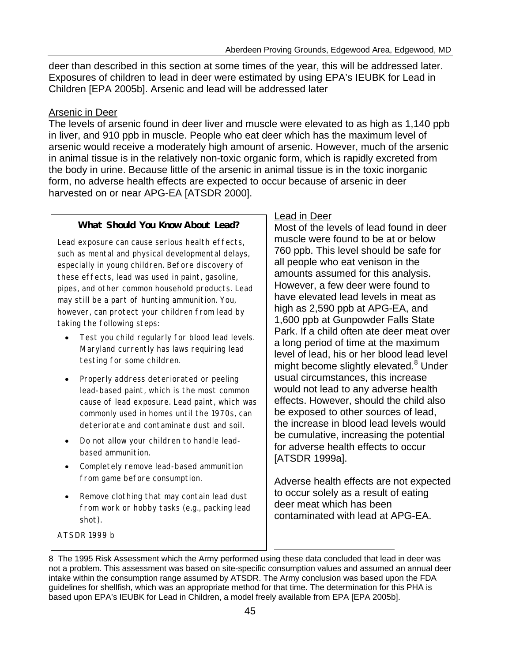deer than described in this section at some times of the year, this will be addressed later. Exposures of children to lead in deer were estimated by using EPA's IEUBK for Lead in Children [EPA 2005b]. Arsenic and lead will be addressed later

#### Arsenic in Deer

The levels of arsenic found in deer liver and muscle were elevated to as high as 1,140 ppb in liver, and 910 ppb in muscle. People who eat deer which has the maximum level of arsenic would receive a moderately high amount of arsenic. However, much of the arsenic in animal tissue is in the relatively non-toxic organic form, which is rapidly excreted from the body in urine. Because little of the arsenic in animal tissue is in the toxic inorganic form, no adverse health effects are expected to occur because of arsenic in deer harvested on or near APG-EA [ATSDR 2000].

#### **What Should You Know About Lead?**

Lead exposure can cause serious health effects, such as mental and physical developmental delays, especially in young children. Before discovery of these effects, lead was used in paint, gasoline, pipes, and other common household products. Lead may still be a part of hunting ammunition. You, however, can protect your children from lead by taking the following steps: 

- Test you child regularly for blood lead levels. Maryland currently has laws requiring lead testing for some children.
- Properly address deteriorated or peeling lead-based paint, which is the most common cause of lead exposure. Lead paint, which was commonly used in homes until the 1970s, can deteriorate and contaminate dust and soil.
- Do not allow your children to handle leadbased ammunition.
- • Completely remove lead-based ammunition from game before consumption.
- Remove clothing that may contain lead dust from work or hobby tasks (e.g., packing lead shot).

ATSDR 1999 b

#### Lead in Deer

Most of the levels of lead found in deer muscle were found to be at or below 760 ppb. This level should be safe for all people who eat venison in the amounts assumed for this analysis. However, a few deer were found to have elevated lead levels in meat as high as 2,590 ppb at APG-EA, and 1,600 ppb at Gunpowder Falls State Park. If a child often ate deer meat over a long period of time at the maximum level of lead, his or her blood lead level might become slightly elevated.<sup>8</sup> Under usual circumstances, this increase would not lead to any adverse health effects. However, should the child also be exposed to other sources of lead, the increase in blood lead levels would be cumulative, increasing the potential for adverse health effects to occur [ATSDR 1999a].

Adverse health effects are not expected to occur solely as a result of eating deer meat which has been contaminated with lead at APG-EA.

8 The 1995 Risk Assessment which the Army performed using these data concluded that lead in deer was not a problem. This assessment was based on site-specific consumption values and assumed an annual deer intake within the consumption range assumed by ATSDR. The Army conclusion was based upon the FDA guidelines for shellfish, which was an appropriate method for that time. The determination for this PHA is based upon EPA's IEUBK for Lead in Children, a model freely available from EPA [EPA 2005b].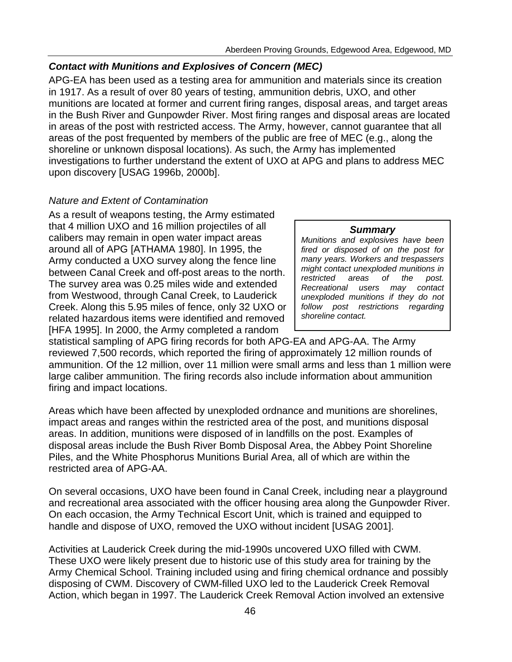#### *Contact with Munitions and Explosives of Concern (MEC)*

APG-EA has been used as a testing area for ammunition and materials since its creation in 1917. As a result of over 80 years of testing, ammunition debris, UXO, and other munitions are located at former and current firing ranges, disposal areas, and target areas in the Bush River and Gunpowder River. Most firing ranges and disposal areas are located in areas of the post with restricted access. The Army, however, cannot guarantee that all areas of the post frequented by members of the public are free of MEC (e.g., along the shoreline or unknown disposal locations). As such, the Army has implemented investigations to further understand the extent of UXO at APG and plans to address MEC upon discovery [USAG 1996b, 2000b].

#### *Nature and Extent of Contamination*

As a result of weapons testing, the Army estimated that 4 million UXO and 16 million projectiles of all *Summary* calibers may remain in open water impact areas *Munitions and explosives have been*  around all of APG [ATHAMA 1980]. In 1995, the *fired or disposed of on the post for* and *fired or disposed of on the post for*  $\frac{1}{2}$  *fired or disposed of on the post for* Army conducted a UXO survey along the fence line *many years. Workers and trespassers*  between Canal Creek and off-post areas to the north.  $\left\{\n\begin{array}{cc}\n mgnt contact \ unexploed \ muntions in \n\end{array}\n\right\}$ <br>
The survey area was 0.25 miles wide and extended<br>  $\left\{\n\begin{array}{cc}\n mgnt \ contact \n\end{array}\n\right\}$ from Westwood, through Canal Creek, to Lauderick *unexploded munitions if they do not*  Creek. Along this 5.95 miles of fence, only 32 UXO or *follow post restrictions regarding*<br>related hazardous items were identified and removed shoreline contact. related hazardous items were identified and removed [HFA 1995]. In 2000, the Army completed a random

statistical sampling of APG firing records for both APG-EA and APG-AA. The Army reviewed 7,500 records, which reported the firing of approximately 12 million rounds of ammunition. Of the 12 million, over 11 million were small arms and less than 1 million were large caliber ammunition. The firing records also include information about ammunition firing and impact locations.

Areas which have been affected by unexploded ordnance and munitions are shorelines, impact areas and ranges within the restricted area of the post, and munitions disposal areas. In addition, munitions were disposed of in landfills on the post. Examples of disposal areas include the Bush River Bomb Disposal Area, the Abbey Point Shoreline Piles, and the White Phosphorus Munitions Burial Area, all of which are within the restricted area of APG-AA.

On several occasions, UXO have been found in Canal Creek, including near a playground and recreational area associated with the officer housing area along the Gunpowder River. On each occasion, the Army Technical Escort Unit, which is trained and equipped to handle and dispose of UXO, removed the UXO without incident [USAG 2001].

Activities at Lauderick Creek during the mid-1990s uncovered UXO filled with CWM. These UXO were likely present due to historic use of this study area for training by the Army Chemical School. Training included using and firing chemical ordnance and possibly disposing of CWM. Discovery of CWM-filled UXO led to the Lauderick Creek Removal Action, which began in 1997. The Lauderick Creek Removal Action involved an extensive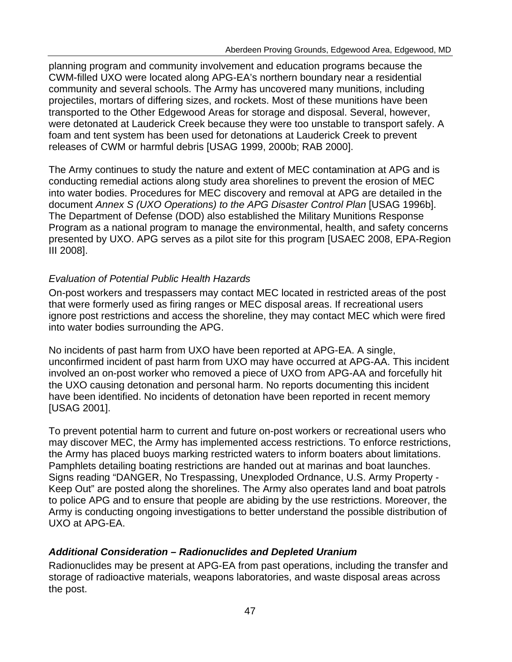planning program and community involvement and education programs because the CWM-filled UXO were located along APG-EA's northern boundary near a residential community and several schools. The Army has uncovered many munitions, including projectiles, mortars of differing sizes, and rockets. Most of these munitions have been transported to the Other Edgewood Areas for storage and disposal. Several, however, were detonated at Lauderick Creek because they were too unstable to transport safely. A foam and tent system has been used for detonations at Lauderick Creek to prevent releases of CWM or harmful debris [USAG 1999, 2000b; RAB 2000].

The Army continues to study the nature and extent of MEC contamination at APG and is conducting remedial actions along study area shorelines to prevent the erosion of MEC into water bodies. Procedures for MEC discovery and removal at APG are detailed in the document *Annex S (UXO Operations) to the APG Disaster Control Plan* [USAG 1996b]. The Department of Defense (DOD) also established the Military Munitions Response Program as a national program to manage the environmental, health, and safety concerns presented by UXO. APG serves as a pilot site for this program [USAEC 2008, EPA-Region III 2008].

### *Evaluation of Potential Public Health Hazards*

On-post workers and trespassers may contact MEC located in restricted areas of the post that were formerly used as firing ranges or MEC disposal areas. If recreational users ignore post restrictions and access the shoreline, they may contact MEC which were fired into water bodies surrounding the APG.

No incidents of past harm from UXO have been reported at APG-EA. A single, unconfirmed incident of past harm from UXO may have occurred at APG-AA. This incident involved an on-post worker who removed a piece of UXO from APG-AA and forcefully hit the UXO causing detonation and personal harm. No reports documenting this incident have been identified. No incidents of detonation have been reported in recent memory [USAG 2001].

To prevent potential harm to current and future on-post workers or recreational users who may discover MEC, the Army has implemented access restrictions. To enforce restrictions, the Army has placed buoys marking restricted waters to inform boaters about limitations. Pamphlets detailing boating restrictions are handed out at marinas and boat launches. Signs reading "DANGER, No Trespassing, Unexploded Ordnance, U.S. Army Property - Keep Out" are posted along the shorelines. The Army also operates land and boat patrols to police APG and to ensure that people are abiding by the use restrictions. Moreover, the Army is conducting ongoing investigations to better understand the possible distribution of UXO at APG-EA.

#### *Additional Consideration – Radionuclides and Depleted Uranium*

Radionuclides may be present at APG-EA from past operations, including the transfer and storage of radioactive materials, weapons laboratories, and waste disposal areas across the post.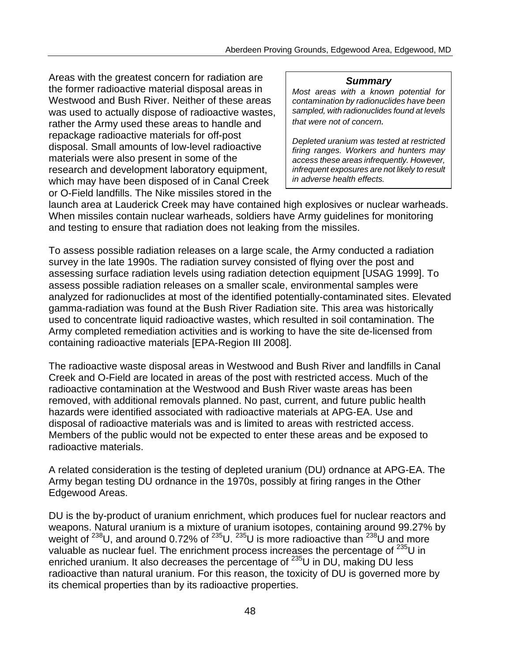Areas with the greatest concern for radiation are *Summary* the former radioactive material disposal areas in *Most areas with a known potential for* Westwood and Bush River. Neither of these areas contamination by radionuclides have been<br>was used to actually dispose of radioactive wastes sampled, with radionuclides found at levels was used to actually dispose of radioactive wastes, rather the Army used these areas to handle and  $\frac{1}{1}$  that were not of concern. repackage radioactive materials for off-post *Depleted uranium was tested at restricted* disposal. Small amounts of low-level radioactive *firing ranges. Workers and hunters may*  materials were also present in some of the *access these areas infrequently. However,* research and development laboratory equipment, *infrequent exposures are not likely to result*  which may have been disposed of in Canal Creek or O-Field landfills. The Nike missiles stored in the

I

launch area at Lauderick Creek may have contained high explosives or nuclear warheads. When missiles contain nuclear warheads, soldiers have Army guidelines for monitoring and testing to ensure that radiation does not leaking from the missiles.

To assess possible radiation releases on a large scale, the Army conducted a radiation survey in the late 1990s. The radiation survey consisted of flying over the post and assessing surface radiation levels using radiation detection equipment [USAG 1999]. To assess possible radiation releases on a smaller scale, environmental samples were analyzed for radionuclides at most of the identified potentially-contaminated sites. Elevated gamma-radiation was found at the Bush River Radiation site. This area was historically used to concentrate liquid radioactive wastes, which resulted in soil contamination. The Army completed remediation activities and is working to have the site de-licensed from containing radioactive materials [EPA-Region III 2008].

The radioactive waste disposal areas in Westwood and Bush River and landfills in Canal Creek and O-Field are located in areas of the post with restricted access. Much of the radioactive contamination at the Westwood and Bush River waste areas has been removed, with additional removals planned. No past, current, and future public health hazards were identified associated with radioactive materials at APG-EA. Use and disposal of radioactive materials was and is limited to areas with restricted access. Members of the public would not be expected to enter these areas and be exposed to radioactive materials.

A related consideration is the testing of depleted uranium (DU) ordnance at APG-EA. The Army began testing DU ordnance in the 1970s, possibly at firing ranges in the Other Edgewood Areas.

DU is the by-product of uranium enrichment, which produces fuel for nuclear reactors and weapons. Natural uranium is a mixture of uranium isotopes, containing around 99.27% by weight of  $^{238}$ U, and around 0.72% of  $^{235}$ U.  $^{235}$ U is more radioactive than  $^{238}$ U and more valuable as nuclear fuel. The enrichment process increases the percentage of <sup>235</sup>U in enriched uranium. It also decreases the percentage of  $^{235}$ U in DU, making DU less radioactive than natural uranium. For this reason, the toxicity of DU is governed more by its chemical properties than by its radioactive properties.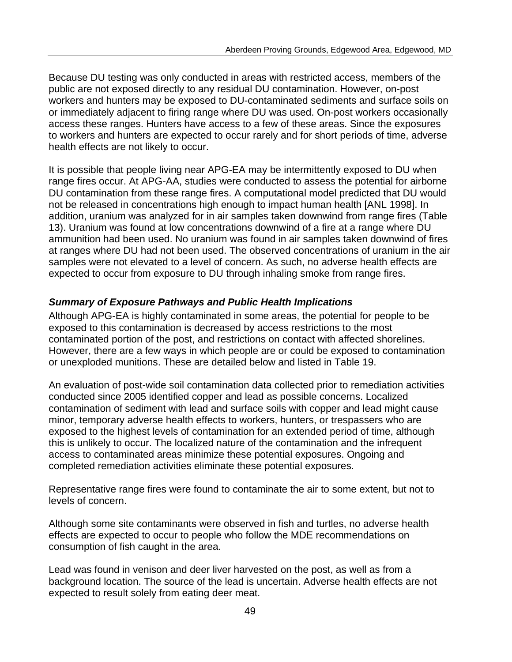Because DU testing was only conducted in areas with restricted access, members of the public are not exposed directly to any residual DU contamination. However, on-post workers and hunters may be exposed to DU-contaminated sediments and surface soils on or immediately adjacent to firing range where DU was used. On-post workers occasionally access these ranges. Hunters have access to a few of these areas. Since the exposures to workers and hunters are expected to occur rarely and for short periods of time, adverse health effects are not likely to occur.

It is possible that people living near APG-EA may be intermittently exposed to DU when range fires occur. At APG-AA, studies were conducted to assess the potential for airborne DU contamination from these range fires. A computational model predicted that DU would not be released in concentrations high enough to impact human health [ANL 1998]. In addition, uranium was analyzed for in air samples taken downwind from range fires (Table 13). Uranium was found at low concentrations downwind of a fire at a range where DU ammunition had been used. No uranium was found in air samples taken downwind of fires at ranges where DU had not been used. The observed concentrations of uranium in the air samples were not elevated to a level of concern. As such, no adverse health effects are expected to occur from exposure to DU through inhaling smoke from range fires.

### *Summary of Exposure Pathways and Public Health Implications*

Although APG-EA is highly contaminated in some areas, the potential for people to be exposed to this contamination is decreased by access restrictions to the most contaminated portion of the post, and restrictions on contact with affected shorelines. However, there are a few ways in which people are or could be exposed to contamination or unexploded munitions. These are detailed below and listed in Table 19.

An evaluation of post-wide soil contamination data collected prior to remediation activities conducted since 2005 identified copper and lead as possible concerns. Localized contamination of sediment with lead and surface soils with copper and lead might cause minor, temporary adverse health effects to workers, hunters, or trespassers who are exposed to the highest levels of contamination for an extended period of time, although this is unlikely to occur. The localized nature of the contamination and the infrequent access to contaminated areas minimize these potential exposures. Ongoing and completed remediation activities eliminate these potential exposures.

Representative range fires were found to contaminate the air to some extent, but not to levels of concern.

Although some site contaminants were observed in fish and turtles, no adverse health effects are expected to occur to people who follow the MDE recommendations on consumption of fish caught in the area.

Lead was found in venison and deer liver harvested on the post, as well as from a background location. The source of the lead is uncertain. Adverse health effects are not expected to result solely from eating deer meat.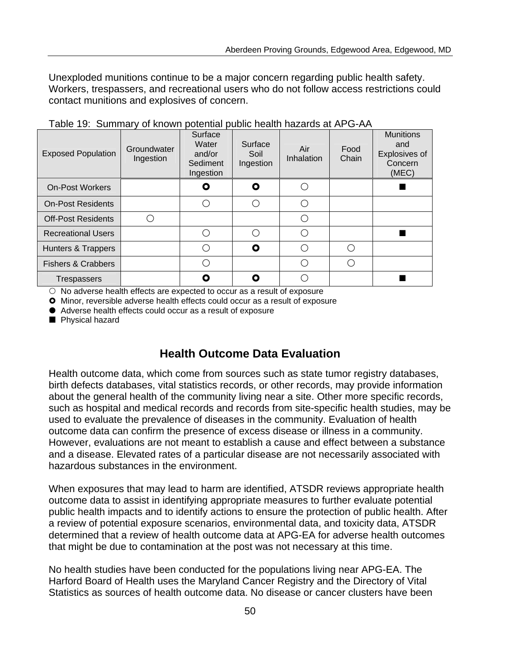Unexploded munitions continue to be a major concern regarding public health safety. Workers, trespassers, and recreational users who do not follow access restrictions could contact munitions and explosives of concern.

| <b>Exposed Population</b>     | Groundwater<br>Ingestion | Surface<br>Water<br>and/or<br>Sediment<br>Ingestion | Surface<br>Soil<br>Ingestion | Air<br>Inhalation | Food<br>Chain | <b>Munitions</b><br>and<br>Explosives of<br>Concern<br>(MEC) |
|-------------------------------|--------------------------|-----------------------------------------------------|------------------------------|-------------------|---------------|--------------------------------------------------------------|
| <b>On-Post Workers</b>        |                          | Ο                                                   | Ο                            |                   |               |                                                              |
| <b>On-Post Residents</b>      |                          |                                                     |                              | ∩                 |               |                                                              |
| <b>Off-Post Residents</b>     |                          |                                                     |                              | ( `               |               |                                                              |
| <b>Recreational Users</b>     |                          |                                                     |                              | ∩                 |               |                                                              |
| Hunters & Trappers            |                          |                                                     | Ο                            | ( )               |               |                                                              |
| <b>Fishers &amp; Crabbers</b> |                          |                                                     |                              |                   |               |                                                              |
| Trespassers                   |                          |                                                     | Ω                            |                   |               |                                                              |

Table 19: Summary of known potential public health hazards at APG-AA

 $\circ$  No adverse health effects are expected to occur as a result of exposure

**O** Minor, reversible adverse health effects could occur as a result of exposure

 $\bullet$  Adverse health effects could occur as a result of exposure

**Physical hazard** 

# **Health Outcome Data Evaluation**

Health outcome data, which come from sources such as state tumor registry databases, birth defects databases, vital statistics records, or other records, may provide information about the general health of the community living near a site. Other more specific records, such as hospital and medical records and records from site-specific health studies, may be used to evaluate the prevalence of diseases in the community. Evaluation of health outcome data can confirm the presence of excess disease or illness in a community. However, evaluations are not meant to establish a cause and effect between a substance and a disease. Elevated rates of a particular disease are not necessarily associated with hazardous substances in the environment.

When exposures that may lead to harm are identified, ATSDR reviews appropriate health outcome data to assist in identifying appropriate measures to further evaluate potential public health impacts and to identify actions to ensure the protection of public health. After a review of potential exposure scenarios, environmental data, and toxicity data, ATSDR determined that a review of health outcome data at APG-EA for adverse health outcomes that might be due to contamination at the post was not necessary at this time.

No health studies have been conducted for the populations living near APG-EA. The Harford Board of Health uses the Maryland Cancer Registry and the Directory of Vital Statistics as sources of health outcome data. No disease or cancer clusters have been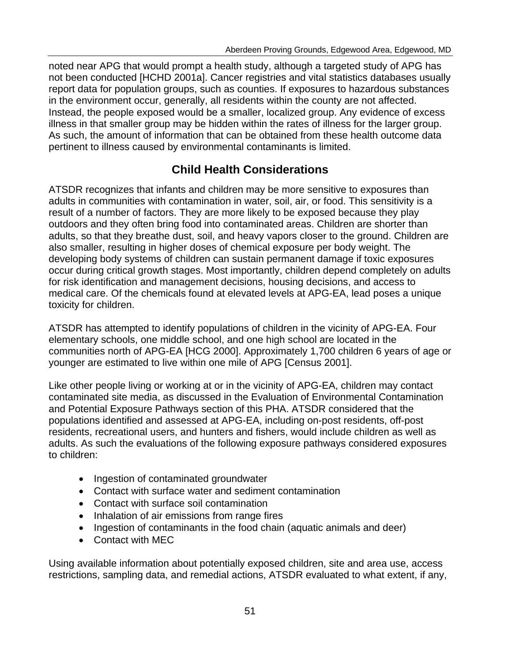noted near APG that would prompt a health study, although a targeted study of APG has not been conducted [HCHD 2001a]. Cancer registries and vital statistics databases usually report data for population groups, such as counties. If exposures to hazardous substances in the environment occur, generally, all residents within the county are not affected. Instead, the people exposed would be a smaller, localized group. Any evidence of excess illness in that smaller group may be hidden within the rates of illness for the larger group. As such, the amount of information that can be obtained from these health outcome data pertinent to illness caused by environmental contaminants is limited.

# **Child Health Considerations**

ATSDR recognizes that infants and children may be more sensitive to exposures than adults in communities with contamination in water, soil, air, or food. This sensitivity is a result of a number of factors. They are more likely to be exposed because they play outdoors and they often bring food into contaminated areas. Children are shorter than adults, so that they breathe dust, soil, and heavy vapors closer to the ground. Children are also smaller, resulting in higher doses of chemical exposure per body weight. The developing body systems of children can sustain permanent damage if toxic exposures occur during critical growth stages. Most importantly, children depend completely on adults for risk identification and management decisions, housing decisions, and access to medical care. Of the chemicals found at elevated levels at APG-EA, lead poses a unique toxicity for children.

ATSDR has attempted to identify populations of children in the vicinity of APG-EA. Four elementary schools, one middle school, and one high school are located in the communities north of APG-EA [HCG 2000]. Approximately 1,700 children 6 years of age or younger are estimated to live within one mile of APG [Census 2001].

Like other people living or working at or in the vicinity of APG-EA, children may contact contaminated site media, as discussed in the Evaluation of Environmental Contamination and Potential Exposure Pathways section of this PHA. ATSDR considered that the populations identified and assessed at APG-EA, including on-post residents, off-post residents, recreational users, and hunters and fishers, would include children as well as adults. As such the evaluations of the following exposure pathways considered exposures to children:

- Ingestion of contaminated groundwater
- Contact with surface water and sediment contamination
- Contact with surface soil contamination
- Inhalation of air emissions from range fires
- Ingestion of contaminants in the food chain (aquatic animals and deer)
- Contact with MEC

Using available information about potentially exposed children, site and area use, access restrictions, sampling data, and remedial actions, ATSDR evaluated to what extent, if any,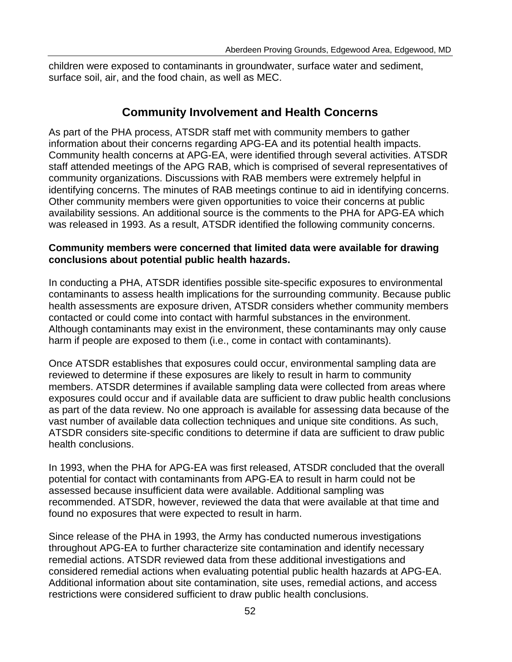children were exposed to contaminants in groundwater, surface water and sediment, surface soil, air, and the food chain, as well as MEC.

# **Community Involvement and Health Concerns**

As part of the PHA process, ATSDR staff met with community members to gather information about their concerns regarding APG-EA and its potential health impacts. Community health concerns at APG-EA, were identified through several activities. ATSDR staff attended meetings of the APG RAB, which is comprised of several representatives of community organizations. Discussions with RAB members were extremely helpful in identifying concerns. The minutes of RAB meetings continue to aid in identifying concerns. Other community members were given opportunities to voice their concerns at public availability sessions. An additional source is the comments to the PHA for APG-EA which was released in 1993. As a result, ATSDR identified the following community concerns.

#### **Community members were concerned that limited data were available for drawing conclusions about potential public health hazards.**

In conducting a PHA, ATSDR identifies possible site-specific exposures to environmental contaminants to assess health implications for the surrounding community. Because public health assessments are exposure driven, ATSDR considers whether community members contacted or could come into contact with harmful substances in the environment. Although contaminants may exist in the environment, these contaminants may only cause harm if people are exposed to them (i.e., come in contact with contaminants).

Once ATSDR establishes that exposures could occur, environmental sampling data are reviewed to determine if these exposures are likely to result in harm to community members. ATSDR determines if available sampling data were collected from areas where exposures could occur and if available data are sufficient to draw public health conclusions as part of the data review. No one approach is available for assessing data because of the vast number of available data collection techniques and unique site conditions. As such, ATSDR considers site-specific conditions to determine if data are sufficient to draw public health conclusions.

In 1993, when the PHA for APG-EA was first released, ATSDR concluded that the overall potential for contact with contaminants from APG-EA to result in harm could not be assessed because insufficient data were available. Additional sampling was recommended. ATSDR, however, reviewed the data that were available at that time and found no exposures that were expected to result in harm.

Since release of the PHA in 1993, the Army has conducted numerous investigations throughout APG-EA to further characterize site contamination and identify necessary remedial actions. ATSDR reviewed data from these additional investigations and considered remedial actions when evaluating potential public health hazards at APG-EA. Additional information about site contamination, site uses, remedial actions, and access restrictions were considered sufficient to draw public health conclusions.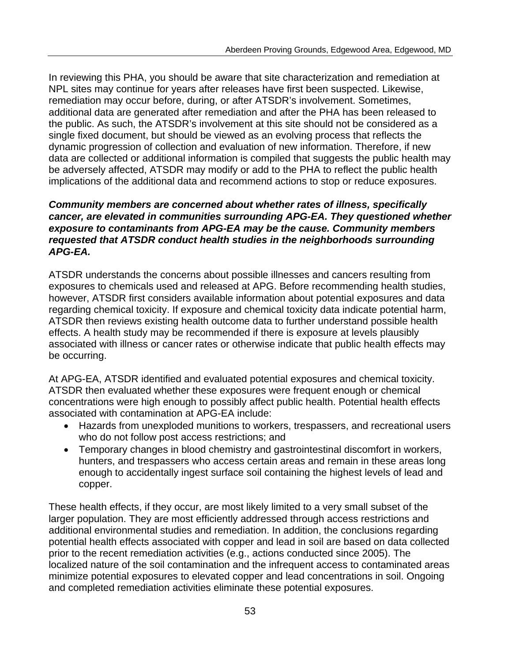In reviewing this PHA, you should be aware that site characterization and remediation at NPL sites may continue for years after releases have first been suspected. Likewise, remediation may occur before, during, or after ATSDR's involvement. Sometimes, additional data are generated after remediation and after the PHA has been released to the public. As such, the ATSDR's involvement at this site should not be considered as a single fixed document, but should be viewed as an evolving process that reflects the dynamic progression of collection and evaluation of new information. Therefore, if new data are collected or additional information is compiled that suggests the public health may be adversely affected, ATSDR may modify or add to the PHA to reflect the public health implications of the additional data and recommend actions to stop or reduce exposures.

#### *Community members are concerned about whether rates of illness, specifically cancer, are elevated in communities surrounding APG-EA. They questioned whether exposure to contaminants from APG-EA may be the cause. Community members requested that ATSDR conduct health studies in the neighborhoods surrounding APG-EA.*

ATSDR understands the concerns about possible illnesses and cancers resulting from exposures to chemicals used and released at APG. Before recommending health studies, however, ATSDR first considers available information about potential exposures and data regarding chemical toxicity. If exposure and chemical toxicity data indicate potential harm, ATSDR then reviews existing health outcome data to further understand possible health effects. A health study may be recommended if there is exposure at levels plausibly associated with illness or cancer rates or otherwise indicate that public health effects may be occurring.

At APG-EA, ATSDR identified and evaluated potential exposures and chemical toxicity. ATSDR then evaluated whether these exposures were frequent enough or chemical concentrations were high enough to possibly affect public health. Potential health effects associated with contamination at APG-EA include:

- Hazards from unexploded munitions to workers, trespassers, and recreational users who do not follow post access restrictions; and
- Temporary changes in blood chemistry and gastrointestinal discomfort in workers, hunters, and trespassers who access certain areas and remain in these areas long enough to accidentally ingest surface soil containing the highest levels of lead and copper.

These health effects, if they occur, are most likely limited to a very small subset of the larger population. They are most efficiently addressed through access restrictions and additional environmental studies and remediation. In addition, the conclusions regarding potential health effects associated with copper and lead in soil are based on data collected prior to the recent remediation activities (e.g., actions conducted since 2005). The localized nature of the soil contamination and the infrequent access to contaminated areas minimize potential exposures to elevated copper and lead concentrations in soil. Ongoing and completed remediation activities eliminate these potential exposures.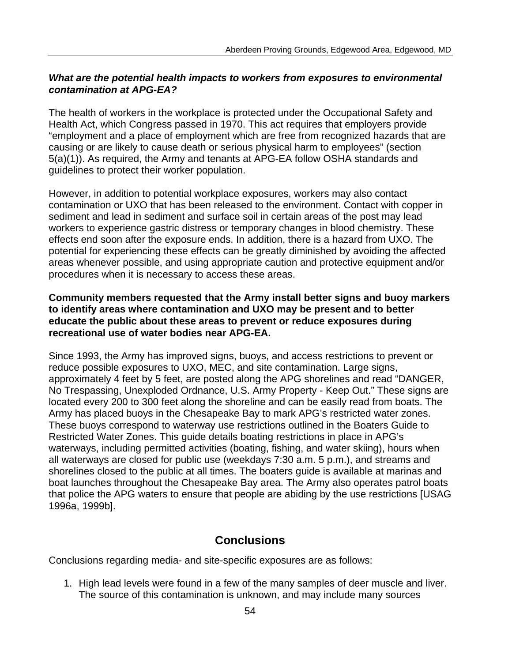#### *What are the potential health impacts to workers from exposures to environmental contamination at APG-EA?*

The health of workers in the workplace is protected under the Occupational Safety and Health Act, which Congress passed in 1970. This act requires that employers provide "employment and a place of employment which are free from recognized hazards that are causing or are likely to cause death or serious physical harm to employees" (section 5(a)(1)). As required, the Army and tenants at APG-EA follow OSHA standards and guidelines to protect their worker population.

However, in addition to potential workplace exposures, workers may also contact contamination or UXO that has been released to the environment. Contact with copper in sediment and lead in sediment and surface soil in certain areas of the post may lead workers to experience gastric distress or temporary changes in blood chemistry. These effects end soon after the exposure ends. In addition, there is a hazard from UXO. The potential for experiencing these effects can be greatly diminished by avoiding the affected areas whenever possible, and using appropriate caution and protective equipment and/or procedures when it is necessary to access these areas.

#### **Community members requested that the Army install better signs and buoy markers to identify areas where contamination and UXO may be present and to better educate the public about these areas to prevent or reduce exposures during recreational use of water bodies near APG-EA.**

Since 1993, the Army has improved signs, buoys, and access restrictions to prevent or reduce possible exposures to UXO, MEC, and site contamination. Large signs, approximately 4 feet by 5 feet, are posted along the APG shorelines and read "DANGER, No Trespassing, Unexploded Ordnance, U.S. Army Property - Keep Out." These signs are located every 200 to 300 feet along the shoreline and can be easily read from boats. The Army has placed buoys in the Chesapeake Bay to mark APG's restricted water zones. These buoys correspond to waterway use restrictions outlined in the Boaters Guide to Restricted Water Zones. This guide details boating restrictions in place in APG's waterways, including permitted activities (boating, fishing, and water skiing), hours when all waterways are closed for public use (weekdays 7:30 a.m. 5 p.m.), and streams and shorelines closed to the public at all times. The boaters guide is available at marinas and boat launches throughout the Chesapeake Bay area. The Army also operates patrol boats that police the APG waters to ensure that people are abiding by the use restrictions [USAG 1996a, 1999b].

# **Conclusions**

Conclusions regarding media- and site-specific exposures are as follows:

1. High lead levels were found in a few of the many samples of deer muscle and liver. The source of this contamination is unknown, and may include many sources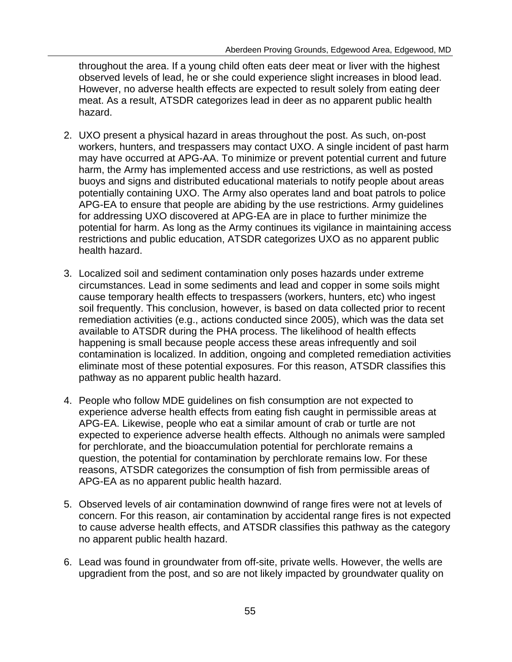throughout the area. If a young child often eats deer meat or liver with the highest observed levels of lead, he or she could experience slight increases in blood lead. However, no adverse health effects are expected to result solely from eating deer meat. As a result, ATSDR categorizes lead in deer as no apparent public health hazard.

- 2. UXO present a physical hazard in areas throughout the post. As such, on-post workers, hunters, and trespassers may contact UXO. A single incident of past harm may have occurred at APG-AA. To minimize or prevent potential current and future harm, the Army has implemented access and use restrictions, as well as posted buoys and signs and distributed educational materials to notify people about areas potentially containing UXO. The Army also operates land and boat patrols to police APG-EA to ensure that people are abiding by the use restrictions. Army guidelines for addressing UXO discovered at APG-EA are in place to further minimize the potential for harm. As long as the Army continues its vigilance in maintaining access restrictions and public education, ATSDR categorizes UXO as no apparent public health hazard.
- 3. Localized soil and sediment contamination only poses hazards under extreme circumstances. Lead in some sediments and lead and copper in some soils might cause temporary health effects to trespassers (workers, hunters, etc) who ingest soil frequently. This conclusion, however, is based on data collected prior to recent remediation activities (e.g., actions conducted since 2005), which was the data set available to ATSDR during the PHA process. The likelihood of health effects happening is small because people access these areas infrequently and soil contamination is localized. In addition, ongoing and completed remediation activities eliminate most of these potential exposures. For this reason, ATSDR classifies this pathway as no apparent public health hazard.
- 4. People who follow MDE guidelines on fish consumption are not expected to experience adverse health effects from eating fish caught in permissible areas at APG-EA. Likewise, people who eat a similar amount of crab or turtle are not expected to experience adverse health effects. Although no animals were sampled for perchlorate, and the bioaccumulation potential for perchlorate remains a question, the potential for contamination by perchlorate remains low. For these reasons, ATSDR categorizes the consumption of fish from permissible areas of APG-EA as no apparent public health hazard.
- 5. Observed levels of air contamination downwind of range fires were not at levels of concern. For this reason, air contamination by accidental range fires is not expected to cause adverse health effects, and ATSDR classifies this pathway as the category no apparent public health hazard.
- 6. Lead was found in groundwater from off-site, private wells. However, the wells are upgradient from the post, and so are not likely impacted by groundwater quality on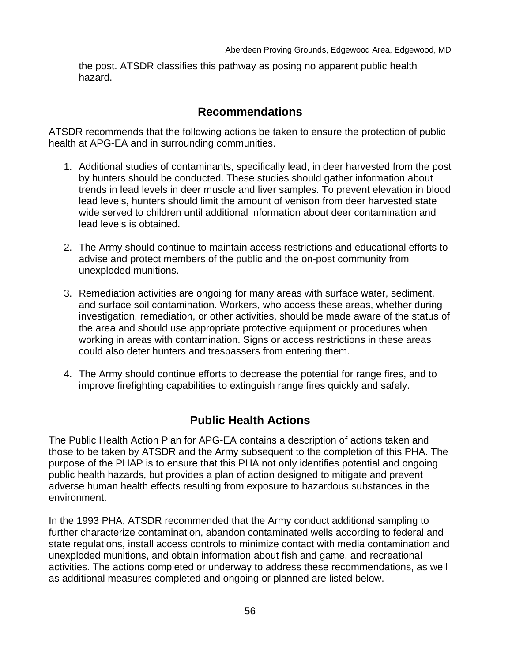the post. ATSDR classifies this pathway as posing no apparent public health hazard.

# **Recommendations**

ATSDR recommends that the following actions be taken to ensure the protection of public health at APG-EA and in surrounding communities.

- 1. Additional studies of contaminants, specifically lead, in deer harvested from the post by hunters should be conducted. These studies should gather information about trends in lead levels in deer muscle and liver samples. To prevent elevation in blood lead levels, hunters should limit the amount of venison from deer harvested state wide served to children until additional information about deer contamination and lead levels is obtained.
- 2. The Army should continue to maintain access restrictions and educational efforts to advise and protect members of the public and the on-post community from unexploded munitions.
- 3. Remediation activities are ongoing for many areas with surface water, sediment, and surface soil contamination. Workers, who access these areas, whether during investigation, remediation, or other activities, should be made aware of the status of the area and should use appropriate protective equipment or procedures when working in areas with contamination. Signs or access restrictions in these areas could also deter hunters and trespassers from entering them.
- 4. The Army should continue efforts to decrease the potential for range fires, and to improve firefighting capabilities to extinguish range fires quickly and safely.

# **Public Health Actions**

The Public Health Action Plan for APG-EA contains a description of actions taken and those to be taken by ATSDR and the Army subsequent to the completion of this PHA. The purpose of the PHAP is to ensure that this PHA not only identifies potential and ongoing public health hazards, but provides a plan of action designed to mitigate and prevent adverse human health effects resulting from exposure to hazardous substances in the environment.

In the 1993 PHA, ATSDR recommended that the Army conduct additional sampling to further characterize contamination, abandon contaminated wells according to federal and state regulations, install access controls to minimize contact with media contamination and unexploded munitions, and obtain information about fish and game, and recreational activities. The actions completed or underway to address these recommendations, as well as additional measures completed and ongoing or planned are listed below.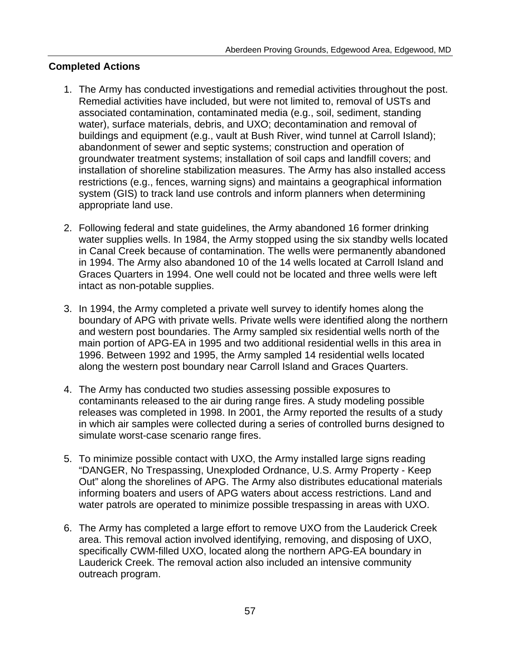#### **Completed Actions**

- 1. The Army has conducted investigations and remedial activities throughout the post. Remedial activities have included, but were not limited to, removal of USTs and associated contamination, contaminated media (e.g., soil, sediment, standing water), surface materials, debris, and UXO; decontamination and removal of buildings and equipment (e.g., vault at Bush River, wind tunnel at Carroll Island); abandonment of sewer and septic systems; construction and operation of groundwater treatment systems; installation of soil caps and landfill covers; and installation of shoreline stabilization measures. The Army has also installed access restrictions (e.g., fences, warning signs) and maintains a geographical information system (GIS) to track land use controls and inform planners when determining appropriate land use.
- 2. Following federal and state guidelines, the Army abandoned 16 former drinking water supplies wells. In 1984, the Army stopped using the six standby wells located in Canal Creek because of contamination. The wells were permanently abandoned in 1994. The Army also abandoned 10 of the 14 wells located at Carroll Island and Graces Quarters in 1994. One well could not be located and three wells were left intact as non-potable supplies.
- 3. In 1994, the Army completed a private well survey to identify homes along the boundary of APG with private wells. Private wells were identified along the northern and western post boundaries. The Army sampled six residential wells north of the main portion of APG-EA in 1995 and two additional residential wells in this area in 1996. Between 1992 and 1995, the Army sampled 14 residential wells located along the western post boundary near Carroll Island and Graces Quarters.
- 4. The Army has conducted two studies assessing possible exposures to contaminants released to the air during range fires. A study modeling possible releases was completed in 1998. In 2001, the Army reported the results of a study in which air samples were collected during a series of controlled burns designed to simulate worst-case scenario range fires.
- 5. To minimize possible contact with UXO, the Army installed large signs reading "DANGER, No Trespassing, Unexploded Ordnance, U.S. Army Property - Keep Out" along the shorelines of APG. The Army also distributes educational materials informing boaters and users of APG waters about access restrictions. Land and water patrols are operated to minimize possible trespassing in areas with UXO.
- 6. The Army has completed a large effort to remove UXO from the Lauderick Creek area. This removal action involved identifying, removing, and disposing of UXO, specifically CWM-filled UXO, located along the northern APG-EA boundary in Lauderick Creek. The removal action also included an intensive community outreach program.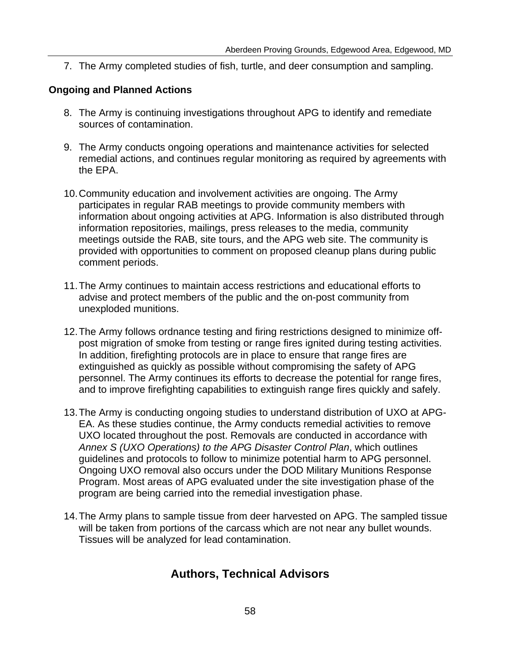7. The Army completed studies of fish, turtle, and deer consumption and sampling.

#### **Ongoing and Planned Actions**

- 8. The Army is continuing investigations throughout APG to identify and remediate sources of contamination.
- 9. The Army conducts ongoing operations and maintenance activities for selected remedial actions, and continues regular monitoring as required by agreements with the EPA.
- 10.Community education and involvement activities are ongoing. The Army participates in regular RAB meetings to provide community members with information about ongoing activities at APG. Information is also distributed through information repositories, mailings, press releases to the media, community meetings outside the RAB, site tours, and the APG web site. The community is provided with opportunities to comment on proposed cleanup plans during public comment periods.
- 11.The Army continues to maintain access restrictions and educational efforts to advise and protect members of the public and the on-post community from unexploded munitions.
- 12.The Army follows ordnance testing and firing restrictions designed to minimize offpost migration of smoke from testing or range fires ignited during testing activities. In addition, firefighting protocols are in place to ensure that range fires are extinguished as quickly as possible without compromising the safety of APG personnel. The Army continues its efforts to decrease the potential for range fires, and to improve firefighting capabilities to extinguish range fires quickly and safely.
- 13.The Army is conducting ongoing studies to understand distribution of UXO at APG-EA. As these studies continue, the Army conducts remedial activities to remove UXO located throughout the post. Removals are conducted in accordance with *Annex S (UXO Operations) to the APG Disaster Control Plan*, which outlines guidelines and protocols to follow to minimize potential harm to APG personnel. Ongoing UXO removal also occurs under the DOD Military Munitions Response Program. Most areas of APG evaluated under the site investigation phase of the program are being carried into the remedial investigation phase.
- 14.The Army plans to sample tissue from deer harvested on APG. The sampled tissue will be taken from portions of the carcass which are not near any bullet wounds. Tissues will be analyzed for lead contamination.

# **Authors, Technical Advisors**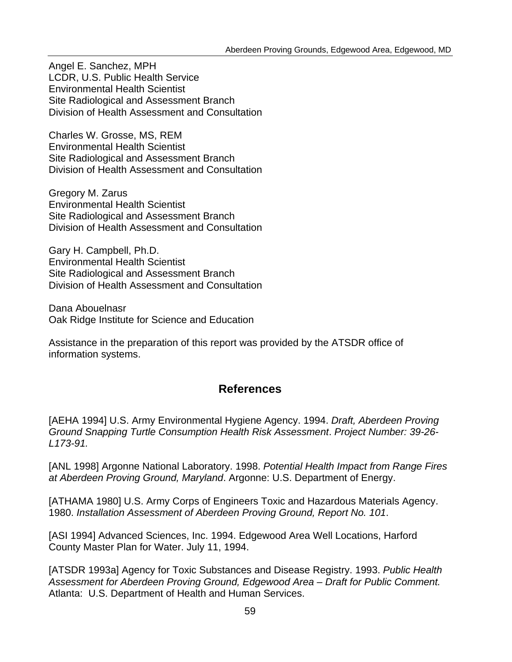Angel E. Sanchez, MPH LCDR, U.S. Public Health Service Environmental Health Scientist Site Radiological and Assessment Branch Division of Health Assessment and Consultation

Charles W. Grosse, MS, REM Environmental Health Scientist Site Radiological and Assessment Branch Division of Health Assessment and Consultation

Gregory M. Zarus Environmental Health Scientist Site Radiological and Assessment Branch Division of Health Assessment and Consultation

Gary H. Campbell, Ph.D. Environmental Health Scientist Site Radiological and Assessment Branch Division of Health Assessment and Consultation

Dana Abouelnasr Oak Ridge Institute for Science and Education

Assistance in the preparation of this report was provided by the ATSDR office of information systems.

# **References**

[AEHA 1994] U.S. Army Environmental Hygiene Agency. 1994. *Draft, Aberdeen Proving Ground Snapping Turtle Consumption Health Risk Assessment*. *Project Number: 39-26- L173-91.* 

[ANL 1998] Argonne National Laboratory. 1998. *Potential Health Impact from Range Fires at Aberdeen Proving Ground, Maryland*. Argonne: U.S. Department of Energy.

[ATHAMA 1980] U.S. Army Corps of Engineers Toxic and Hazardous Materials Agency. 1980. *Installation Assessment of Aberdeen Proving Ground, Report No. 101*.

[ASI 1994] Advanced Sciences, Inc. 1994. Edgewood Area Well Locations, Harford County Master Plan for Water. July 11, 1994.

[ATSDR 1993a] Agency for Toxic Substances and Disease Registry. 1993. *Public Health Assessment for Aberdeen Proving Ground, Edgewood Area – Draft for Public Comment.*  Atlanta: U.S. Department of Health and Human Services.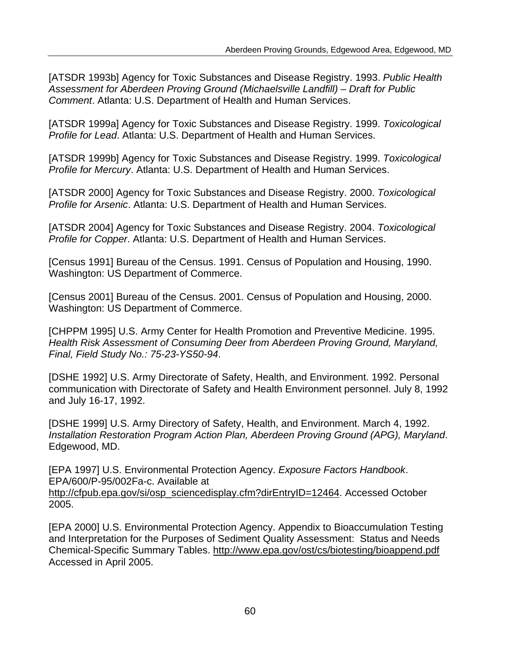[ATSDR 1993b] Agency for Toxic Substances and Disease Registry. 1993. *Public Health Assessment for Aberdeen Proving Ground (Michaelsville Landfill) – Draft for Public Comment*. Atlanta: U.S. Department of Health and Human Services.

[ATSDR 1999a] Agency for Toxic Substances and Disease Registry. 1999. *Toxicological Profile for Lead*. Atlanta: U.S. Department of Health and Human Services.

[ATSDR 1999b] Agency for Toxic Substances and Disease Registry. 1999. *Toxicological Profile for Mercury*. Atlanta: U.S. Department of Health and Human Services.

[ATSDR 2000] Agency for Toxic Substances and Disease Registry. 2000. *Toxicological Profile for Arsenic*. Atlanta: U.S. Department of Health and Human Services.

[ATSDR 2004] Agency for Toxic Substances and Disease Registry. 2004. *Toxicological Profile for Copper*. Atlanta: U.S. Department of Health and Human Services.

[Census 1991] Bureau of the Census. 1991. Census of Population and Housing, 1990. Washington: US Department of Commerce.

[Census 2001] Bureau of the Census. 2001. Census of Population and Housing, 2000. Washington: US Department of Commerce.

[CHPPM 1995] U.S. Army Center for Health Promotion and Preventive Medicine. 1995. *Health Risk Assessment of Consuming Deer from Aberdeen Proving Ground, Maryland, Final, Field Study No.: 75-23-YS50-94*.

[DSHE 1992] U.S. Army Directorate of Safety, Health, and Environment. 1992. Personal communication with Directorate of Safety and Health Environment personnel. July 8, 1992 and July 16-17, 1992.

[DSHE 1999] U.S. Army Directory of Safety, Health, and Environment. March 4, 1992. *Installation Restoration Program Action Plan, Aberdeen Proving Ground (APG), Maryland*. Edgewood, MD.

[EPA 1997] U.S. Environmental Protection Agency. *Exposure Factors Handbook*. EPA/600/P-95/002Fa-c. Available at

http://cfpub.epa.gov/si/osp\_sciencedisplay.cfm?dirEntryID=12464. Accessed October 2005.

[EPA 2000] U.S. Environmental Protection Agency. Appendix to Bioaccumulation Testing and Interpretation for the Purposes of Sediment Quality Assessment: Status and Needs Chemical-Specific Summary Tables. http://www.epa.gov/ost/cs/biotesting/bioappend.pdf Accessed in April 2005.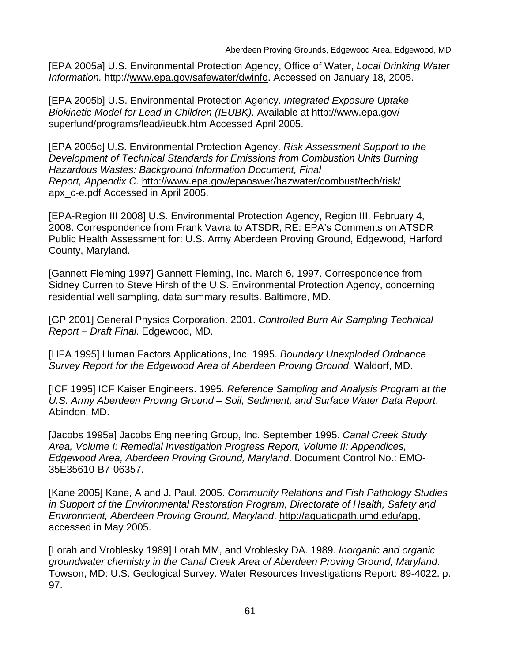[EPA 2005a] U.S. Environmental Protection Agency, Office of Water, *Local Drinking Water Information.* http://www.epa.gov/safewater/dwinfo. Accessed on January 18, 2005.

[EPA 2005b] U.S. Environmental Protection Agency. *Integrated Exposure Uptake Biokinetic Model for Lead in Children (IEUBK)*. Available at http://www.epa.gov/ superfund/programs/lead/ieubk.htm Accessed April 2005.

[EPA 2005c] U.S. Environmental Protection Agency. *Risk Assessment Support to the Development of Technical Standards for Emissions from Combustion Units Burning Hazardous Wastes: Background Information Document, Final Report, Appendix C.* http://www.epa.gov/epaoswer/hazwater/combust/tech/risk/ apx\_c-e.pdf Accessed in April 2005.

[EPA-Region III 2008] U.S. Environmental Protection Agency, Region III. February 4, 2008. Correspondence from Frank Vavra to ATSDR, RE: EPA's Comments on ATSDR Public Health Assessment for: U.S. Army Aberdeen Proving Ground, Edgewood, Harford County, Maryland.

[Gannett Fleming 1997] Gannett Fleming, Inc. March 6, 1997. Correspondence from Sidney Curren to Steve Hirsh of the U.S. Environmental Protection Agency, concerning residential well sampling, data summary results. Baltimore, MD.

[GP 2001] General Physics Corporation. 2001. *Controlled Burn Air Sampling Technical Report – Draft Final*. Edgewood, MD.

[HFA 1995] Human Factors Applications, Inc. 1995. *Boundary Unexploded Ordnance Survey Report for the Edgewood Area of Aberdeen Proving Ground*. Waldorf, MD.

[ICF 1995] ICF Kaiser Engineers. 1995*. Reference Sampling and Analysis Program at the U.S. Army Aberdeen Proving Ground – Soil, Sediment, and Surface Water Data Report*. Abindon, MD.

[Jacobs 1995a] Jacobs Engineering Group, Inc. September 1995. *Canal Creek Study Area, Volume I: Remedial Investigation Progress Report, Volume II: Appendices, Edgewood Area, Aberdeen Proving Ground, Maryland*. Document Control No.: EMO-35E35610-B7-06357.

[Kane 2005] Kane, A and J. Paul. 2005. *Community Relations and Fish Pathology Studies in Support of the Environmental Restoration Program, Directorate of Health, Safety and Environment, Aberdeen Proving Ground, Maryland*. http://aquaticpath.umd.edu/apg, accessed in May 2005.

[Lorah and Vroblesky 1989] Lorah MM, and Vroblesky DA. 1989. *Inorganic and organic groundwater chemistry in the Canal Creek Area of Aberdeen Proving Ground, Maryland*. Towson, MD: U.S. Geological Survey. Water Resources Investigations Report: 89-4022. p. 97.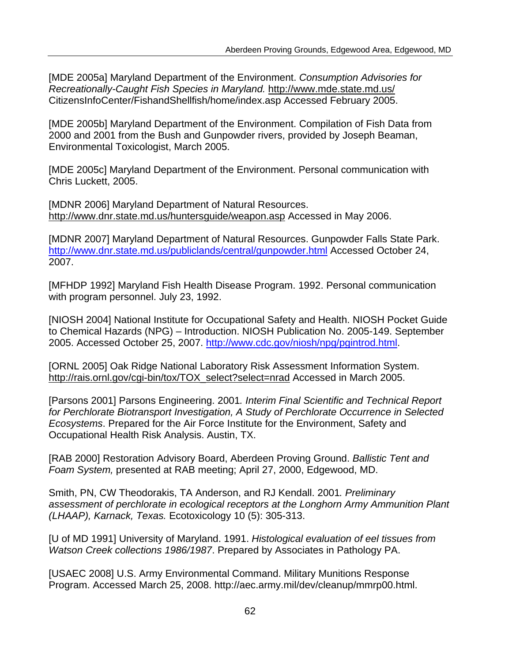[MDE 2005a] Maryland Department of the Environment. *Consumption Advisories for Recreationally-Caught Fish Species in Maryland.* http://www.mde.state.md.us/ CitizensInfoCenter/FishandShellfish/home/index.asp Accessed February 2005.

[MDE 2005b] Maryland Department of the Environment. Compilation of Fish Data from 2000 and 2001 from the Bush and Gunpowder rivers, provided by Joseph Beaman, Environmental Toxicologist, March 2005.

[MDE 2005c] Maryland Department of the Environment. Personal communication with Chris Luckett, 2005.

[MDNR 2006] Maryland Department of Natural Resources. http://www.dnr.state.md.us/huntersguide/weapon.asp Accessed in May 2006.

[MDNR 2007] Maryland Department of Natural Resources. Gunpowder Falls State Park. http://www.dnr.state.md.us/publiclands/central/gunpowder.html Accessed October 24, 2007.

[MFHDP 1992] Maryland Fish Health Disease Program. 1992. Personal communication with program personnel. July 23, 1992.

[NIOSH 2004] National Institute for Occupational Safety and Health. NIOSH Pocket Guide to Chemical Hazards (NPG) – Introduction. NIOSH Publication No. 2005-149. September 2005. Accessed October 25, 2007. http://www.cdc.gov/niosh/npg/pgintrod.html.

[ORNL 2005] Oak Ridge National Laboratory Risk Assessment Information System. http://rais.ornl.gov/cgi-bin/tox/TOX\_select?select=nrad Accessed in March 2005.

[Parsons 2001] Parsons Engineering. 2001*. Interim Final Scientific and Technical Report for Perchlorate Biotransport Investigation, A Study of Perchlorate Occurrence in Selected Ecosystems*. Prepared for the Air Force Institute for the Environment, Safety and Occupational Health Risk Analysis. Austin, TX.

[RAB 2000] Restoration Advisory Board, Aberdeen Proving Ground. *Ballistic Tent and Foam System,* presented at RAB meeting; April 27, 2000, Edgewood, MD.

Smith, PN, CW Theodorakis, TA Anderson, and RJ Kendall. 2001*. Preliminary assessment of perchlorate in ecological receptors at the Longhorn Army Ammunition Plant (LHAAP), Karnack, Texas.* Ecotoxicology 10 (5): 305-313.

[U of MD 1991] University of Maryland. 1991. *Histological evaluation of eel tissues from Watson Creek collections 1986/1987*. Prepared by Associates in Pathology PA.

[USAEC 2008] U.S. Army Environmental Command. Military Munitions Response Program. Accessed March 25, 2008. http://aec.army.mil/dev/cleanup/mmrp00.html.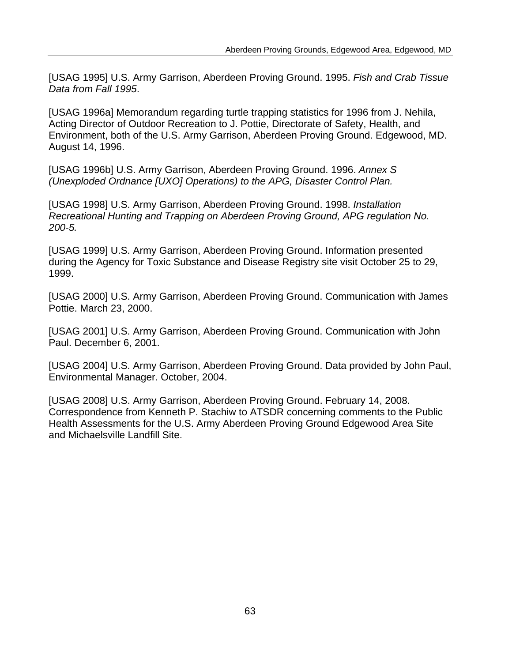[USAG 1995] U.S. Army Garrison, Aberdeen Proving Ground. 1995. *Fish and Crab Tissue Data from Fall 1995*.

[USAG 1996a] Memorandum regarding turtle trapping statistics for 1996 from J. Nehila, Acting Director of Outdoor Recreation to J. Pottie, Directorate of Safety, Health, and Environment, both of the U.S. Army Garrison, Aberdeen Proving Ground. Edgewood, MD. August 14, 1996.

[USAG 1996b] U.S. Army Garrison, Aberdeen Proving Ground. 1996. *Annex S (Unexploded Ordnance [UXO] Operations) to the APG, Disaster Control Plan.* 

[USAG 1998] U.S. Army Garrison, Aberdeen Proving Ground. 1998. *Installation Recreational Hunting and Trapping on Aberdeen Proving Ground, APG regulation No. 200-5.* 

[USAG 1999] U.S. Army Garrison, Aberdeen Proving Ground. Information presented during the Agency for Toxic Substance and Disease Registry site visit October 25 to 29, 1999.

[USAG 2000] U.S. Army Garrison, Aberdeen Proving Ground. Communication with James Pottie. March 23, 2000.

[USAG 2001] U.S. Army Garrison, Aberdeen Proving Ground. Communication with John Paul. December 6, 2001.

[USAG 2004] U.S. Army Garrison, Aberdeen Proving Ground. Data provided by John Paul, Environmental Manager. October, 2004.

[USAG 2008] U.S. Army Garrison, Aberdeen Proving Ground. February 14, 2008. Correspondence from Kenneth P. Stachiw to ATSDR concerning comments to the Public Health Assessments for the U.S. Army Aberdeen Proving Ground Edgewood Area Site and Michaelsville Landfill Site.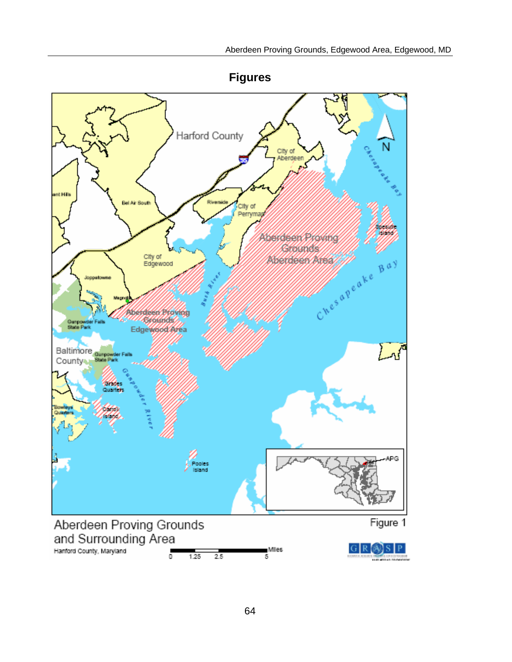

**Figures**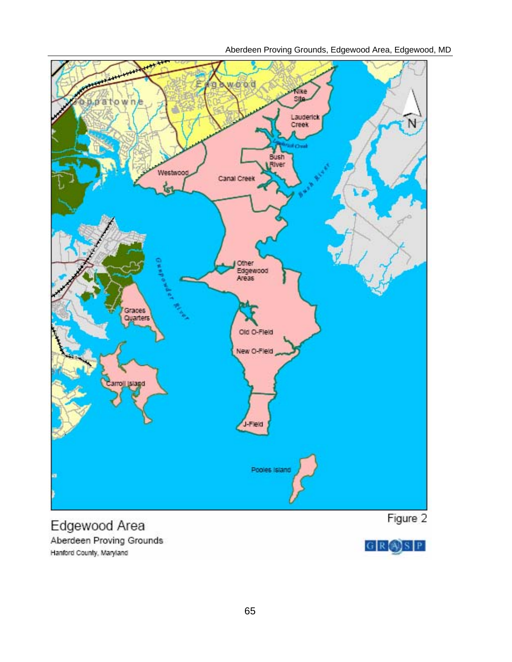Aberdeen Proving Grounds, Edgewood Area, Edgewood, MD



Edgewood Area Aberdeen Proving Grounds Hanford County, Maryland

 $G \mid R \cup S \mid P$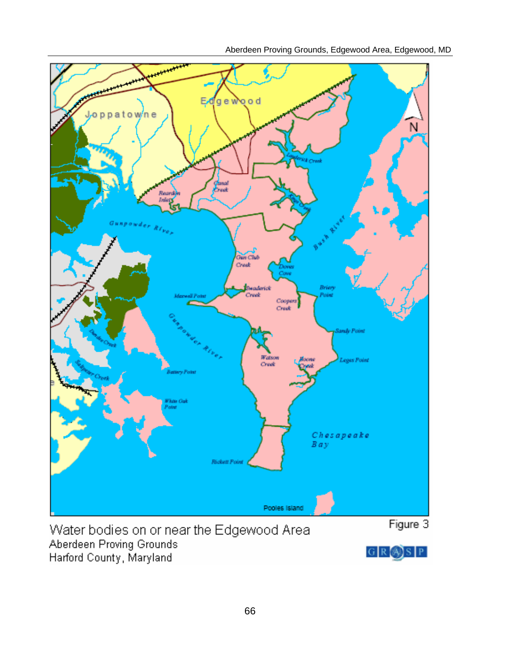Aberdeen Proving Grounds, Edgewood Area, Edgewood, MD



Water bodies on or near the Edgewood Area Aberdeen Proving Grounds Harford County, Maryland

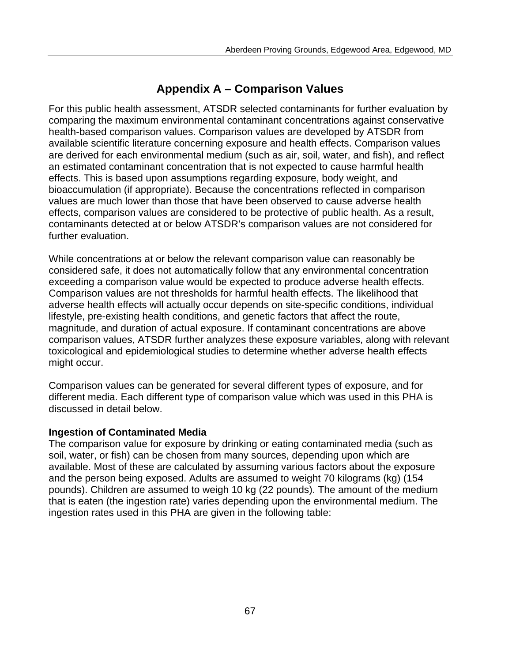# **Appendix A – Comparison Values**

For this public health assessment, ATSDR selected contaminants for further evaluation by comparing the maximum environmental contaminant concentrations against conservative health-based comparison values. Comparison values are developed by ATSDR from available scientific literature concerning exposure and health effects. Comparison values are derived for each environmental medium (such as air, soil, water, and fish), and reflect an estimated contaminant concentration that is not expected to cause harmful health effects. This is based upon assumptions regarding exposure, body weight, and bioaccumulation (if appropriate). Because the concentrations reflected in comparison values are much lower than those that have been observed to cause adverse health effects, comparison values are considered to be protective of public health. As a result, contaminants detected at or below ATSDR's comparison values are not considered for further evaluation.

While concentrations at or below the relevant comparison value can reasonably be considered safe, it does not automatically follow that any environmental concentration exceeding a comparison value would be expected to produce adverse health effects. Comparison values are not thresholds for harmful health effects. The likelihood that adverse health effects will actually occur depends on site-specific conditions, individual lifestyle, pre-existing health conditions, and genetic factors that affect the route, magnitude, and duration of actual exposure. If contaminant concentrations are above comparison values, ATSDR further analyzes these exposure variables, along with relevant toxicological and epidemiological studies to determine whether adverse health effects might occur.

Comparison values can be generated for several different types of exposure, and for different media. Each different type of comparison value which was used in this PHA is discussed in detail below.

## **Ingestion of Contaminated Media**

The comparison value for exposure by drinking or eating contaminated media (such as soil, water, or fish) can be chosen from many sources, depending upon which are available. Most of these are calculated by assuming various factors about the exposure and the person being exposed. Adults are assumed to weight 70 kilograms (kg) (154 pounds). Children are assumed to weigh 10 kg (22 pounds). The amount of the medium that is eaten (the ingestion rate) varies depending upon the environmental medium. The ingestion rates used in this PHA are given in the following table: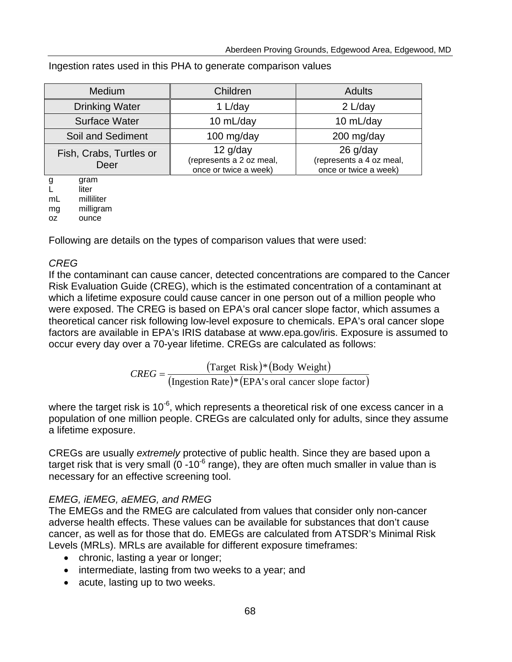| Medium                          | Children                                                        | <b>Adults</b>                                                   |
|---------------------------------|-----------------------------------------------------------------|-----------------------------------------------------------------|
| <b>Drinking Water</b>           | 1 L/day                                                         | 2 L/day                                                         |
| <b>Surface Water</b>            | 10 mL/day                                                       | 10 mL/day                                                       |
| Soil and Sediment               | 100 mg/day                                                      | 200 mg/day                                                      |
| Fish, Crabs, Turtles or<br>Deer | $12$ g/day<br>(represents a 2 oz meal,<br>once or twice a week) | $26$ g/day<br>(represents a 4 oz meal,<br>once or twice a week) |

Ingestion rates used in this PHA to generate comparison values

g gram

L liter

mL milliliter mg milligram

oz ounce

Following are details on the types of comparison values that were used:

## *CREG*

If the contaminant can cause cancer, detected concentrations are compared to the Cancer Risk Evaluation Guide (CREG), which is the estimated concentration of a contaminant at which a lifetime exposure could cause cancer in one person out of a million people who were exposed. The CREG is based on EPA's oral cancer slope factor, which assumes a theoretical cancer risk following low-level exposure to chemicals. EPA's oral cancer slope factors are available in EPA's IRIS database at www.epa.gov/iris. Exposure is assumed to occur every day over a 70-year lifetime. CREGs are calculated as follows:

 $CREG = \frac{(\text{Target Risk}) * (\text{Body Weight})}{(\text{Ingestion Rate}) * (\text{EPA's oral cancer slope factor})}$ 

where the target risk is  $10^{-6}$ , which represents a theoretical risk of one excess cancer in a population of one million people. CREGs are calculated only for adults, since they assume a lifetime exposure.

CREGs are usually *extremely* protective of public health. Since they are based upon a target risk that is very small  $(0-10^{-6}$  range), they are often much smaller in value than is necessary for an effective screening tool.

## *EMEG, iEMEG, aEMEG, and RMEG*

The EMEGs and the RMEG are calculated from values that consider only non-cancer adverse health effects. These values can be available for substances that don't cause cancer, as well as for those that do. EMEGs are calculated from ATSDR's Minimal Risk Levels (MRLs). MRLs are available for different exposure timeframes:

- chronic, lasting a year or longer;
- intermediate, lasting from two weeks to a year; and
- acute, lasting up to two weeks.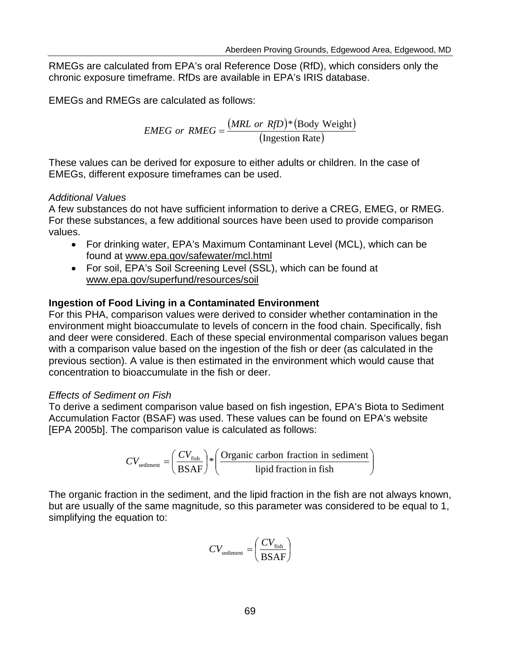RMEGs are calculated from EPA's oral Reference Dose (RfD), which considers only the chronic exposure timeframe. RfDs are available in EPA's IRIS database.

EMEGs and RMEGs are calculated as follows:

$$
EMEG \text{ or } RMEG = \frac{(MRL \text{ or } RfD)^*(\text{Body Weight})}{(\text{Ingestion Rate})}
$$

These values can be derived for exposure to either adults or children. In the case of EMEGs, different exposure timeframes can be used.

### *Additional Values*

A few substances do not have sufficient information to derive a CREG, EMEG, or RMEG. For these substances, a few additional sources have been used to provide comparison values.

- For drinking water, EPA's Maximum Contaminant Level (MCL), which can be found at www.epa.gov/safewater/mcl.html
- For soil, EPA's Soil Screening Level (SSL), which can be found at www.epa.gov/superfund/resources/soil

### **Ingestion of Food Living in a Contaminated Environment**

For this PHA, comparison values were derived to consider whether contamination in the environment might bioaccumulate to levels of concern in the food chain. Specifically, fish and deer were considered. Each of these special environmental comparison values began with a comparison value based on the ingestion of the fish or deer (as calculated in the previous section). A value is then estimated in the environment which would cause that concentration to bioaccumulate in the fish or deer.

### *Effects of Sediment on Fish*

To derive a sediment comparison value based on fish ingestion, EPA's Biota to Sediment Accumulation Factor (BSAF) was used. These values can be found on EPA's website [EPA 2005b]. The comparison value is calculated as follows:

$$
CV_{\text{sediment}} = \left(\frac{CV_{\text{fish}}}{\text{BSAF}}\right) * \left(\frac{\text{Organic carbon fraction in sediment}}{\text{lipid fraction in fish}}\right)
$$

The organic fraction in the sediment, and the lipid fraction in the fish are not always known, but are usually of the same magnitude, so this parameter was considered to be equal to 1, simplifying the equation to:

$$
CV_{\text{sediment}} = \left(\frac{CV_{\text{fish}}}{\text{BSAF}}\right)
$$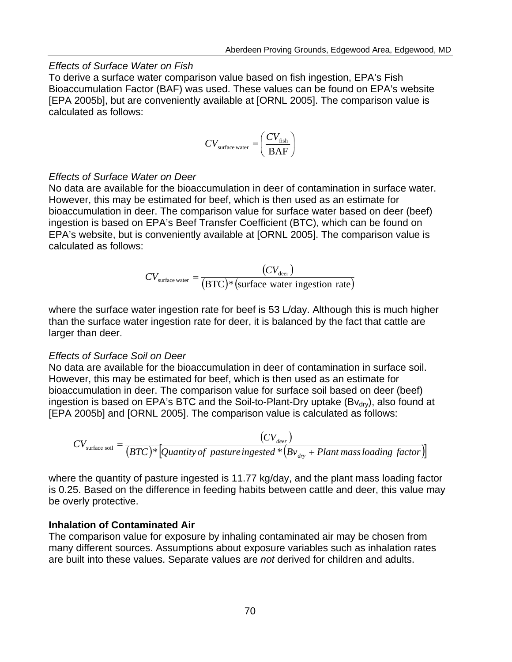#### *Effects of Surface Water on Fish*

To derive a surface water comparison value based on fish ingestion, EPA's Fish Bioaccumulation Factor (BAF) was used. These values can be found on EPA's website [EPA 2005b], but are conveniently available at [ORNL 2005]. The comparison value is calculated as follows:

$$
CV_{\text{surface water}} = \left(\frac{CV_{\text{fish}}}{BAF}\right)
$$

#### *Effects of Surface Water on Deer*

No data are available for the bioaccumulation in deer of contamination in surface water. However, this may be estimated for beef, which is then used as an estimate for bioaccumulation in deer. The comparison value for surface water based on deer (beef) ingestion is based on EPA's Beef Transfer Coefficient (BTC), which can be found on EPA's website, but is conveniently available at [ORNL 2005]. The comparison value is calculated as follows:

$$
CV_{\text{surface water}} = \frac{(CV_{\text{deer}})}{(BTC)^{*}(\text{surface water ingestion rate})}
$$

where the surface water ingestion rate for beef is 53 L/day. Although this is much higher than the surface water ingestion rate for deer, it is balanced by the fact that cattle are larger than deer.

#### *Effects of Surface Soil on Deer*

No data are available for the bioaccumulation in deer of contamination in surface soil. However, this may be estimated for beef, which is then used as an estimate for bioaccumulation in deer. The comparison value for surface soil based on deer (beef) ingestion is based on EPA's BTC and the Soil-to-Plant-Dry uptake (B $v_{\text{dry}}$ ), also found at [EPA 2005b] and [ORNL 2005]. The comparison value is calculated as follows:

$$
CV_{\text{surface soil}} = \frac{(CV_{\text{deer}})}{(BTC)^* \left[ \text{Quantity of pasture ingested * } \left( Bv_{\text{dry}} + \text{Plant mass loading factor} \right) \right]}
$$

where the quantity of pasture ingested is 11.77 kg/day, and the plant mass loading factor is 0.25. Based on the difference in feeding habits between cattle and deer, this value may be overly protective.

#### **Inhalation of Contaminated Air**

The comparison value for exposure by inhaling contaminated air may be chosen from many different sources. Assumptions about exposure variables such as inhalation rates are built into these values. Separate values are *not* derived for children and adults.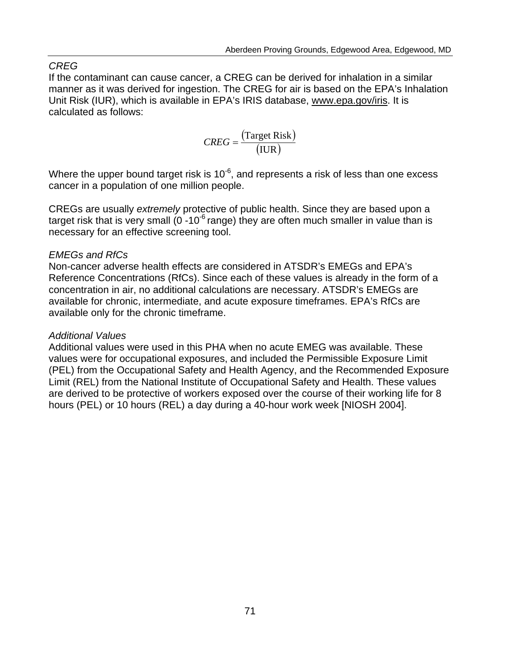## *CREG*

If the contaminant can cause cancer, a CREG can be derived for inhalation in a similar manner as it was derived for ingestion. The CREG for air is based on the EPA's Inhalation Unit Risk (IUR), which is available in EPA's IRIS database, www.epa.gov/iris. It is calculated as follows:

$$
CREG = \frac{\text{(Target Risk)}}{\text{(IUR)}}
$$

Where the upper bound target risk is  $10^{-6}$ , and represents a risk of less than one excess cancer in a population of one million people.

CREGs are usually *extremely* protective of public health. Since they are based upon a target risk that is very small  $(0 - 10^{-6}$  range) they are often much smaller in value than is necessary for an effective screening tool.

### *EMEGs and RfCs*

Non-cancer adverse health effects are considered in ATSDR's EMEGs and EPA's Reference Concentrations (RfCs). Since each of these values is already in the form of a concentration in air, no additional calculations are necessary. ATSDR's EMEGs are available for chronic, intermediate, and acute exposure timeframes. EPA's RfCs are available only for the chronic timeframe.

### *Additional Values*

Additional values were used in this PHA when no acute EMEG was available. These values were for occupational exposures, and included the Permissible Exposure Limit (PEL) from the Occupational Safety and Health Agency, and the Recommended Exposure Limit (REL) from the National Institute of Occupational Safety and Health. These values are derived to be protective of workers exposed over the course of their working life for 8 hours (PEL) or 10 hours (REL) a day during a 40-hour work week [NIOSH 2004].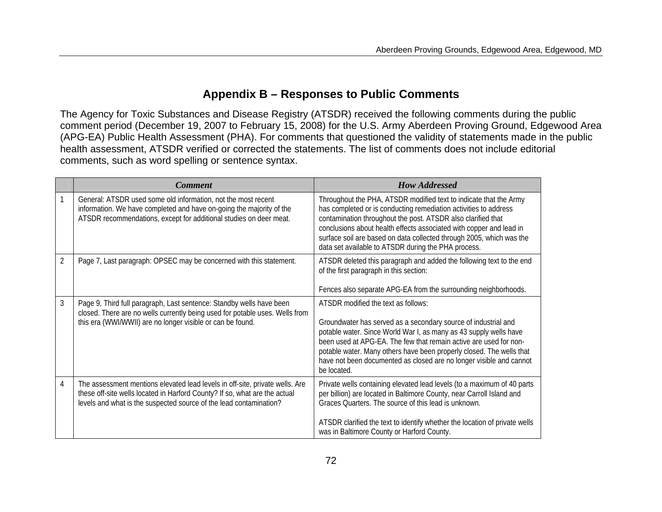# **Appendix B – Responses to Public Comments**

The Agency for Toxic Substances and Disease Registry (ATSDR) received the following comments during the public comment period (December 19, 2007 to February 15, 2008) for the U.S. Army Aberdeen Proving Ground, Edgewood Area (APG-EA) Public Health Assessment (PHA). For comments that questioned the validity of statements made in the public health assessment, ATSDR verified or corrected the statements. The list of comments does not include editorial comments, such as word spelling or sentence syntax.

|                | <b>Comment</b>                                                                                                                                                                                                                   | <b>How Addressed</b>                                                                                                                                                                                                                                                                                                                                                                                          |
|----------------|----------------------------------------------------------------------------------------------------------------------------------------------------------------------------------------------------------------------------------|---------------------------------------------------------------------------------------------------------------------------------------------------------------------------------------------------------------------------------------------------------------------------------------------------------------------------------------------------------------------------------------------------------------|
|                | General: ATSDR used some old information, not the most recent<br>information. We have completed and have on-going the majority of the<br>ATSDR recommendations, except for additional studies on deer meat.                      | Throughout the PHA, ATSDR modified text to indicate that the Army<br>has completed or is conducting remediation activities to address<br>contamination throughout the post. ATSDR also clarified that<br>conclusions about health effects associated with copper and lead in<br>surface soil are based on data collected through 2005, which was the<br>data set available to ATSDR during the PHA process.   |
| $\overline{2}$ | Page 7, Last paragraph: OPSEC may be concerned with this statement.                                                                                                                                                              | ATSDR deleted this paragraph and added the following text to the end<br>of the first paragraph in this section:<br>Fences also separate APG-EA from the surrounding neighborhoods.                                                                                                                                                                                                                            |
| 3              | Page 9, Third full paragraph, Last sentence: Standby wells have been<br>closed. There are no wells currently being used for potable uses. Wells from<br>this era (WWI/WWII) are no longer visible or can be found.               | ATSDR modified the text as follows:<br>Groundwater has served as a secondary source of industrial and<br>potable water. Since World War I, as many as 43 supply wells have<br>been used at APG-EA. The few that remain active are used for non-<br>potable water. Many others have been properly closed. The wells that<br>have not been documented as closed are no longer visible and cannot<br>be located. |
| 4              | The assessment mentions elevated lead levels in off-site, private wells. Are<br>these off-site wells located in Harford County? If so, what are the actual<br>levels and what is the suspected source of the lead contamination? | Private wells containing elevated lead levels (to a maximum of 40 parts<br>per billion) are located in Baltimore County, near Carroll Island and<br>Graces Quarters. The source of this lead is unknown.<br>ATSDR clarified the text to identify whether the location of private wells<br>was in Baltimore County or Harford County.                                                                          |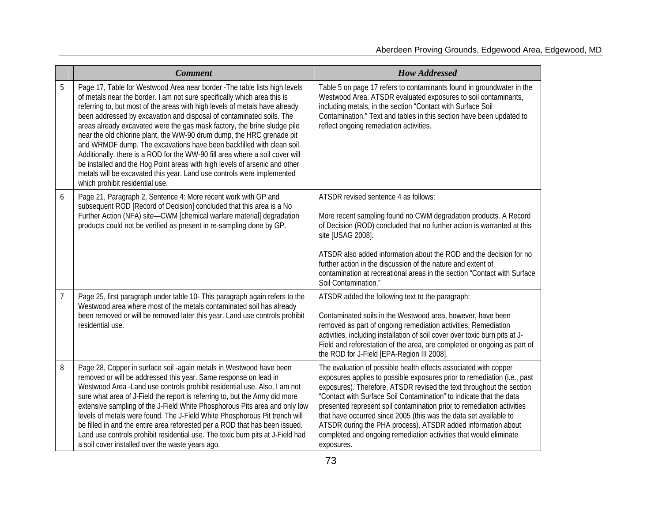|                | <b>Comment</b>                                                                                                                                                                                                                                                                                                                                                                                                                                                                                                                                                                                                                                                                                                                                                                                                         | <b>How Addressed</b>                                                                                                                                                                                                                                                                                                                                                                                                                                                                                                                                                                          |
|----------------|------------------------------------------------------------------------------------------------------------------------------------------------------------------------------------------------------------------------------------------------------------------------------------------------------------------------------------------------------------------------------------------------------------------------------------------------------------------------------------------------------------------------------------------------------------------------------------------------------------------------------------------------------------------------------------------------------------------------------------------------------------------------------------------------------------------------|-----------------------------------------------------------------------------------------------------------------------------------------------------------------------------------------------------------------------------------------------------------------------------------------------------------------------------------------------------------------------------------------------------------------------------------------------------------------------------------------------------------------------------------------------------------------------------------------------|
| 5              | Page 17, Table for Westwood Area near border - The table lists high levels<br>of metals near the border. I am not sure specifically which area this is<br>referring to, but most of the areas with high levels of metals have already<br>been addressed by excavation and disposal of contaminated soils. The<br>areas already excavated were the gas mask factory, the brine sludge pile<br>near the old chlorine plant, the WW-90 drum dump, the HRC grenade pit<br>and WRMDF dump. The excavations have been backfilled with clean soil.<br>Additionally, there is a ROD for the WW-90 fill area where a soil cover will<br>be installed and the Hog Point areas with high levels of arsenic and other<br>metals will be excavated this year. Land use controls were implemented<br>which prohibit residential use. | Table 5 on page 17 refers to contaminants found in groundwater in the<br>Westwood Area. ATSDR evaluated exposures to soil contaminants,<br>including metals, in the section "Contact with Surface Soil<br>Contamination." Text and tables in this section have been updated to<br>reflect ongoing remediation activities.                                                                                                                                                                                                                                                                     |
| 6              | Page 21, Paragraph 2, Sentence 4: More recent work with GP and<br>subsequent ROD [Record of Decision] concluded that this area is a No<br>Further Action (NFA) site-CWM [chemical warfare material] degradation<br>products could not be verified as present in re-sampling done by GP.                                                                                                                                                                                                                                                                                                                                                                                                                                                                                                                                | ATSDR revised sentence 4 as follows:<br>More recent sampling found no CWM degradation products. A Record<br>of Decision (ROD) concluded that no further action is warranted at this<br>site [USAG 2008].<br>ATSDR also added information about the ROD and the decision for no<br>further action in the discussion of the nature and extent of<br>contamination at recreational areas in the section "Contact with Surface<br>Soil Contamination."                                                                                                                                            |
| $\overline{7}$ | Page 25, first paragraph under table 10- This paragraph again refers to the<br>Westwood area where most of the metals contaminated soil has already<br>been removed or will be removed later this year. Land use controls prohibit<br>residential use.                                                                                                                                                                                                                                                                                                                                                                                                                                                                                                                                                                 | ATSDR added the following text to the paragraph:<br>Contaminated soils in the Westwood area, however, have been<br>removed as part of ongoing remediation activities. Remediation<br>activities, including installation of soil cover over toxic burn pits at J-<br>Field and reforestation of the area, are completed or ongoing as part of<br>the ROD for J-Field [EPA-Region III 2008].                                                                                                                                                                                                    |
| 8              | Page 28, Copper in surface soil -again metals in Westwood have been<br>removed or will be addressed this year. Same response on lead in<br>Westwood Area - Land use controls prohibit residential use. Also, I am not<br>sure what area of J-Field the report is referring to, but the Army did more<br>extensive sampling of the J-Field White Phosphorous Pits area and only low<br>levels of metals were found. The J-Field White Phosphorous Pit trench will<br>be filled in and the entire area reforested per a ROD that has been issued.<br>Land use controls prohibit residential use. The toxic burn pits at J-Field had<br>a soil cover installed over the waste years ago.                                                                                                                                  | The evaluation of possible health effects associated with copper<br>exposures applies to possible exposures prior to remediation (i.e., past<br>exposures). Therefore, ATSDR revised the text throughout the section<br>"Contact with Surface Soil Contamination" to indicate that the data<br>presented represent soil contamination prior to remediation activities<br>that have occurred since 2005 (this was the data set available to<br>ATSDR during the PHA process). ATSDR added information about<br>completed and ongoing remediation activities that would eliminate<br>exposures. |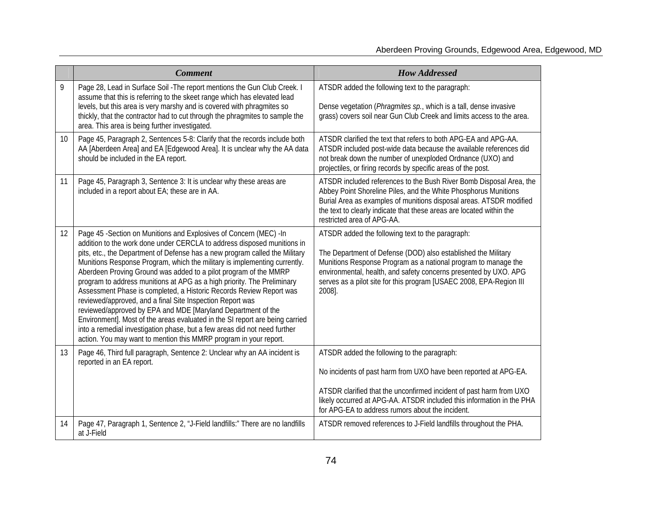|    | <b>Comment</b>                                                                                                                                                                                                                                                                                                                                                                                                                                                                                                                                                                                                                                                                                                                                                                                                                                                                                  | <b>How Addressed</b>                                                                                                                                                                                                                                                                                                                     |
|----|-------------------------------------------------------------------------------------------------------------------------------------------------------------------------------------------------------------------------------------------------------------------------------------------------------------------------------------------------------------------------------------------------------------------------------------------------------------------------------------------------------------------------------------------------------------------------------------------------------------------------------------------------------------------------------------------------------------------------------------------------------------------------------------------------------------------------------------------------------------------------------------------------|------------------------------------------------------------------------------------------------------------------------------------------------------------------------------------------------------------------------------------------------------------------------------------------------------------------------------------------|
| 9  | Page 28, Lead in Surface Soil - The report mentions the Gun Club Creek. I<br>assume that this is referring to the skeet range which has elevated lead<br>levels, but this area is very marshy and is covered with phragmites so<br>thickly, that the contractor had to cut through the phragmites to sample the<br>area. This area is being further investigated.                                                                                                                                                                                                                                                                                                                                                                                                                                                                                                                               | ATSDR added the following text to the paragraph:<br>Dense vegetation (Phragmites sp., which is a tall, dense invasive<br>grass) covers soil near Gun Club Creek and limits access to the area.                                                                                                                                           |
| 10 | Page 45, Paragraph 2, Sentences 5-8: Clarify that the records include both<br>AA [Aberdeen Area] and EA [Edgewood Area]. It is unclear why the AA data<br>should be included in the EA report.                                                                                                                                                                                                                                                                                                                                                                                                                                                                                                                                                                                                                                                                                                  | ATSDR clarified the text that refers to both APG-EA and APG-AA.<br>ATSDR included post-wide data because the available references did<br>not break down the number of unexploded Ordnance (UXO) and<br>projectiles, or firing records by specific areas of the post.                                                                     |
| 11 | Page 45, Paragraph 3, Sentence 3: It is unclear why these areas are<br>included in a report about EA; these are in AA.                                                                                                                                                                                                                                                                                                                                                                                                                                                                                                                                                                                                                                                                                                                                                                          | ATSDR included references to the Bush River Bomb Disposal Area, the<br>Abbey Point Shoreline Piles, and the White Phosphorus Munitions<br>Burial Area as examples of munitions disposal areas. ATSDR modified<br>the text to clearly indicate that these areas are located within the<br>restricted area of APG-AA.                      |
| 12 | Page 45 - Section on Munitions and Explosives of Concern (MEC) - In<br>addition to the work done under CERCLA to address disposed munitions in<br>pits, etc., the Department of Defense has a new program called the Military<br>Munitions Response Program, which the military is implementing currently.<br>Aberdeen Proving Ground was added to a pilot program of the MMRP<br>program to address munitions at APG as a high priority. The Preliminary<br>Assessment Phase is completed, a Historic Records Review Report was<br>reviewed/approved, and a final Site Inspection Report was<br>reviewed/approved by EPA and MDE [Maryland Department of the<br>Environment]. Most of the areas evaluated in the SI report are being carried<br>into a remedial investigation phase, but a few areas did not need further<br>action. You may want to mention this MMRP program in your report. | ATSDR added the following text to the paragraph:<br>The Department of Defense (DOD) also established the Military<br>Munitions Response Program as a national program to manage the<br>environmental, health, and safety concerns presented by UXO. APG<br>serves as a pilot site for this program [USAEC 2008, EPA-Region III<br>2008]. |
| 13 | Page 46, Third full paragraph, Sentence 2: Unclear why an AA incident is<br>reported in an EA report.                                                                                                                                                                                                                                                                                                                                                                                                                                                                                                                                                                                                                                                                                                                                                                                           | ATSDR added the following to the paragraph:<br>No incidents of past harm from UXO have been reported at APG-EA.<br>ATSDR clarified that the unconfirmed incident of past harm from UXO<br>likely occurred at APG-AA. ATSDR included this information in the PHA<br>for APG-EA to address rumors about the incident.                      |
| 14 | Page 47, Paragraph 1, Sentence 2, "J-Field landfills:" There are no landfills<br>at J-Field                                                                                                                                                                                                                                                                                                                                                                                                                                                                                                                                                                                                                                                                                                                                                                                                     | ATSDR removed references to J-Field landfills throughout the PHA.                                                                                                                                                                                                                                                                        |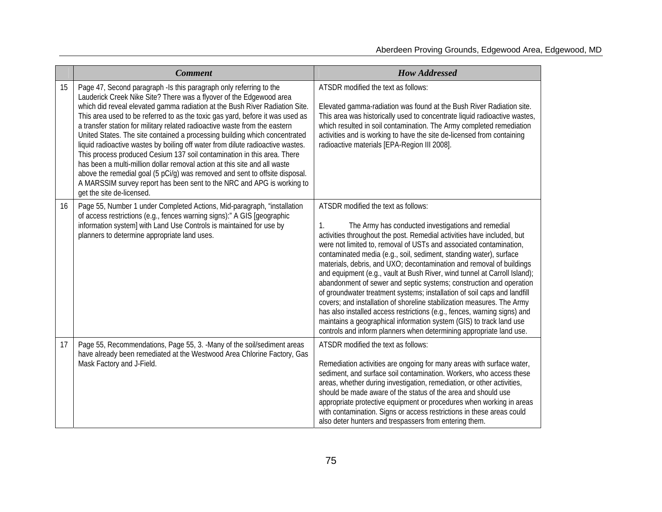|    | <b>Comment</b>                                                                                                                                                                                                                                                                                                                                                                                                                                                                                                                                                                                                                                                                                                                                                                                                                                                                                        | <b>How Addressed</b>                                                                                                                                                                                                                                                                                                                                                                                                                                                                                                                                                                                                                                                                                                                                                                                                                                                                                                              |
|----|-------------------------------------------------------------------------------------------------------------------------------------------------------------------------------------------------------------------------------------------------------------------------------------------------------------------------------------------------------------------------------------------------------------------------------------------------------------------------------------------------------------------------------------------------------------------------------------------------------------------------------------------------------------------------------------------------------------------------------------------------------------------------------------------------------------------------------------------------------------------------------------------------------|-----------------------------------------------------------------------------------------------------------------------------------------------------------------------------------------------------------------------------------------------------------------------------------------------------------------------------------------------------------------------------------------------------------------------------------------------------------------------------------------------------------------------------------------------------------------------------------------------------------------------------------------------------------------------------------------------------------------------------------------------------------------------------------------------------------------------------------------------------------------------------------------------------------------------------------|
| 15 | Page 47, Second paragraph -Is this paragraph only referring to the<br>Lauderick Creek Nike Site? There was a flyover of the Edgewood area<br>which did reveal elevated gamma radiation at the Bush River Radiation Site.<br>This area used to be referred to as the toxic gas yard, before it was used as<br>a transfer station for military related radioactive waste from the eastern<br>United States. The site contained a processing building which concentrated<br>liquid radioactive wastes by boiling off water from dilute radioactive wastes.<br>This process produced Cesium 137 soil contamination in this area. There<br>has been a multi-million dollar removal action at this site and all waste<br>above the remedial goal (5 pCi/g) was removed and sent to offsite disposal.<br>A MARSSIM survey report has been sent to the NRC and APG is working to<br>get the site de-licensed. | ATSDR modified the text as follows:<br>Elevated gamma-radiation was found at the Bush River Radiation site.<br>This area was historically used to concentrate liquid radioactive wastes,<br>which resulted in soil contamination. The Army completed remediation<br>activities and is working to have the site de-licensed from containing<br>radioactive materials [EPA-Region III 2008].                                                                                                                                                                                                                                                                                                                                                                                                                                                                                                                                        |
| 16 | Page 55, Number 1 under Completed Actions, Mid-paragraph, "installation<br>of access restrictions (e.g., fences warning signs):" A GIS [geographic<br>information system] with Land Use Controls is maintained for use by<br>planners to determine appropriate land uses.                                                                                                                                                                                                                                                                                                                                                                                                                                                                                                                                                                                                                             | ATSDR modified the text as follows:<br>The Army has conducted investigations and remedial<br>1.<br>activities throughout the post. Remedial activities have included, but<br>were not limited to, removal of USTs and associated contamination,<br>contaminated media (e.g., soil, sediment, standing water), surface<br>materials, debris, and UXO; decontamination and removal of buildings<br>and equipment (e.g., vault at Bush River, wind tunnel at Carroll Island);<br>abandonment of sewer and septic systems; construction and operation<br>of groundwater treatment systems; installation of soil caps and landfill<br>covers; and installation of shoreline stabilization measures. The Army<br>has also installed access restrictions (e.g., fences, warning signs) and<br>maintains a geographical information system (GIS) to track land use<br>controls and inform planners when determining appropriate land use. |
| 17 | Page 55, Recommendations, Page 55, 3. - Many of the soil/sediment areas<br>have already been remediated at the Westwood Area Chlorine Factory, Gas<br>Mask Factory and J-Field.                                                                                                                                                                                                                                                                                                                                                                                                                                                                                                                                                                                                                                                                                                                       | ATSDR modified the text as follows:<br>Remediation activities are ongoing for many areas with surface water,<br>sediment, and surface soil contamination. Workers, who access these<br>areas, whether during investigation, remediation, or other activities,<br>should be made aware of the status of the area and should use<br>appropriate protective equipment or procedures when working in areas<br>with contamination. Signs or access restrictions in these areas could<br>also deter hunters and trespassers from entering them.                                                                                                                                                                                                                                                                                                                                                                                         |